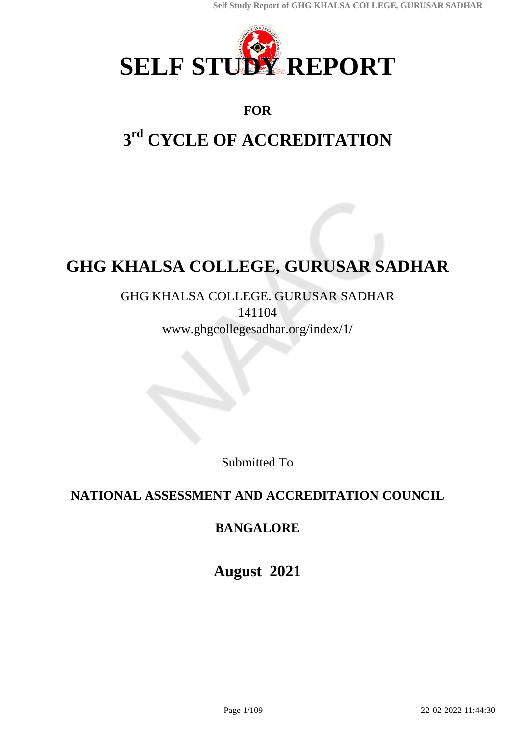

## **FOR**

# **3 rd CYCLE OF ACCREDITATION**

# **GHG KHALSA COLLEGE, GURUSAR SADHAR**

## GHG KHALSA COLLEGE. GURUSAR SADHAR 141104 www.ghgcollegesadhar.org/index/1/

Submitted To

# **NATIONAL ASSESSMENT AND ACCREDITATION COUNCIL**

# **BANGALORE**

**August 2021**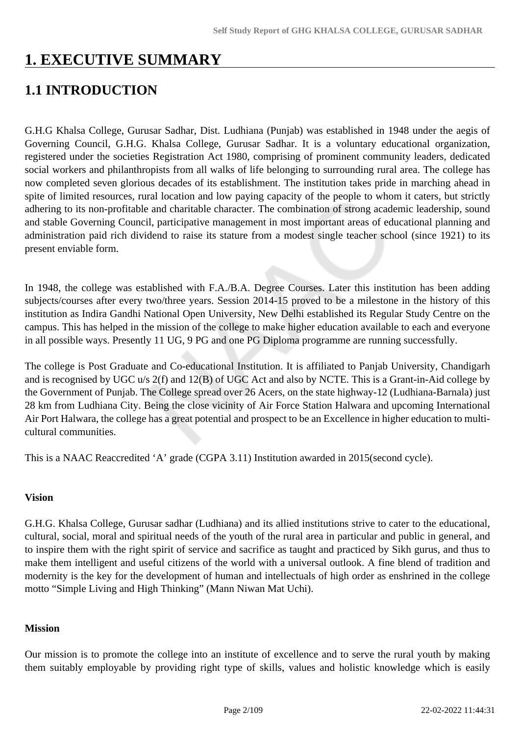# **1. EXECUTIVE SUMMARY**

# **1.1 INTRODUCTION**

G.H.G Khalsa College, Gurusar Sadhar, Dist. Ludhiana (Punjab) was established in 1948 under the aegis of Governing Council, G.H.G. Khalsa College, Gurusar Sadhar. It is a voluntary educational organization, registered under the societies Registration Act 1980, comprising of prominent community leaders, dedicated social workers and philanthropists from all walks of life belonging to surrounding rural area. The college has now completed seven glorious decades of its establishment. The institution takes pride in marching ahead in spite of limited resources, rural location and low paying capacity of the people to whom it caters, but strictly adhering to its non-profitable and charitable character. The combination of strong academic leadership, sound and stable Governing Council, participative management in most important areas of educational planning and administration paid rich dividend to raise its stature from a modest single teacher school (since 1921) to its present enviable form.

In 1948, the college was established with F.A./B.A. Degree Courses. Later this institution has been adding subjects/courses after every two/three years. Session 2014-15 proved to be a milestone in the history of this institution as Indira Gandhi National Open University, New Delhi established its Regular Study Centre on the campus. This has helped in the mission of the college to make higher education available to each and everyone in all possible ways. Presently 11 UG, 9 PG and one PG Diploma programme are running successfully.

The college is Post Graduate and Co-educational Institution. It is affiliated to Panjab University, Chandigarh and is recognised by UGC u/s 2(f) and 12(B) of UGC Act and also by NCTE. This is a Grant-in-Aid college by the Government of Punjab. The College spread over 26 Acers, on the state highway-12 (Ludhiana-Barnala) just 28 km from Ludhiana City. Being the close vicinity of Air Force Station Halwara and upcoming International Air Port Halwara, the college has a great potential and prospect to be an Excellence in higher education to multicultural communities.

This is a NAAC Reaccredited 'A' grade (CGPA 3.11) Institution awarded in 2015(second cycle).

#### **Vision**

G.H.G. Khalsa College, Gurusar sadhar (Ludhiana) and its allied institutions strive to cater to the educational, cultural, social, moral and spiritual needs of the youth of the rural area in particular and public in general, and to inspire them with the right spirit of service and sacrifice as taught and practiced by Sikh gurus, and thus to make them intelligent and useful citizens of the world with a universal outlook. A fine blend of tradition and modernity is the key for the development of human and intellectuals of high order as enshrined in the college motto "Simple Living and High Thinking" (Mann Niwan Mat Uchi).

#### **Mission**

Our mission is to promote the college into an institute of excellence and to serve the rural youth by making them suitably employable by providing right type of skills, values and holistic knowledge which is easily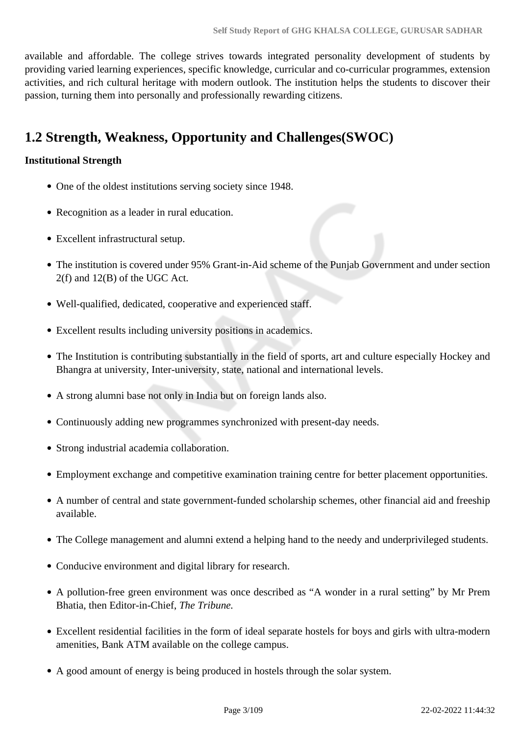available and affordable. The college strives towards integrated personality development of students by providing varied learning experiences, specific knowledge, curricular and co-curricular programmes, extension activities, and rich cultural heritage with modern outlook. The institution helps the students to discover their passion, turning them into personally and professionally rewarding citizens.

# **1.2 Strength, Weakness, Opportunity and Challenges(SWOC)**

## **Institutional Strength**

- One of the oldest institutions serving society since 1948.
- Recognition as a leader in rural education.
- Excellent infrastructural setup.
- The institution is covered under 95% Grant-in-Aid scheme of the Punjab Government and under section 2(f) and 12(B) of the UGC Act.
- Well-qualified, dedicated, cooperative and experienced staff.
- Excellent results including university positions in academics.
- The Institution is contributing substantially in the field of sports, art and culture especially Hockey and Bhangra at university, Inter-university, state, national and international levels.
- A strong alumni base not only in India but on foreign lands also.
- Continuously adding new programmes synchronized with present-day needs.
- Strong industrial academia collaboration.
- Employment exchange and competitive examination training centre for better placement opportunities.
- A number of central and state government-funded scholarship schemes, other financial aid and freeship available.
- The College management and alumni extend a helping hand to the needy and underprivileged students.
- Conducive environment and digital library for research.
- A pollution-free green environment was once described as "A wonder in a rural setting" by Mr Prem Bhatia, then Editor-in-Chief, *The Tribune.*
- Excellent residential facilities in the form of ideal separate hostels for boys and girls with ultra-modern amenities, Bank ATM available on the college campus.
- A good amount of energy is being produced in hostels through the solar system.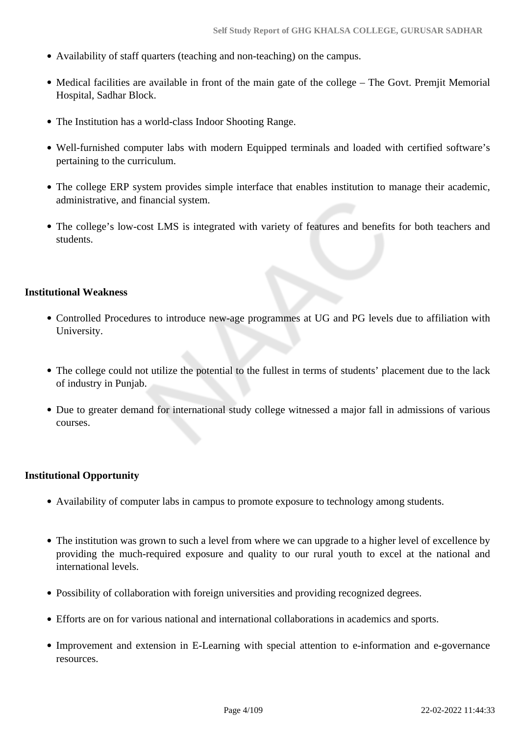- Availability of staff quarters (teaching and non-teaching) on the campus.
- Medical facilities are available in front of the main gate of the college The Govt. Premjit Memorial Hospital, Sadhar Block.
- The Institution has a world-class Indoor Shooting Range.
- Well-furnished computer labs with modern Equipped terminals and loaded with certified software's pertaining to the curriculum.
- The college ERP system provides simple interface that enables institution to manage their academic, administrative, and financial system.
- The college's low-cost LMS is integrated with variety of features and benefits for both teachers and students.

#### **Institutional Weakness**

- Controlled Procedures to introduce new-age programmes at UG and PG levels due to affiliation with University.
- The college could not utilize the potential to the fullest in terms of students' placement due to the lack of industry in Punjab.
- Due to greater demand for international study college witnessed a major fall in admissions of various courses.

#### **Institutional Opportunity**

- Availability of computer labs in campus to promote exposure to technology among students.
- The institution was grown to such a level from where we can upgrade to a higher level of excellence by providing the much-required exposure and quality to our rural youth to excel at the national and international levels.
- Possibility of collaboration with foreign universities and providing recognized degrees.
- Efforts are on for various national and international collaborations in academics and sports.
- Improvement and extension in E-Learning with special attention to e-information and e-governance resources.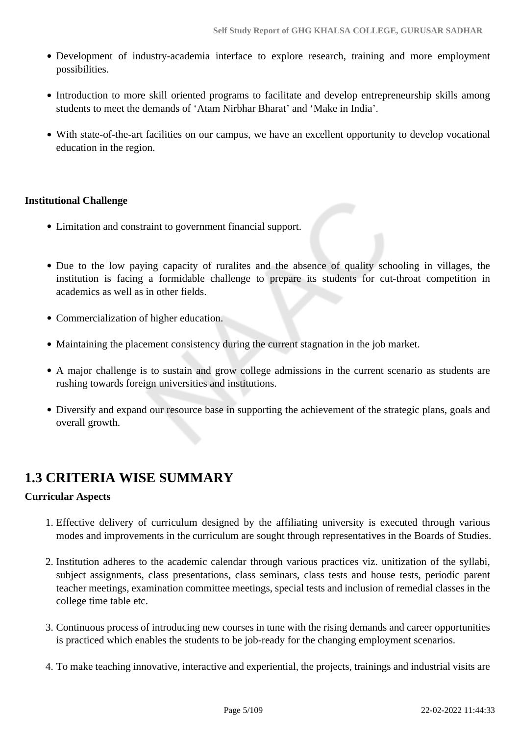- Development of industry-academia interface to explore research, training and more employment possibilities.
- Introduction to more skill oriented programs to facilitate and develop entrepreneurship skills among students to meet the demands of 'Atam Nirbhar Bharat' and 'Make in India'.
- With state-of-the-art facilities on our campus, we have an excellent opportunity to develop vocational education in the region.

## **Institutional Challenge**

- Limitation and constraint to government financial support.
- Due to the low paying capacity of ruralites and the absence of quality schooling in villages, the institution is facing a formidable challenge to prepare its students for cut-throat competition in academics as well as in other fields.
- Commercialization of higher education.
- Maintaining the placement consistency during the current stagnation in the job market.
- A major challenge is to sustain and grow college admissions in the current scenario as students are rushing towards foreign universities and institutions.
- Diversify and expand our resource base in supporting the achievement of the strategic plans, goals and overall growth.

## **1.3 CRITERIA WISE SUMMARY**

### **Curricular Aspects**

- 1. Effective delivery of curriculum designed by the affiliating university is executed through various modes and improvements in the curriculum are sought through representatives in the Boards of Studies.
- 2. Institution adheres to the academic calendar through various practices viz. unitization of the syllabi, subject assignments, class presentations, class seminars, class tests and house tests, periodic parent teacher meetings, examination committee meetings, special tests and inclusion of remedial classes in the college time table etc.
- 3. Continuous process of introducing new courses in tune with the rising demands and career opportunities is practiced which enables the students to be job-ready for the changing employment scenarios.
- 4. To make teaching innovative, interactive and experiential, the projects, trainings and industrial visits are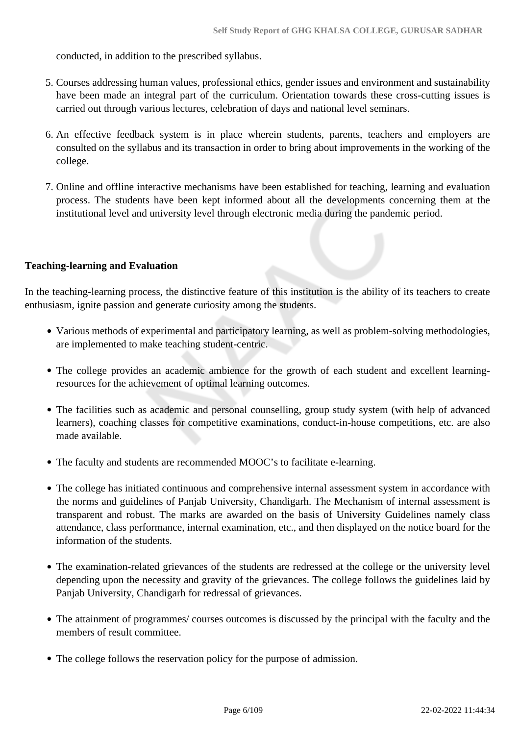conducted, in addition to the prescribed syllabus.

- 5. Courses addressing human values, professional ethics, gender issues and environment and sustainability have been made an integral part of the curriculum. Orientation towards these cross-cutting issues is carried out through various lectures, celebration of days and national level seminars.
- 6. An effective feedback system is in place wherein students, parents, teachers and employers are consulted on the syllabus and its transaction in order to bring about improvements in the working of the college.
- 7. Online and offline interactive mechanisms have been established for teaching, learning and evaluation process. The students have been kept informed about all the developments concerning them at the institutional level and university level through electronic media during the pandemic period.

### **Teaching-learning and Evaluation**

In the teaching-learning process, the distinctive feature of this institution is the ability of its teachers to create enthusiasm, ignite passion and generate curiosity among the students.

- Various methods of experimental and participatory learning, as well as problem-solving methodologies, are implemented to make teaching student-centric.
- The college provides an academic ambience for the growth of each student and excellent learningresources for the achievement of optimal learning outcomes.
- The facilities such as academic and personal counselling, group study system (with help of advanced learners), coaching classes for competitive examinations, conduct-in-house competitions, etc. are also made available.
- The faculty and students are recommended MOOC's to facilitate e-learning.
- The college has initiated continuous and comprehensive internal assessment system in accordance with the norms and guidelines of Panjab University, Chandigarh. The Mechanism of internal assessment is transparent and robust. The marks are awarded on the basis of University Guidelines namely class attendance, class performance, internal examination, etc., and then displayed on the notice board for the information of the students.
- The examination-related grievances of the students are redressed at the college or the university level depending upon the necessity and gravity of the grievances. The college follows the guidelines laid by Panjab University, Chandigarh for redressal of grievances.
- The attainment of programmes/ courses outcomes is discussed by the principal with the faculty and the members of result committee.
- The college follows the reservation policy for the purpose of admission.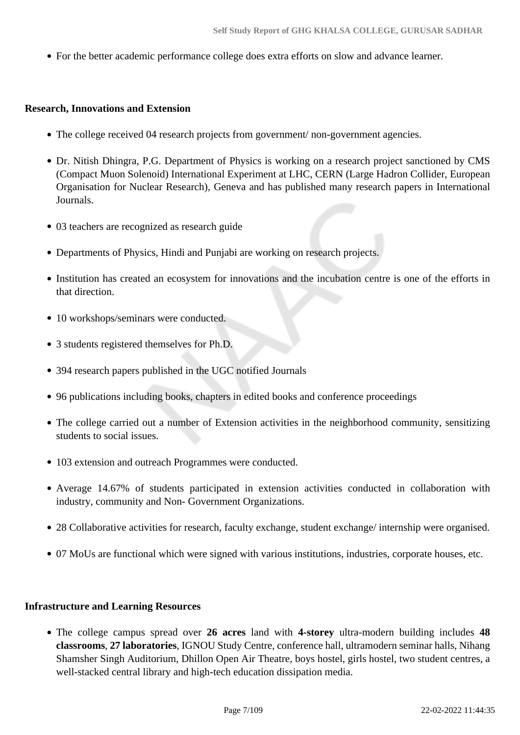For the better academic performance college does extra efforts on slow and advance learner.

#### **Research, Innovations and Extension**

- The college received 04 research projects from government/ non-government agencies.
- Dr. Nitish Dhingra, P.G. Department of Physics is working on a research project sanctioned by CMS (Compact Muon Solenoid) International Experiment at LHC, CERN (Large Hadron Collider, European Organisation for Nuclear Research), Geneva and has published many research papers in International Journals.
- 03 teachers are recognized as research guide
- Departments of Physics, Hindi and Punjabi are working on research projects.
- Institution has created an ecosystem for innovations and the incubation centre is one of the efforts in that direction.
- 10 workshops/seminars were conducted.
- 3 students registered themselves for Ph.D.
- 394 research papers published in the UGC notified Journals
- 96 publications including books, chapters in edited books and conference proceedings
- The college carried out a number of Extension activities in the neighborhood community, sensitizing students to social issues.
- 103 extension and outreach Programmes were conducted.
- Average 14.67% of students participated in extension activities conducted in collaboration with industry, community and Non- Government Organizations.
- 28 Collaborative activities for research, faculty exchange, student exchange/ internship were organised.
- 07 MoUs are functional which were signed with various institutions, industries, corporate houses, etc.

#### **Infrastructure and Learning Resources**

The college campus spread over **26 acres** land with **4-storey** ultra-modern building includes **48 classrooms**, **27 laboratories**, IGNOU Study Centre, conference hall, ultramodern seminar halls, Nihang Shamsher Singh Auditorium, Dhillon Open Air Theatre, boys hostel, girls hostel, two student centres, a well-stacked central library and high-tech education dissipation media.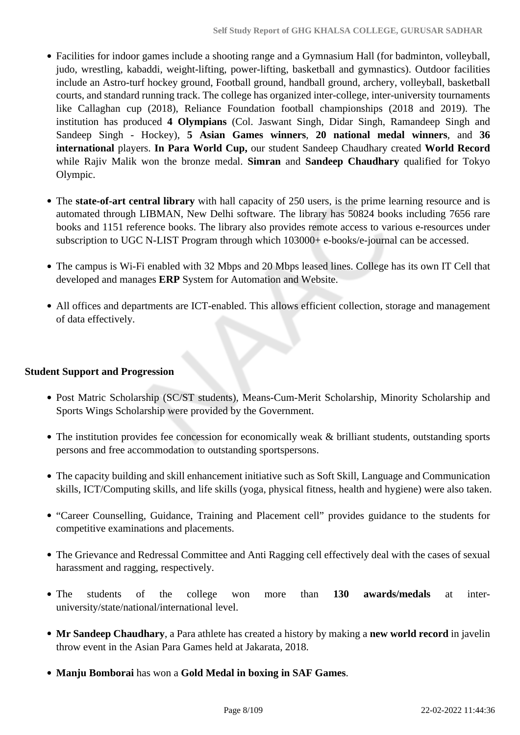- Facilities for indoor games include a shooting range and a Gymnasium Hall (for badminton, volleyball, judo, wrestling, kabaddi, weight-lifting, power-lifting, basketball and gymnastics). Outdoor facilities include an Astro-turf hockey ground, Football ground, handball ground, archery, volleyball, basketball courts, and standard running track. The college has organized inter-college, inter-university tournaments like Callaghan cup (2018), Reliance Foundation football championships (2018 and 2019). The institution has produced **4 Olympians** (Col. Jaswant Singh, Didar Singh, Ramandeep Singh and Sandeep Singh - Hockey), **5 Asian Games winners**, **20 national medal winners**, and **36 international** players. **In Para World Cup,** our student Sandeep Chaudhary created **World Record** while Rajiv Malik won the bronze medal. **Simran** and **Sandeep Chaudhary** qualified for Tokyo Olympic.
- The **state-of-art central library** with hall capacity of 250 users, is the prime learning resource and is automated through LIBMAN, New Delhi software. The library has 50824 books including 7656 rare books and 1151 reference books. The library also provides remote access to various e-resources under subscription to UGC N-LIST Program through which 103000+ e-books/e-journal can be accessed.
- The campus is Wi-Fi enabled with 32 Mbps and 20 Mbps leased lines. College has its own IT Cell that developed and manages **ERP** System for Automation and Website.
- All offices and departments are ICT-enabled. This allows efficient collection, storage and management of data effectively.

### **Student Support and Progression**

- Post Matric Scholarship (SC/ST students), Means-Cum-Merit Scholarship, Minority Scholarship and Sports Wings Scholarship were provided by the Government.
- The institution provides fee concession for economically weak & brilliant students, outstanding sports persons and free accommodation to outstanding sportspersons.
- The capacity building and skill enhancement initiative such as Soft Skill, Language and Communication skills, ICT/Computing skills, and life skills (yoga, physical fitness, health and hygiene) were also taken.
- "Career Counselling, Guidance, Training and Placement cell" provides guidance to the students for competitive examinations and placements.
- The Grievance and Redressal Committee and Anti Ragging cell effectively deal with the cases of sexual harassment and ragging, respectively.
- The students of the college won more than **130 awards/medals** at interuniversity/state/national/international level.
- **Mr Sandeep Chaudhary**, a Para athlete has created a history by making a **new world record** in javelin throw event in the Asian Para Games held at Jakarata, 2018.
- **Manju Bomborai** has won a **Gold Medal in boxing in SAF Games**.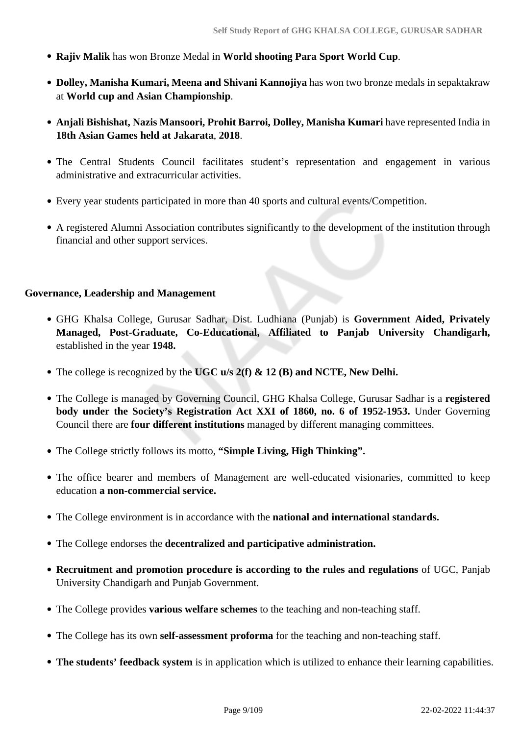- **Rajiv Malik** has won Bronze Medal in **World shooting Para Sport World Cup**.
- **Dolley, Manisha Kumari, Meena and Shivani Kannojiya** has won two bronze medals in sepaktakraw at **World cup and Asian Championship**.
- **Anjali Bishishat, Nazis Mansoori, Prohit Barroi, Dolley, Manisha Kumari** have represented India in **18th Asian Games held at Jakarata**, **2018**.
- The Central Students Council facilitates student's representation and engagement in various administrative and extracurricular activities.
- Every year students participated in more than 40 sports and cultural events/Competition.
- A registered Alumni Association contributes significantly to the development of the institution through financial and other support services.

#### **Governance, Leadership and Management**

- GHG Khalsa College, Gurusar Sadhar, Dist. Ludhiana (Punjab) is **Government Aided, Privately Managed, Post-Graduate, Co-Educational, Affiliated to Panjab University Chandigarh,** established in the year **1948.**
- The college is recognized by the **UGC u/s 2(f) & 12 (B) and NCTE, New Delhi.**
- The College is managed by Governing Council, GHG Khalsa College, Gurusar Sadhar is a **registered body under the Society's Registration Act XXI of 1860, no. 6 of 1952-1953.** Under Governing Council there are **four different institutions** managed by different managing committees.
- The College strictly follows its motto, **"Simple Living, High Thinking".**
- The office bearer and members of Management are well-educated visionaries, committed to keep education **a non-commercial service.**
- The College environment is in accordance with the **national and international standards.**
- The College endorses the **decentralized and participative administration.**
- **Recruitment and promotion procedure is according to the rules and regulations** of UGC, Panjab University Chandigarh and Punjab Government.
- The College provides **various welfare schemes** to the teaching and non-teaching staff.
- The College has its own **self-assessment proforma** for the teaching and non-teaching staff.
- **The students' feedback system** is in application which is utilized to enhance their learning capabilities.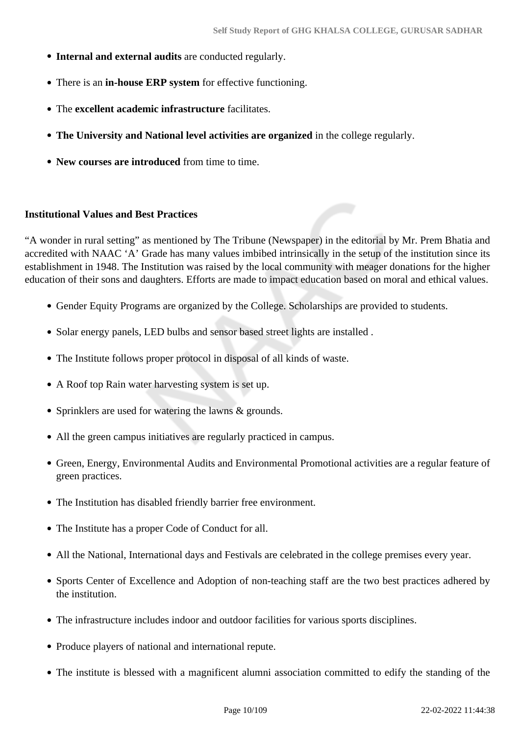- **Internal and external audits** are conducted regularly.
- There is an **in-house ERP system** for effective functioning.
- The **excellent academic infrastructure** facilitates.
- **The University and National level activities are organized** in the college regularly.
- **New courses are introduced** from time to time.

#### **Institutional Values and Best Practices**

"A wonder in rural setting" as mentioned by The Tribune (Newspaper) in the editorial by Mr. Prem Bhatia and accredited with NAAC 'A' Grade has many values imbibed intrinsically in the setup of the institution since its establishment in 1948. The Institution was raised by the local community with meager donations for the higher education of their sons and daughters. Efforts are made to impact education based on moral and ethical values.

- Gender Equity Programs are organized by the College. Scholarships are provided to students.
- Solar energy panels, LED bulbs and sensor based street lights are installed.
- The Institute follows proper protocol in disposal of all kinds of waste.
- A Roof top Rain water harvesting system is set up.
- Sprinklers are used for watering the lawns & grounds.
- All the green campus initiatives are regularly practiced in campus.
- Green, Energy, Environmental Audits and Environmental Promotional activities are a regular feature of green practices.
- The Institution has disabled friendly barrier free environment.
- The Institute has a proper Code of Conduct for all.
- All the National, International days and Festivals are celebrated in the college premises every year.
- Sports Center of Excellence and Adoption of non-teaching staff are the two best practices adhered by the institution.
- The infrastructure includes indoor and outdoor facilities for various sports disciplines.
- Produce players of national and international repute.
- The institute is blessed with a magnificent alumni association committed to edify the standing of the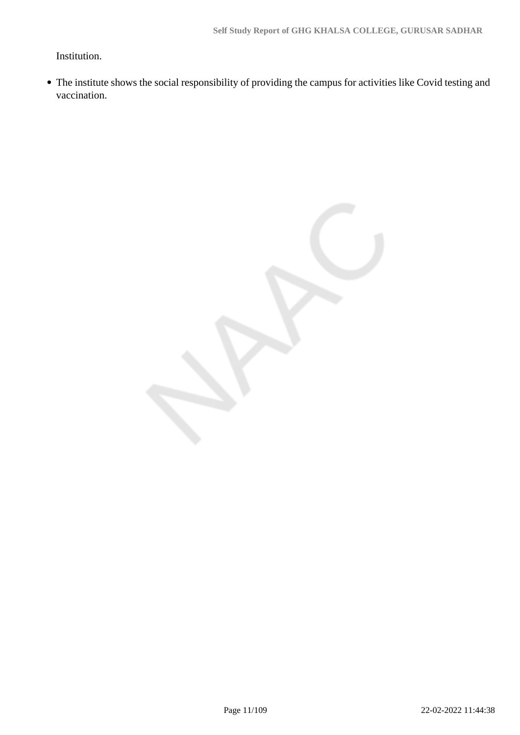Institution.

The institute shows the social responsibility of providing the campus for activities like Covid testing and vaccination.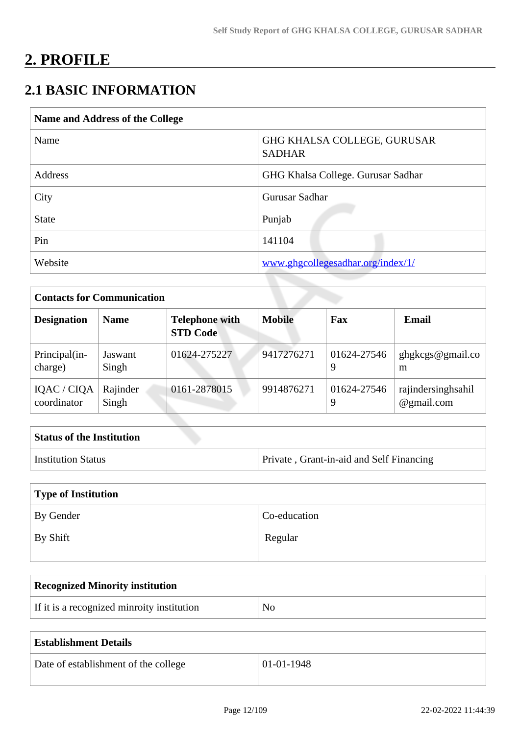# **2. PROFILE**

# **2.1 BASIC INFORMATION**

| Name and Address of the College |                                              |
|---------------------------------|----------------------------------------------|
| Name                            | GHG KHALSA COLLEGE, GURUSAR<br><b>SADHAR</b> |
| Address                         | GHG Khalsa College. Gurusar Sadhar           |
| City                            | Gurusar Sadhar                               |
| <b>State</b>                    | Punjab                                       |
| Pin                             | 141104                                       |
| Website                         | www.ghgcollegesadhar.org/index/1/            |

| <b>Contacts for Communication</b> |                   |                                          |               |                  |                                  |
|-----------------------------------|-------------------|------------------------------------------|---------------|------------------|----------------------------------|
| <b>Designation</b>                | <b>Name</b>       | <b>Telephone with</b><br><b>STD Code</b> | <b>Mobile</b> | Fax              | Email                            |
| Principal(in-<br>charge)          | Jaswant<br>Singh  | 01624-275227                             | 9417276271    | 01624-27546<br>9 | ghgkcgs@gmail.co<br>m            |
| IQAC / CIQA<br>coordinator        | Rajinder<br>Singh | 0161-2878015                             | 9914876271    | 01624-27546<br>9 | rajindersinghsahil<br>@gmail.com |

| <b>Status of the Institution</b> |                                          |
|----------------------------------|------------------------------------------|
| Institution Status               | Private, Grant-in-aid and Self Financing |

| Type of Institution |              |
|---------------------|--------------|
| By Gender           | Co-education |
| By Shift            | Regular      |

| <b>Recognized Minority institution</b>     |                |
|--------------------------------------------|----------------|
| If it is a recognized minroity institution | N <sub>O</sub> |

| <b>Establishment Details</b>         |                  |
|--------------------------------------|------------------|
| Date of establishment of the college | $01 - 01 - 1948$ |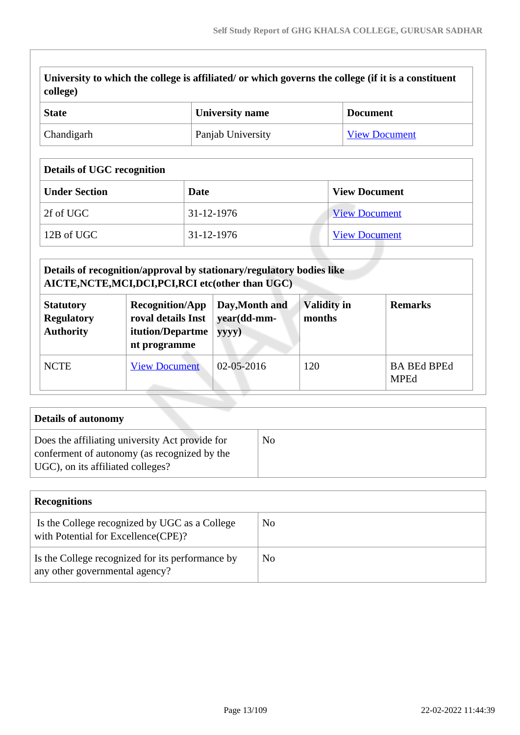| University to which the college is affiliated/ or which governs the college (if it is a constituent |
|-----------------------------------------------------------------------------------------------------|
| $\vert$ college)                                                                                    |

| <b>State</b> | University name   | <b>Document</b>      |
|--------------|-------------------|----------------------|
| Chandigarh   | Panjab University | <b>View Document</b> |

## **Details of UGC recognition**

| <b>Under Section</b> | Date       | <b>View Document</b> |
|----------------------|------------|----------------------|
| 2f of UGC            | 31-12-1976 | <b>View Document</b> |
| 12B of UGC           | 31-12-1976 | <b>View Document</b> |

| Details of recognition/approval by stationary/regulatory bodies like<br>AICTE, NCTE, MCI, DCI, PCI, RCI etc(other than UGC) |                                                                                  |                                        |                              |                                   |
|-----------------------------------------------------------------------------------------------------------------------------|----------------------------------------------------------------------------------|----------------------------------------|------------------------------|-----------------------------------|
| <b>Statutory</b><br><b>Regulatory</b><br><b>Authority</b>                                                                   | <b>Recognition/App</b><br>roval details Inst<br>itution/Departme<br>nt programme | Day, Month and<br>year(dd-mm-<br>yyyy) | <b>Validity in</b><br>months | <b>Remarks</b>                    |
| <b>NCTE</b>                                                                                                                 | <b>View Document</b>                                                             | $02 - 05 - 2016$                       | 120                          | <b>BA BEd BPEd</b><br><b>MPEd</b> |

| Details of autonomy                                                                                                                  |    |
|--------------------------------------------------------------------------------------------------------------------------------------|----|
| Does the affiliating university Act provide for<br>conferment of autonomy (as recognized by the<br>UGC), on its affiliated colleges? | No |

| <b>Recognitions</b>                                                                  |     |
|--------------------------------------------------------------------------------------|-----|
| Is the College recognized by UGC as a College<br>with Potential for Excellence(CPE)? | No  |
| Is the College recognized for its performance by<br>any other governmental agency?   | No. |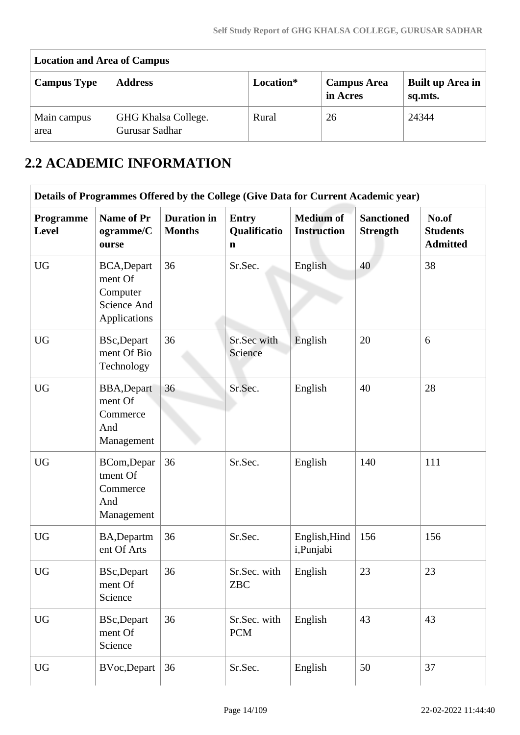| <b>Location and Area of Campus</b> |                                       |           |                                |                                    |  |  |  |  |  |  |
|------------------------------------|---------------------------------------|-----------|--------------------------------|------------------------------------|--|--|--|--|--|--|
| <b>Campus Type</b>                 | <b>Address</b>                        | Location* | <b>Campus Area</b><br>in Acres | <b>Built up Area in</b><br>sq.mts. |  |  |  |  |  |  |
| Main campus<br>area                | GHG Khalsa College.<br>Gurusar Sadhar | Rural     | 26                             | 24344                              |  |  |  |  |  |  |

# **2.2 ACADEMIC INFORMATION**

|                    | Details of Programmes Offered by the College (Give Data for Current Academic year) |                                     |                                             |                                        |                                      |                                             |
|--------------------|------------------------------------------------------------------------------------|-------------------------------------|---------------------------------------------|----------------------------------------|--------------------------------------|---------------------------------------------|
| Programme<br>Level | Name of Pr<br>ogramme/C<br>ourse                                                   | <b>Duration</b> in<br><b>Months</b> | <b>Entry</b><br>Qualificatio<br>$\mathbf n$ | <b>Medium of</b><br><b>Instruction</b> | <b>Sanctioned</b><br><b>Strength</b> | No.of<br><b>Students</b><br><b>Admitted</b> |
| <b>UG</b>          | BCA, Depart<br>ment Of<br>Computer<br>Science And<br>Applications                  | 36                                  | Sr.Sec.                                     | English                                | 40                                   | 38                                          |
| <b>UG</b>          | <b>BSc,Depart</b><br>ment Of Bio<br>Technology                                     | 36                                  | Sr.Sec with<br>Science                      | English                                | 20                                   | 6                                           |
| <b>UG</b>          | <b>BBA, Depart</b><br>ment Of<br>Commerce<br>And<br>Management                     | 36                                  | Sr.Sec.                                     | English                                | 40                                   | 28                                          |
| <b>UG</b>          | BCom, Depar<br>tment Of<br>Commerce<br>And<br>Management                           | 36                                  | Sr.Sec.                                     | English                                | 140                                  | 111                                         |
| <b>UG</b>          | BA, Departm<br>ent Of Arts                                                         | 36                                  | Sr.Sec.                                     | English, Hind<br>i,Punjabi             | 156                                  | 156                                         |
| <b>UG</b>          | <b>BSc,Depart</b><br>ment Of<br>Science                                            | 36                                  | Sr.Sec. with<br>ZBC                         | English                                | 23                                   | 23                                          |
| <b>UG</b>          | <b>BSc,Depart</b><br>ment Of<br>Science                                            | 36                                  | Sr.Sec. with<br><b>PCM</b>                  | English                                | 43                                   | 43                                          |
| <b>UG</b>          | <b>BVoc,Depart</b>                                                                 | 36                                  | Sr.Sec.                                     | English                                | 50                                   | 37                                          |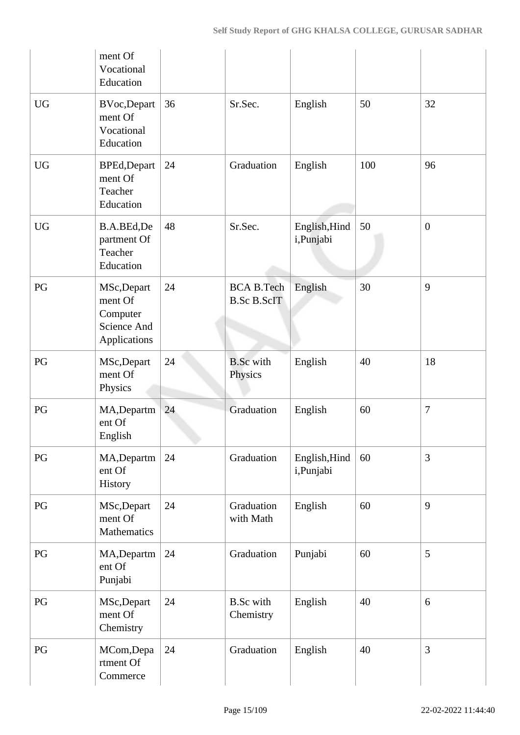|                        | ment Of<br>Vocational<br>Education                                |    |                                         |                            |     |                |
|------------------------|-------------------------------------------------------------------|----|-----------------------------------------|----------------------------|-----|----------------|
| <b>UG</b>              | <b>BVoc,Depart</b><br>ment Of<br>Vocational<br>Education          | 36 | Sr.Sec.                                 | English                    | 50  | 32             |
| <b>UG</b>              | BPEd, Depart<br>ment Of<br>Teacher<br>Education                   | 24 | Graduation                              | English                    | 100 | 96             |
| <b>UG</b>              | B.A.BEd,De<br>partment Of<br>Teacher<br>Education                 | 48 | Sr.Sec.                                 | English, Hind<br>i,Punjabi | 50  | $\overline{0}$ |
| PG                     | MSc, Depart<br>ment Of<br>Computer<br>Science And<br>Applications | 24 | <b>BCA B.Tech</b><br><b>B.Sc B.ScIT</b> | English                    | 30  | 9              |
| PG                     | MSc, Depart<br>ment Of<br>Physics                                 | 24 | <b>B.Sc</b> with<br>Physics             | English                    | 40  | 18             |
| PG                     | MA, Departm<br>ent Of<br>English                                  | 24 | Graduation                              | English                    | 60  | 7              |
| $\mathbf{P}\mathbf{G}$ | MA, Departm<br>ent Of<br>History                                  | 24 | Graduation                              | English, Hind<br>i,Punjabi | 60  | 3              |
| PG                     | MSc, Depart<br>ment Of<br>Mathematics                             | 24 | Graduation<br>with Math                 | English                    | 60  | 9              |
| $\mathbf{P}\mathbf{G}$ | MA, Departm<br>ent Of<br>Punjabi                                  | 24 | Graduation                              | Punjabi                    | 60  | 5              |
| PG                     | MSc, Depart<br>ment Of<br>Chemistry                               | 24 | <b>B.Sc</b> with<br>Chemistry           | English                    | 40  | 6              |
| PG                     | MCom, Depa<br>rtment Of<br>Commerce                               | 24 | Graduation                              | English                    | 40  | 3              |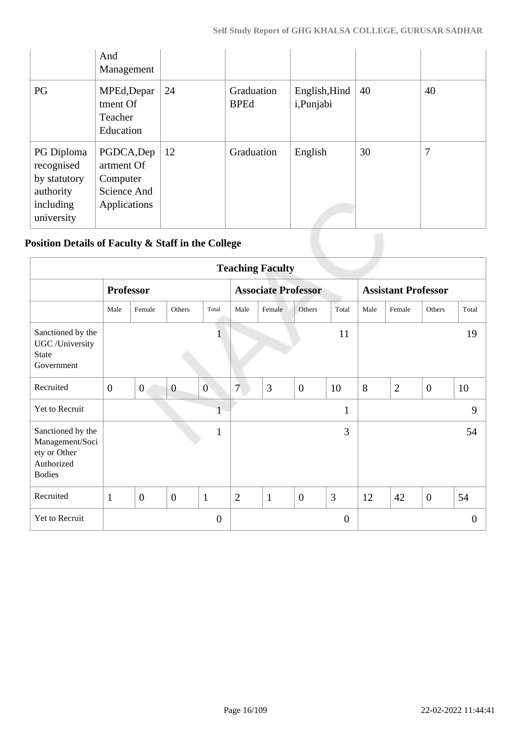|                                                                                  | And<br>Management                                                   |    |                           |                             |    |    |
|----------------------------------------------------------------------------------|---------------------------------------------------------------------|----|---------------------------|-----------------------------|----|----|
| PG                                                                               | MPEd, Depar<br>tment Of<br>Teacher<br>Education                     | 24 | Graduation<br><b>BPEd</b> | English, Hind<br>i, Punjabi | 40 | 40 |
| PG Diploma<br>recognised<br>by statutory<br>authority<br>including<br>university | PGDCA, Dep<br>artment Of<br>Computer<br>Science And<br>Applications | 12 | Graduation                | English                     | 30 | 7  |
|                                                                                  | Position Details of Faculty & Staff in the College                  |    |                           |                             |    |    |

## **Position Details of Faculty & Staff in the College**

|                                                                                     | <b>Teaching Faculty</b> |                  |                |                  |                |                            |                |                |                            |                |                |                |
|-------------------------------------------------------------------------------------|-------------------------|------------------|----------------|------------------|----------------|----------------------------|----------------|----------------|----------------------------|----------------|----------------|----------------|
|                                                                                     |                         | <b>Professor</b> |                |                  |                | <b>Associate Professor</b> |                |                | <b>Assistant Professor</b> |                |                |                |
|                                                                                     | Male                    | Female           | Others         | Total            | Male           | Female                     | Others         | Total          | Male                       | Female         | Others         | Total          |
| Sanctioned by the<br>UGC /University<br><b>State</b><br>Government                  |                         |                  |                |                  |                |                            |                | 11             |                            |                |                | 19             |
| Recruited                                                                           | $\overline{0}$          | $\overline{0}$   | $\overline{0}$ | $\boldsymbol{0}$ | $\overline{7}$ | 3                          | $\overline{0}$ | 10             | 8                          | $\overline{2}$ | $\overline{0}$ | 10             |
| Yet to Recruit                                                                      |                         |                  |                | T                |                |                            |                | $\mathbf{1}$   |                            |                |                | 9              |
| Sanctioned by the<br>Management/Soci<br>ety or Other<br>Authorized<br><b>Bodies</b> |                         |                  |                | $\mathbf{1}$     |                |                            |                | 3              |                            |                |                | 54             |
| Recruited                                                                           | $\mathbf{1}$            | $\overline{0}$   | $\overline{0}$ | $\mathbf{1}$     | $\overline{2}$ | $\mathbf{1}$               | $\overline{0}$ | $\overline{3}$ | 12                         | 42             | $\overline{0}$ | 54             |
| Yet to Recruit                                                                      |                         |                  |                | $\overline{0}$   |                |                            |                | $\overline{0}$ |                            |                |                | $\overline{0}$ |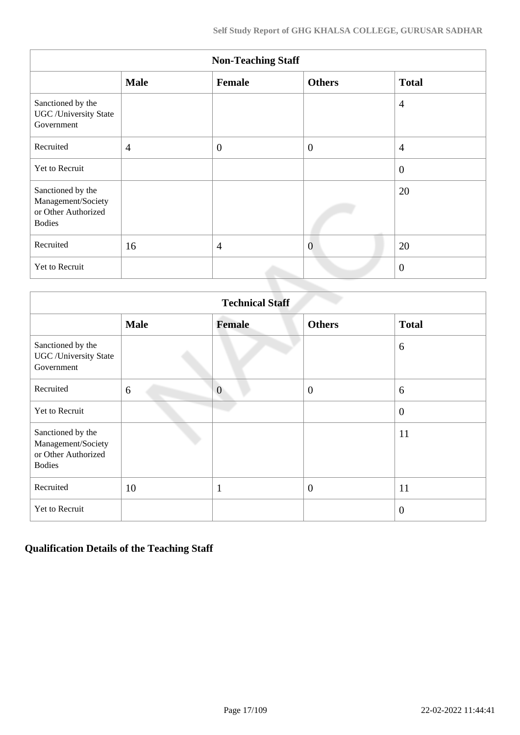|                                                                                 | <b>Non-Teaching Staff</b> |                |                |                |  |  |  |  |  |  |  |
|---------------------------------------------------------------------------------|---------------------------|----------------|----------------|----------------|--|--|--|--|--|--|--|
|                                                                                 | <b>Male</b>               | Female         | <b>Others</b>  | <b>Total</b>   |  |  |  |  |  |  |  |
| Sanctioned by the<br><b>UGC</b> / University State<br>Government                |                           |                |                | $\overline{4}$ |  |  |  |  |  |  |  |
| Recruited                                                                       | $\overline{4}$            | $\overline{0}$ | $\overline{0}$ | $\overline{4}$ |  |  |  |  |  |  |  |
| Yet to Recruit                                                                  |                           |                |                | $\overline{0}$ |  |  |  |  |  |  |  |
| Sanctioned by the<br>Management/Society<br>or Other Authorized<br><b>Bodies</b> |                           |                |                | 20             |  |  |  |  |  |  |  |
| Recruited                                                                       | 16                        | $\overline{4}$ | $\overline{0}$ | 20             |  |  |  |  |  |  |  |
| Yet to Recruit                                                                  |                           |                |                | $\overline{0}$ |  |  |  |  |  |  |  |

|                                                                                 | <b>Technical Staff</b> |                |                  |                |  |  |  |  |  |  |  |
|---------------------------------------------------------------------------------|------------------------|----------------|------------------|----------------|--|--|--|--|--|--|--|
|                                                                                 | <b>Male</b>            | <b>Female</b>  | <b>Others</b>    | <b>Total</b>   |  |  |  |  |  |  |  |
| Sanctioned by the<br><b>UGC</b> / University State<br>Government                |                        |                |                  | 6              |  |  |  |  |  |  |  |
| Recruited                                                                       | 6                      | $\overline{0}$ | $\overline{0}$   | 6              |  |  |  |  |  |  |  |
| Yet to Recruit                                                                  |                        |                |                  | $\overline{0}$ |  |  |  |  |  |  |  |
| Sanctioned by the<br>Management/Society<br>or Other Authorized<br><b>Bodies</b> |                        |                |                  | 11             |  |  |  |  |  |  |  |
| Recruited                                                                       | 10                     | $\mathbf{1}$   | $\boldsymbol{0}$ | 11             |  |  |  |  |  |  |  |
| Yet to Recruit                                                                  |                        |                |                  | $\overline{0}$ |  |  |  |  |  |  |  |

## **Qualification Details of the Teaching Staff**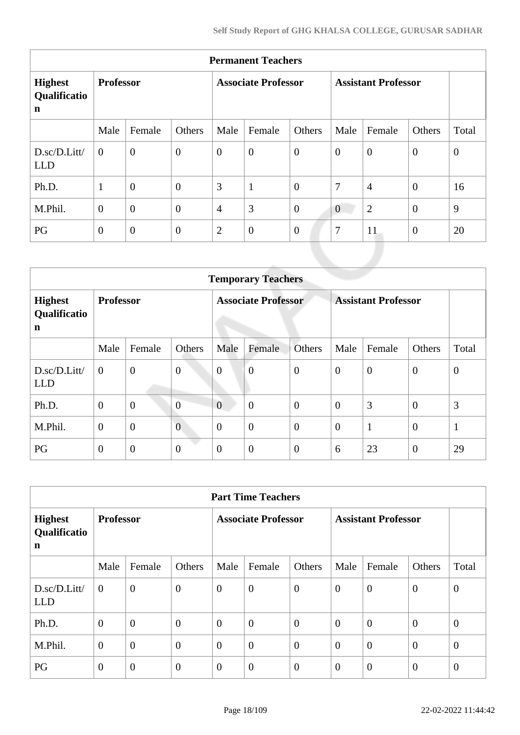| <b>Permanent Teachers</b>                     |                  |                  |                  |                            |                  |                  |                            |                |                |          |  |  |
|-----------------------------------------------|------------------|------------------|------------------|----------------------------|------------------|------------------|----------------------------|----------------|----------------|----------|--|--|
| <b>Highest</b><br>Qualificatio<br>$\mathbf n$ | <b>Professor</b> |                  |                  | <b>Associate Professor</b> |                  |                  | <b>Assistant Professor</b> |                |                |          |  |  |
|                                               | Male             | Female           | Others           | Male                       | Female           | Others           | Male                       | Female         | Others         | Total    |  |  |
| D.sc/D.Litt/<br><b>LLD</b>                    | $\theta$         | $\boldsymbol{0}$ | $\mathbf{0}$     | $\overline{0}$             | $\boldsymbol{0}$ | $\boldsymbol{0}$ | $\boldsymbol{0}$           | $\overline{0}$ | $\overline{0}$ | $\theta$ |  |  |
| Ph.D.                                         | $\mathbf{1}$     | $\overline{0}$   | $\overline{0}$   | 3                          | $\mathbf{1}$     | $\overline{0}$   | $\tau$                     | $\overline{4}$ | $\theta$       | 16       |  |  |
| M.Phil.                                       | $\overline{0}$   | $\overline{0}$   | $\boldsymbol{0}$ | $\overline{4}$             | 3                | $\boldsymbol{0}$ | $\overline{0}$             | $\overline{2}$ | $\overline{0}$ | 9        |  |  |
| PG                                            | $\Omega$         | $\overline{0}$   | $\boldsymbol{0}$ | $\overline{2}$             | $\boldsymbol{0}$ | $\overline{0}$   | $\overline{7}$             | 11             | $\overline{0}$ | 20       |  |  |

|                                           | <b>Temporary Teachers</b> |                |                  |                  |                            |                  |                  |                            |                  |                  |  |
|-------------------------------------------|---------------------------|----------------|------------------|------------------|----------------------------|------------------|------------------|----------------------------|------------------|------------------|--|
| <b>Highest</b><br>Qualificatio<br>n       | <b>Professor</b>          |                |                  |                  | <b>Associate Professor</b> |                  |                  | <b>Assistant Professor</b> |                  |                  |  |
|                                           | Male                      | Female         | Others           | Male             | Female                     | Others           | Male             | Female                     | Others           | Total            |  |
| $D.\text{sc}/D.\text{Litt}$<br><b>LLD</b> | $\mathbf{0}$              | $\overline{0}$ | $\boldsymbol{0}$ | $\boldsymbol{0}$ | $\overline{0}$             | $\mathbf{0}$     | $\boldsymbol{0}$ | $\theta$                   | $\mathbf{0}$     | $\boldsymbol{0}$ |  |
| Ph.D.                                     | $\overline{0}$            | $\mathbf{0}$   | $\overline{0}$   | $\overline{0}$   | $\overline{0}$             | $\mathbf{0}$     | $\theta$         | 3                          | $\mathbf{0}$     | 3                |  |
| M.Phil.                                   | $\theta$                  | $\mathbf{0}$   | $\overline{0}$   | $\overline{0}$   | $\boldsymbol{0}$           | $\boldsymbol{0}$ | $\overline{0}$   | $\mathbf{1}$               | $\overline{0}$   | $\mathbf{1}$     |  |
| PG                                        | $\mathbf{0}$              | $\mathbf{0}$   | $\boldsymbol{0}$ | $\theta$         | $\boldsymbol{0}$           | $\mathbf{0}$     | 6                | 23                         | $\boldsymbol{0}$ | 29               |  |

| <b>Part Time Teachers</b>           |                  |                |                |                            |                  |                |                            |                  |                  |                |
|-------------------------------------|------------------|----------------|----------------|----------------------------|------------------|----------------|----------------------------|------------------|------------------|----------------|
| <b>Highest</b><br>Qualificatio<br>n | <b>Professor</b> |                |                | <b>Associate Professor</b> |                  |                | <b>Assistant Professor</b> |                  |                  |                |
|                                     | Male             | Female         | Others         | Male                       | Female           | Others         | Male                       | Female           | Others           | Total          |
| D.sc/D.Litt/<br><b>LLD</b>          | $\theta$         | $\overline{0}$ | $\overline{0}$ | $\overline{0}$             | $\boldsymbol{0}$ | $\theta$       | $\overline{0}$             | $\overline{0}$   | $\overline{0}$   | $\overline{0}$ |
| Ph.D.                               | $\overline{0}$   | $\overline{0}$ | $\overline{0}$ | $\boldsymbol{0}$           | $\boldsymbol{0}$ | $\overline{0}$ | $\overline{0}$             | $\overline{0}$   | $\theta$         | $\overline{0}$ |
| M.Phil.                             | $\theta$         | $\overline{0}$ | $\overline{0}$ | $\overline{0}$             | $\overline{0}$   | $\overline{0}$ | $\overline{0}$             | $\overline{0}$   | $\overline{0}$   | $\overline{0}$ |
| PG                                  | $\overline{0}$   | $\overline{0}$ | $\overline{0}$ | $\boldsymbol{0}$           | $\boldsymbol{0}$ | $\theta$       | $\overline{0}$             | $\boldsymbol{0}$ | $\boldsymbol{0}$ | $\overline{0}$ |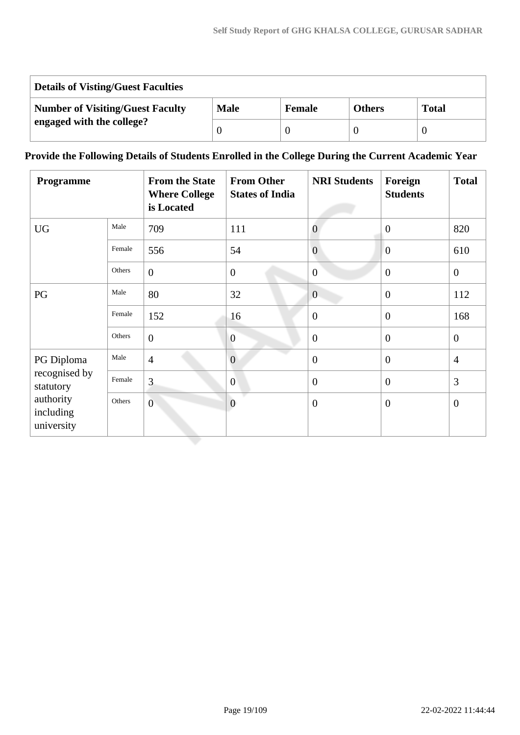| <b>Details of Visting/Guest Faculties</b> |             |               |               |              |  |  |  |  |
|-------------------------------------------|-------------|---------------|---------------|--------------|--|--|--|--|
| <b>Number of Visiting/Guest Faculty</b>   | <b>Male</b> | <b>Female</b> | <b>Others</b> | <b>Total</b> |  |  |  |  |
| engaged with the college?                 |             |               |               |              |  |  |  |  |

## **Provide the Following Details of Students Enrolled in the College During the Current Academic Year**

| <b>Programme</b>                     |        | <b>From the State</b><br><b>Where College</b><br>is Located | <b>From Other</b><br><b>States of India</b> | <b>NRI Students</b> | Foreign<br><b>Students</b> | <b>Total</b>   |
|--------------------------------------|--------|-------------------------------------------------------------|---------------------------------------------|---------------------|----------------------------|----------------|
| <b>UG</b>                            | Male   | 709                                                         | 111                                         | $\overline{0}$      | $\overline{0}$             | 820            |
|                                      | Female | 556                                                         | 54                                          | $\overline{0}$      | $\overline{0}$             | 610            |
|                                      | Others | $\boldsymbol{0}$                                            | $\overline{0}$                              | $\overline{0}$      | $\overline{0}$             | $\mathbf{0}$   |
| PG                                   | Male   | 80                                                          | 32                                          | $\overline{0}$      | $\overline{0}$             | 112            |
|                                      | Female | 152                                                         | 16                                          | $\overline{0}$      | $\overline{0}$             | 168            |
|                                      | Others | $\overline{0}$                                              | $\overline{0}$                              | $\overline{0}$      | $\overline{0}$             | $\overline{0}$ |
| PG Diploma                           | Male   | $\overline{4}$                                              | $\overline{0}$                              | $\overline{0}$      | $\overline{0}$             | $\overline{4}$ |
| recognised by<br>statutory           | Female | 3                                                           | $\overline{0}$                              | $\overline{0}$      | $\overline{0}$             | 3              |
| authority<br>including<br>university | Others | $\overline{0}$                                              | $\overline{0}$                              | $\overline{0}$      | $\overline{0}$             | $\overline{0}$ |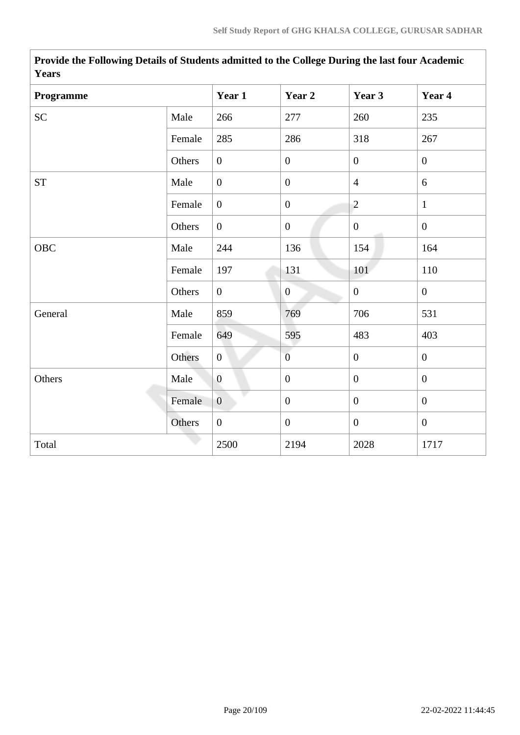| 1 tal 5    |        |                |                  |                  |                  |
|------------|--------|----------------|------------------|------------------|------------------|
| Programme  |        | Year 1         | Year 2           | Year 3           | Year 4           |
| <b>SC</b>  | Male   | 266            | 277              | 260              | 235              |
|            | Female | 285            | 286              | 318              | 267              |
|            | Others | $\overline{0}$ | $\boldsymbol{0}$ | $\overline{0}$   | $\overline{0}$   |
| <b>ST</b>  | Male   | $\overline{0}$ | $\boldsymbol{0}$ | $\overline{4}$   | 6                |
|            | Female | $\overline{0}$ | $\boldsymbol{0}$ | $\overline{c}$   | $\mathbf{1}$     |
|            | Others | $\overline{0}$ | $\boldsymbol{0}$ | $\overline{0}$   | $\boldsymbol{0}$ |
| <b>OBC</b> | Male   | 244            | 136              | 154              | 164              |
|            | Female | 197            | 131              | 101              | 110              |
|            | Others | $\overline{0}$ | $\overline{0}$   | $\boldsymbol{0}$ | $\boldsymbol{0}$ |
| General    | Male   | 859            | 769              | 706              | 531              |
|            | Female | 649            | 595              | 483              | 403              |
|            | Others | $\overline{0}$ | $\overline{0}$   | $\boldsymbol{0}$ | $\boldsymbol{0}$ |
| Others     | Male   | $\overline{0}$ | $\mathbf{0}$     | $\overline{0}$   | $\mathbf{0}$     |
|            | Female | $\overline{0}$ | $\boldsymbol{0}$ | $\overline{0}$   | $\mathbf{0}$     |
|            | Others | $\overline{0}$ | $\mathbf{0}$     | $\overline{0}$   | $\mathbf{0}$     |
| Total      |        | 2500           | 2194             | 2028             | 1717             |

**Provide the Following Details of Students admitted to the College During the last four Academic Years**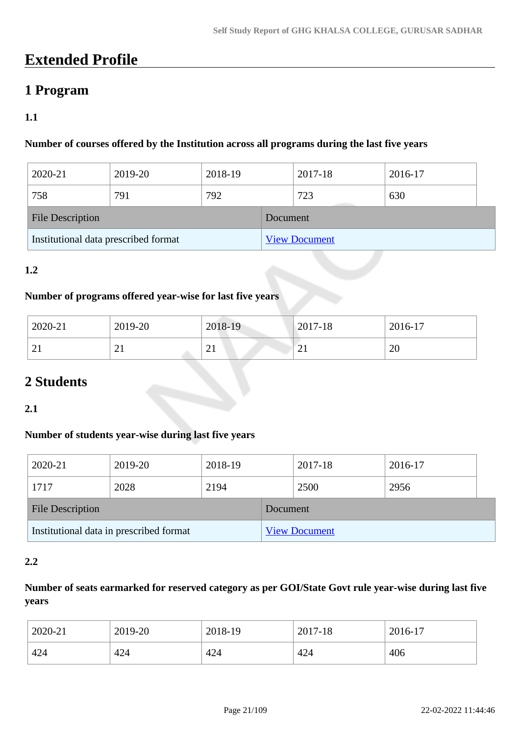# **Extended Profile**

## **1 Program**

## **1.1**

## **Number of courses offered by the Institution across all programs during the last five years**

| 2020-21                              | 2019-20 | 2018-19  |                      | 2017-18 | 2016-17 |  |
|--------------------------------------|---------|----------|----------------------|---------|---------|--|
| 758                                  | 791     | 792      |                      | 723     | 630     |  |
| <b>File Description</b>              |         | Document |                      |         |         |  |
| Institutional data prescribed format |         |          | <b>View Document</b> |         |         |  |

## **1.2**

### **Number of programs offered year-wise for last five years**

| 2020-21       | 2019-20  | 2018-19                   | $2017 - 18$ | 2016-17 |
|---------------|----------|---------------------------|-------------|---------|
| ⌒<br>$\angle$ | $\sim$ 1 | $\sim$<br>$\overline{21}$ | $\sim$ 1    | 20      |

## **2 Students**

## **2.1**

## **Number of students year-wise during last five years**

| 2020-21                                 | 2019-20 | 2018-19 |                      | 2017-18 | 2016-17 |  |
|-----------------------------------------|---------|---------|----------------------|---------|---------|--|
| 1717                                    | 2028    | 2194    |                      | 2500    | 2956    |  |
| <b>File Description</b>                 |         |         | Document             |         |         |  |
| Institutional data in prescribed format |         |         | <b>View Document</b> |         |         |  |

## **2.2**

## **Number of seats earmarked for reserved category as per GOI/State Govt rule year-wise during last five years**

| 2020-21 | 2019-20 | 2018-19 | 2017-18 | 2016-17 |
|---------|---------|---------|---------|---------|
| 424     | 424     | 424     | 424     | 406     |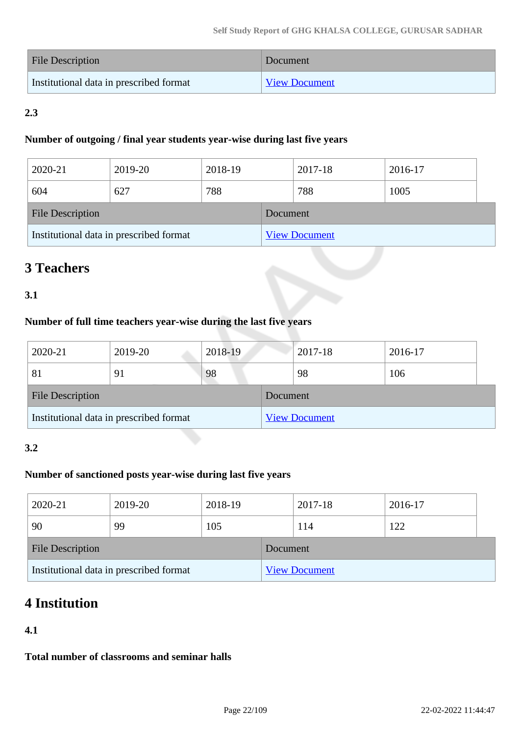| <b>File Description</b>                 | Document             |
|-----------------------------------------|----------------------|
| Institutional data in prescribed format | <b>View Document</b> |

## **2.3**

## **Number of outgoing / final year students year-wise during last five years**

| 2020-21                                 | 2019-20 | 2018-19 |          | 2017-18              | 2016-17 |  |
|-----------------------------------------|---------|---------|----------|----------------------|---------|--|
| 604                                     | 627     | 788     |          | 788                  | 1005    |  |
| <b>File Description</b>                 |         |         | Document |                      |         |  |
| Institutional data in prescribed format |         |         |          | <b>View Document</b> |         |  |

# **3 Teachers**

## **3.1**

## **Number of full time teachers year-wise during the last five years**

| 2020-21                                 | 2019-20 | 2018-19 |          | 2017-18              | 2016-17 |
|-----------------------------------------|---------|---------|----------|----------------------|---------|
| 81                                      | 91      | 98      |          | 98                   | 106     |
| <b>File Description</b>                 |         |         | Document |                      |         |
| Institutional data in prescribed format |         |         |          | <b>View Document</b> |         |

## **3.2**

## **Number of sanctioned posts year-wise during last five years**

| 2020-21                                 | 2019-20 | 2018-19  |                      | 2017-18 |  | 2016-17 |  |
|-----------------------------------------|---------|----------|----------------------|---------|--|---------|--|
| 90                                      | 99      | 105      |                      | 114     |  | 122     |  |
| <b>File Description</b>                 |         | Document |                      |         |  |         |  |
| Institutional data in prescribed format |         |          | <b>View Document</b> |         |  |         |  |

# **4 Institution**

## **4.1**

**Total number of classrooms and seminar halls**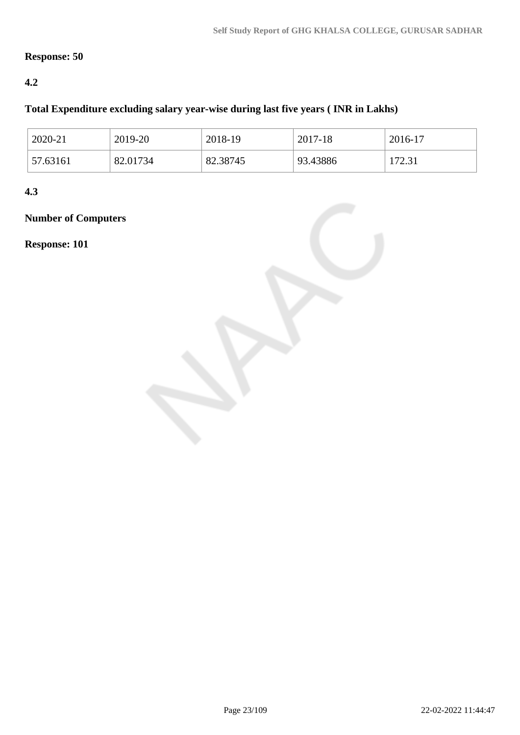## **Response: 50**

## **4.2**

## **Total Expenditure excluding salary year-wise during last five years ( INR in Lakhs)**

| 2020-21  | 2019-20  | 2018-19  | 2017-18  | 2016-17       |
|----------|----------|----------|----------|---------------|
| 57.63161 | 82.01734 | 82.38745 | 93.43886 | 172.31<br>ا ک |

**4.3**

# **Number of Computers**

**Response: 101**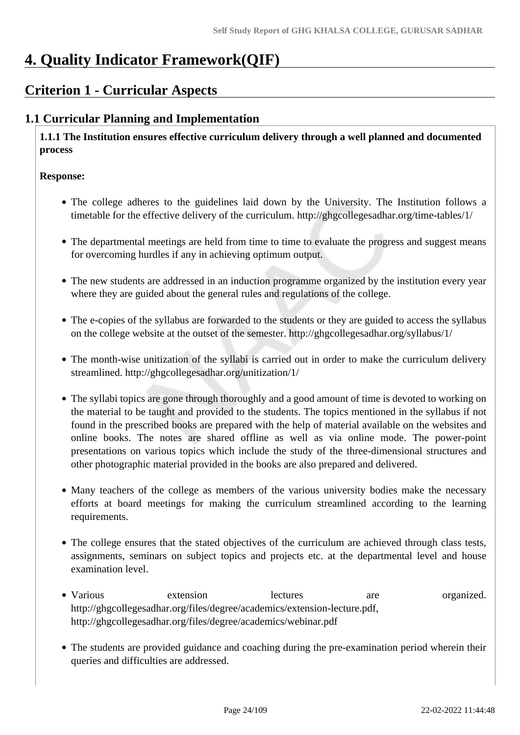# **4. Quality Indicator Framework(QIF)**

## **Criterion 1 - Curricular Aspects**

## **1.1 Curricular Planning and Implementation**

 **1.1.1 The Institution ensures effective curriculum delivery through a well planned and documented process**

#### **Response:**

- The college adheres to the guidelines laid down by the University. The Institution follows a timetable for the effective delivery of the curriculum. http://ghgcollegesadhar.org/time-tables/1/
- The departmental meetings are held from time to time to evaluate the progress and suggest means for overcoming hurdles if any in achieving optimum output.
- The new students are addressed in an induction programme organized by the institution every year where they are guided about the general rules and regulations of the college.
- The e-copies of the syllabus are forwarded to the students or they are guided to access the syllabus on the college website at the outset of the semester. http://ghgcollegesadhar.org/syllabus/1/
- The month-wise unitization of the syllabi is carried out in order to make the curriculum delivery streamlined. http://ghgcollegesadhar.org/unitization/1/
- The syllabi topics are gone through thoroughly and a good amount of time is devoted to working on the material to be taught and provided to the students. The topics mentioned in the syllabus if not found in the prescribed books are prepared with the help of material available on the websites and online books. The notes are shared offline as well as via online mode. The power-point presentations on various topics which include the study of the three-dimensional structures and other photographic material provided in the books are also prepared and delivered.
- Many teachers of the college as members of the various university bodies make the necessary efforts at board meetings for making the curriculum streamlined according to the learning requirements.
- The college ensures that the stated objectives of the curriculum are achieved through class tests, assignments, seminars on subject topics and projects etc. at the departmental level and house examination level.
- Various extension lectures are organized. http://ghgcollegesadhar.org/files/degree/academics/extension-lecture.pdf, http://ghgcollegesadhar.org/files/degree/academics/webinar.pdf
- The students are provided guidance and coaching during the pre-examination period wherein their queries and difficulties are addressed.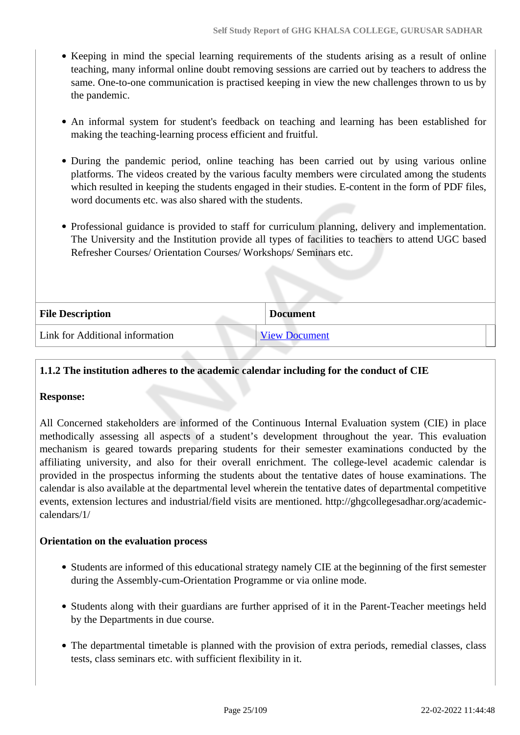- Keeping in mind the special learning requirements of the students arising as a result of online teaching, many informal online doubt removing sessions are carried out by teachers to address the same. One-to-one communication is practised keeping in view the new challenges thrown to us by the pandemic.
- An informal system for student's feedback on teaching and learning has been established for making the teaching-learning process efficient and fruitful.
- During the pandemic period, online teaching has been carried out by using various online platforms. The videos created by the various faculty members were circulated among the students which resulted in keeping the students engaged in their studies. E-content in the form of PDF files, word documents etc. was also shared with the students.
- Professional guidance is provided to staff for curriculum planning, delivery and implementation. The University and the Institution provide all types of facilities to teachers to attend UGC based Refresher Courses/ Orientation Courses/ Workshops/ Seminars etc.

| <b>File Description</b>         | <b>Document</b>      |  |
|---------------------------------|----------------------|--|
| Link for Additional information | <b>View Document</b> |  |

### **1.1.2 The institution adheres to the academic calendar including for the conduct of CIE**

#### **Response:**

All Concerned stakeholders are informed of the Continuous Internal Evaluation system (CIE) in place methodically assessing all aspects of a student's development throughout the year. This evaluation mechanism is geared towards preparing students for their semester examinations conducted by the affiliating university, and also for their overall enrichment. The college-level academic calendar is provided in the prospectus informing the students about the tentative dates of house examinations. The calendar is also available at the departmental level wherein the tentative dates of departmental competitive events, extension lectures and industrial/field visits are mentioned. http://ghgcollegesadhar.org/academiccalendars/1/

#### **Orientation on the evaluation process**

- Students are informed of this educational strategy namely CIE at the beginning of the first semester during the Assembly-cum-Orientation Programme or via online mode.
- Students along with their guardians are further apprised of it in the Parent-Teacher meetings held by the Departments in due course.
- The departmental timetable is planned with the provision of extra periods, remedial classes, class tests, class seminars etc. with sufficient flexibility in it.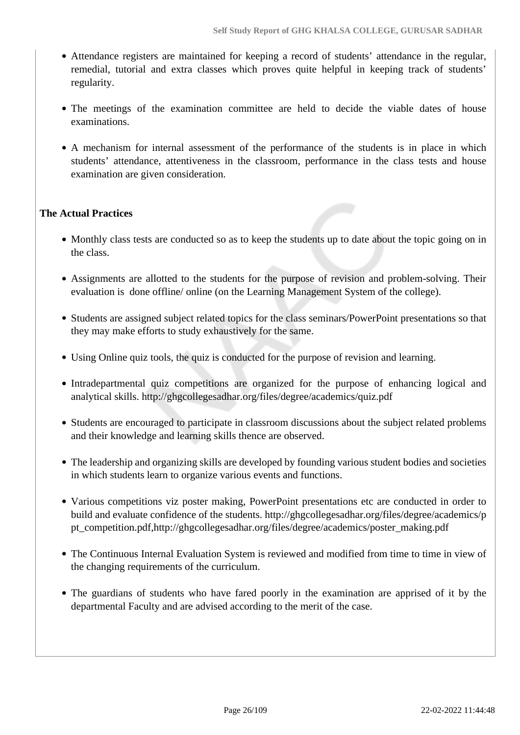- Attendance registers are maintained for keeping a record of students' attendance in the regular, remedial, tutorial and extra classes which proves quite helpful in keeping track of students' regularity.
- The meetings of the examination committee are held to decide the viable dates of house examinations.
- A mechanism for internal assessment of the performance of the students is in place in which students' attendance, attentiveness in the classroom, performance in the class tests and house examination are given consideration.

## **The Actual Practices**

- Monthly class tests are conducted so as to keep the students up to date about the topic going on in the class.
- Assignments are allotted to the students for the purpose of revision and problem-solving. Their evaluation is done offline/ online (on the Learning Management System of the college).
- Students are assigned subject related topics for the class seminars/PowerPoint presentations so that they may make efforts to study exhaustively for the same.
- Using Online quiz tools, the quiz is conducted for the purpose of revision and learning.
- Intradepartmental quiz competitions are organized for the purpose of enhancing logical and analytical skills. http://ghgcollegesadhar.org/files/degree/academics/quiz.pdf
- Students are encouraged to participate in classroom discussions about the subject related problems and their knowledge and learning skills thence are observed.
- The leadership and organizing skills are developed by founding various student bodies and societies in which students learn to organize various events and functions.
- Various competitions viz poster making, PowerPoint presentations etc are conducted in order to build and evaluate confidence of the students. http://ghgcollegesadhar.org/files/degree/academics/p pt\_competition.pdf,http://ghgcollegesadhar.org/files/degree/academics/poster\_making.pdf
- The Continuous Internal Evaluation System is reviewed and modified from time to time in view of the changing requirements of the curriculum.
- The guardians of students who have fared poorly in the examination are apprised of it by the departmental Faculty and are advised according to the merit of the case.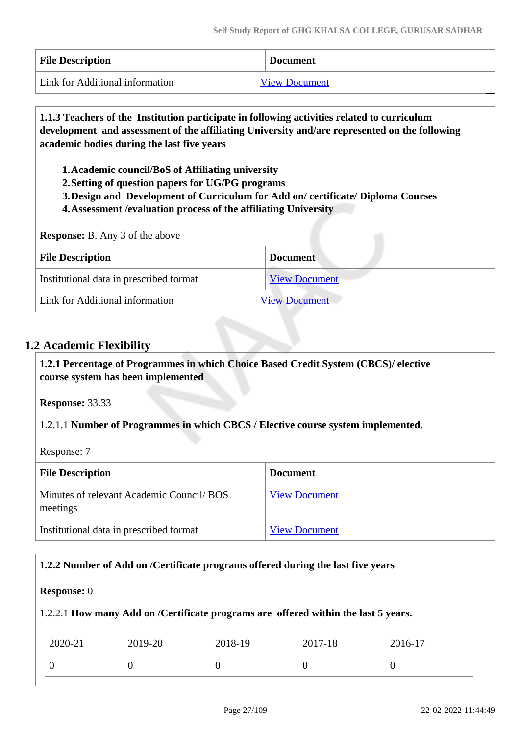| <b>File Description</b>         | <b>Document</b>      |
|---------------------------------|----------------------|
| Link for Additional information | <b>View Document</b> |

 **1.1.3 Teachers of the Institution participate in following activities related to curriculum development and assessment of the affiliating University and/are represented on the following academic bodies during the last five years** 

**1.Academic council/BoS of Affiliating university**

**2.Setting of question papers for UG/PG programs** 

**3.Design and Development of Curriculum for Add on/ certificate/ Diploma Courses** 

**4.Assessment /evaluation process of the affiliating University**

**Response:** B. Any 3 of the above

| <b>File Description</b>                 | <b>Document</b>      |
|-----------------------------------------|----------------------|
| Institutional data in prescribed format | <b>View Document</b> |
| Link for Additional information         | <b>View Document</b> |

## **1.2 Academic Flexibility**

 **1.2.1 Percentage of Programmes in which Choice Based Credit System (CBCS)/ elective course system has been implemented** 

**Response:** 33.33

1.2.1.1 **Number of Programmes in which CBCS / Elective course system implemented.**

Response: 7

| <b>File Description</b>                              | <b>Document</b>      |
|------------------------------------------------------|----------------------|
| Minutes of relevant Academic Council/BOS<br>meetings | <b>View Document</b> |
| Institutional data in prescribed format              | <b>View Document</b> |

### **1.2.2 Number of Add on /Certificate programs offered during the last five years**

#### **Response:** 0

1.2.2.1 **How many Add on /Certificate programs are offered within the last 5 years.**

| 2020-21 | 2019-20 | 2018-19 | 2017-18 | 2016-17 |
|---------|---------|---------|---------|---------|
|         | U       |         | ν       | ν       |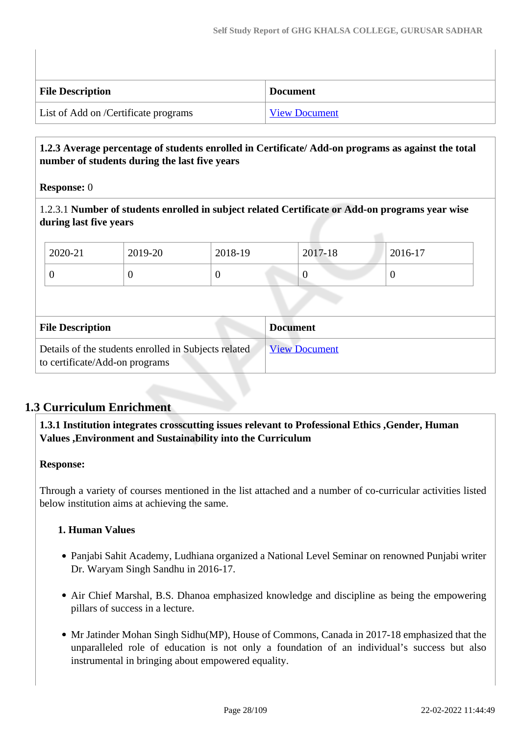| <b>File Description</b>              | <b>Document</b>      |
|--------------------------------------|----------------------|
| List of Add on /Certificate programs | <b>View Document</b> |

## **1.2.3 Average percentage of students enrolled in Certificate/ Add-on programs as against the total number of students during the last five years**

#### **Response:** 0

1.2.3.1 **Number of students enrolled in subject related Certificate or Add-on programs year wise during last five years**

| $12020 - 21$ | 2019-20 | 2018-19 | 2017-18 | 2016-17 |
|--------------|---------|---------|---------|---------|
| ◡            | v       |         |         | ◡       |

| <b>File Description</b>                                                                | <b>Document</b>      |
|----------------------------------------------------------------------------------------|----------------------|
| Details of the students enrolled in Subjects related<br>to certificate/Add-on programs | <b>View Document</b> |

## **1.3 Curriculum Enrichment**

 **1.3.1 Institution integrates crosscutting issues relevant to Professional Ethics ,Gender, Human Values ,Environment and Sustainability into the Curriculum**

### **Response:**

Through a variety of courses mentioned in the list attached and a number of co-curricular activities listed below institution aims at achieving the same.

### **1. Human Values**

- Panjabi Sahit Academy, Ludhiana organized a National Level Seminar on renowned Punjabi writer Dr. Waryam Singh Sandhu in 2016-17.
- Air Chief Marshal, B.S. Dhanoa emphasized knowledge and discipline as being the empowering pillars of success in a lecture.
- Mr Jatinder Mohan Singh Sidhu(MP), House of Commons, Canada in 2017-18 emphasized that the unparalleled role of education is not only a foundation of an individual's success but also instrumental in bringing about empowered equality.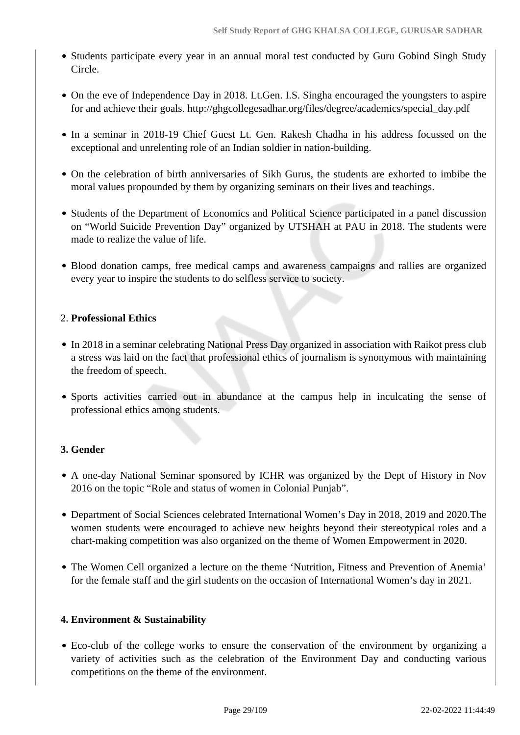- Students participate every year in an annual moral test conducted by Guru Gobind Singh Study Circle.
- On the eve of Independence Day in 2018. Lt.Gen. I.S. Singha encouraged the youngsters to aspire for and achieve their goals. http://ghgcollegesadhar.org/files/degree/academics/special\_day.pdf
- In a seminar in 2018-19 Chief Guest Lt. Gen. Rakesh Chadha in his address focussed on the exceptional and unrelenting role of an Indian soldier in nation-building.
- On the celebration of birth anniversaries of Sikh Gurus, the students are exhorted to imbibe the moral values propounded by them by organizing seminars on their lives and teachings.
- Students of the Department of Economics and Political Science participated in a panel discussion on "World Suicide Prevention Day" organized by UTSHAH at PAU in 2018. The students were made to realize the value of life.
- Blood donation camps, free medical camps and awareness campaigns and rallies are organized every year to inspire the students to do selfless service to society.

### 2. **Professional Ethics**

- In 2018 in a seminar celebrating National Press Day organized in association with Raikot press club a stress was laid on the fact that professional ethics of journalism is synonymous with maintaining the freedom of speech.
- Sports activities carried out in abundance at the campus help in inculcating the sense of professional ethics among students.

### **3. Gender**

- A one-day National Seminar sponsored by ICHR was organized by the Dept of History in Nov 2016 on the topic "Role and status of women in Colonial Punjab".
- Department of Social Sciences celebrated International Women's Day in 2018, 2019 and 2020.The women students were encouraged to achieve new heights beyond their stereotypical roles and a chart-making competition was also organized on the theme of Women Empowerment in 2020.
- The Women Cell organized a lecture on the theme 'Nutrition, Fitness and Prevention of Anemia' for the female staff and the girl students on the occasion of International Women's day in 2021.

### **4. Environment & Sustainability**

Eco-club of the college works to ensure the conservation of the environment by organizing a variety of activities such as the celebration of the Environment Day and conducting various competitions on the theme of the environment.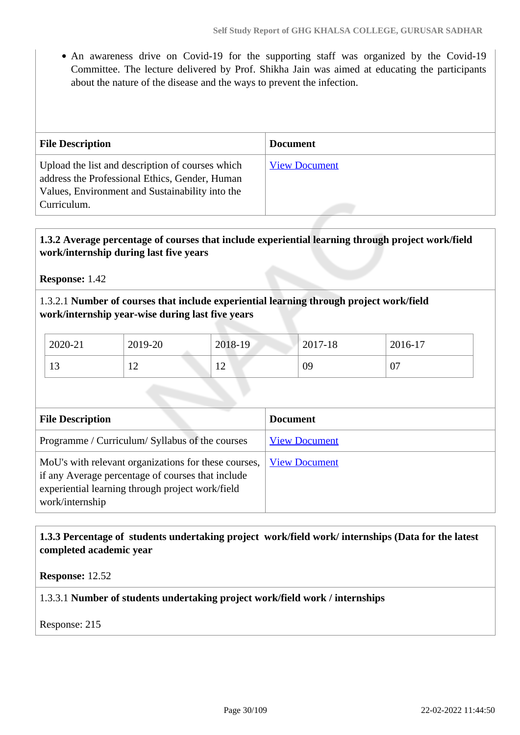• An awareness drive on Covid-19 for the supporting staff was organized by the Covid-19 Committee. The lecture delivered by Prof. Shikha Jain was aimed at educating the participants about the nature of the disease and the ways to prevent the infection.

| <b>File Description</b>                                                                                                                                              | <b>Document</b>      |
|----------------------------------------------------------------------------------------------------------------------------------------------------------------------|----------------------|
| Upload the list and description of courses which<br>address the Professional Ethics, Gender, Human<br>Values, Environment and Sustainability into the<br>Curriculum. | <b>View Document</b> |

## **1.3.2 Average percentage of courses that include experiential learning through project work/field work/internship during last five years**

**Response:** 1.42

## 1.3.2.1 **Number of courses that include experiential learning through project work/field work/internship year-wise during last five years**

| 2020-21            | 2019-20        | 2018-19                          | 2017-18 | 2016-17 |
|--------------------|----------------|----------------------------------|---------|---------|
| $1^{\prime}$<br>13 | $\overline{ }$ | 1 <sub>2</sub><br>$\overline{1}$ | 09      | 07      |

| <b>File Description</b>                                                                                                                                                          | <b>Document</b>      |
|----------------------------------------------------------------------------------------------------------------------------------------------------------------------------------|----------------------|
| Programme / Curriculum/ Syllabus of the courses                                                                                                                                  | <b>View Document</b> |
| MoU's with relevant organizations for these courses,<br>if any Average percentage of courses that include<br>experiential learning through project work/field<br>work/internship | <b>View Document</b> |

## **1.3.3 Percentage of students undertaking project work/field work/ internships (Data for the latest completed academic year**

**Response:** 12.52

1.3.3.1 **Number of students undertaking project work/field work / internships**

Response: 215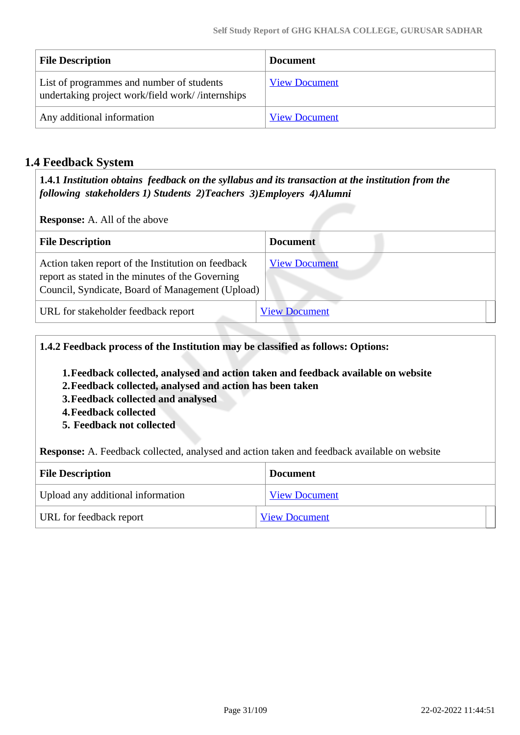| <b>File Description</b>                                                                       | <b>Document</b>      |
|-----------------------------------------------------------------------------------------------|----------------------|
| List of programmes and number of students<br>undertaking project work/field work//internships | <b>View Document</b> |
| Any additional information                                                                    | <b>View Document</b> |

## **1.4 Feedback System**

 **1.4.1** *Institution obtains feedback on the syllabus and its transaction at the institution from the following stakeholders 1) Students 2)Teachers 3)Employers 4)Alumni* 

**Response:** A. All of the above

| <b>File Description</b>                                                                                                                                    | <b>Document</b>      |
|------------------------------------------------------------------------------------------------------------------------------------------------------------|----------------------|
| Action taken report of the Institution on feedback<br>report as stated in the minutes of the Governing<br>Council, Syndicate, Board of Management (Upload) | <b>View Document</b> |
| URL for stakeholder feedback report                                                                                                                        | <b>View Document</b> |

**1.4.2 Feedback process of the Institution may be classified as follows: Options:**

- **1.Feedback collected, analysed and action taken and feedback available on website**
- **2.Feedback collected, analysed and action has been taken**
- **3.Feedback collected and analysed**
- **4.Feedback collected**
- **5. Feedback not collected**

**Response:** A. Feedback collected, analysed and action taken and feedback available on website

| <b>File Description</b>           | <b>Document</b>      |
|-----------------------------------|----------------------|
| Upload any additional information | <b>View Document</b> |
| URL for feedback report           | <b>View Document</b> |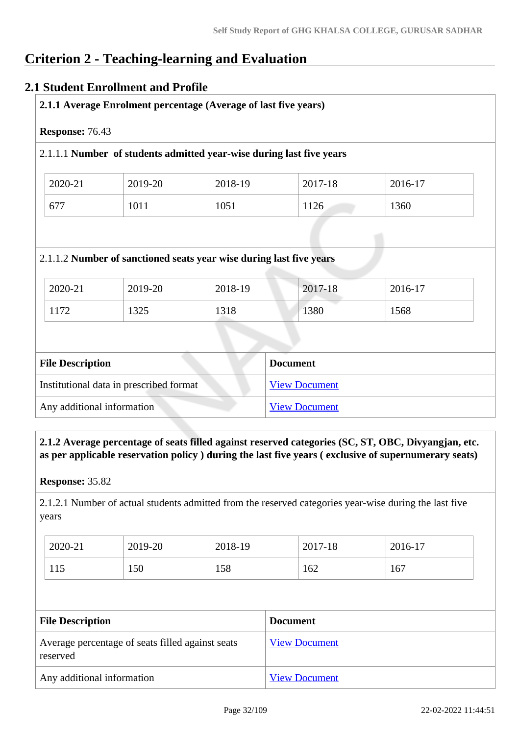# **Criterion 2 - Teaching-learning and Evaluation**

## **2.1 Student Enrollment and Profile**

| 2019-20 | 2018-19                                                             | 2017-18         | 2016-17                                                              |
|---------|---------------------------------------------------------------------|-----------------|----------------------------------------------------------------------|
| 1011    | 1051                                                                | 1126            | 1360                                                                 |
|         | 2.1.1.2 Number of sanctioned seats year wise during last five years |                 |                                                                      |
| 2019-20 | 2018-19                                                             | 2017-18         | 2016-17                                                              |
| 1325    | 1318                                                                | 1380            | 1568                                                                 |
|         |                                                                     |                 |                                                                      |
|         |                                                                     | <b>Document</b> |                                                                      |
|         |                                                                     |                 | 2.1.1.1 Number of students admitted year-wise during last five years |

 **2.1.2 Average percentage of seats filled against reserved categories (SC, ST, OBC, Divyangjan, etc. as per applicable reservation policy ) during the last five years ( exclusive of supernumerary seats)**

**Response:** 35.82

2.1.2.1 Number of actual students admitted from the reserved categories year-wise during the last five years

| 2020-21 | 2019-20 | 2018-19 | 2017-18 | 2016-17 |
|---------|---------|---------|---------|---------|
| 115     | 150     | 158     | 162     | 167     |

| <b>File Description</b>                                      | <b>Document</b>      |
|--------------------------------------------------------------|----------------------|
| Average percentage of seats filled against seats<br>reserved | <b>View Document</b> |
| Any additional information                                   | <b>View Document</b> |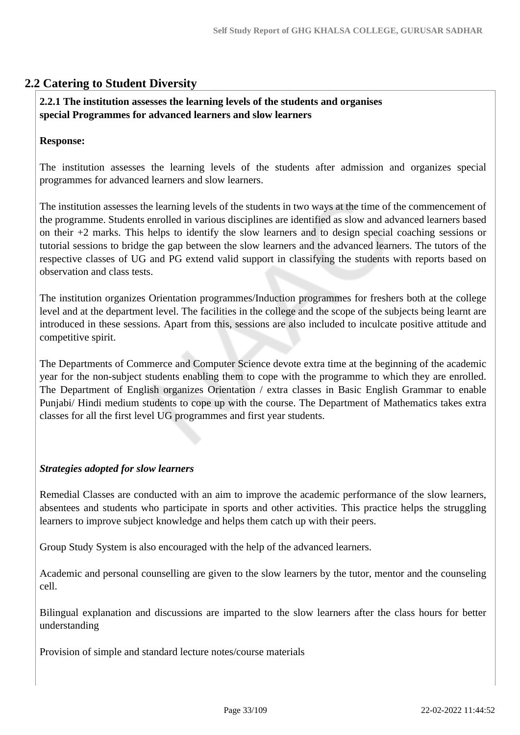## **2.2 Catering to Student Diversity**

### **2.2.1 The institution assesses the learning levels of the students and organises special Programmes for advanced learners and slow learners**

#### **Response:**

The institution assesses the learning levels of the students after admission and organizes special programmes for advanced learners and slow learners.

The institution assesses the learning levels of the students in two ways at the time of the commencement of the programme. Students enrolled in various disciplines are identified as slow and advanced learners based on their +2 marks. This helps to identify the slow learners and to design special coaching sessions or tutorial sessions to bridge the gap between the slow learners and the advanced learners. The tutors of the respective classes of UG and PG extend valid support in classifying the students with reports based on observation and class tests.

The institution organizes Orientation programmes/Induction programmes for freshers both at the college level and at the department level. The facilities in the college and the scope of the subjects being learnt are introduced in these sessions. Apart from this, sessions are also included to inculcate positive attitude and competitive spirit.

The Departments of Commerce and Computer Science devote extra time at the beginning of the academic year for the non-subject students enabling them to cope with the programme to which they are enrolled. The Department of English organizes Orientation / extra classes in Basic English Grammar to enable Punjabi/ Hindi medium students to cope up with the course. The Department of Mathematics takes extra classes for all the first level UG programmes and first year students.

#### *Strategies adopted for slow learners*

Remedial Classes are conducted with an aim to improve the academic performance of the slow learners, absentees and students who participate in sports and other activities. This practice helps the struggling learners to improve subject knowledge and helps them catch up with their peers.

Group Study System is also encouraged with the help of the advanced learners.

Academic and personal counselling are given to the slow learners by the tutor, mentor and the counseling cell.

Bilingual explanation and discussions are imparted to the slow learners after the class hours for better understanding

Provision of simple and standard lecture notes/course materials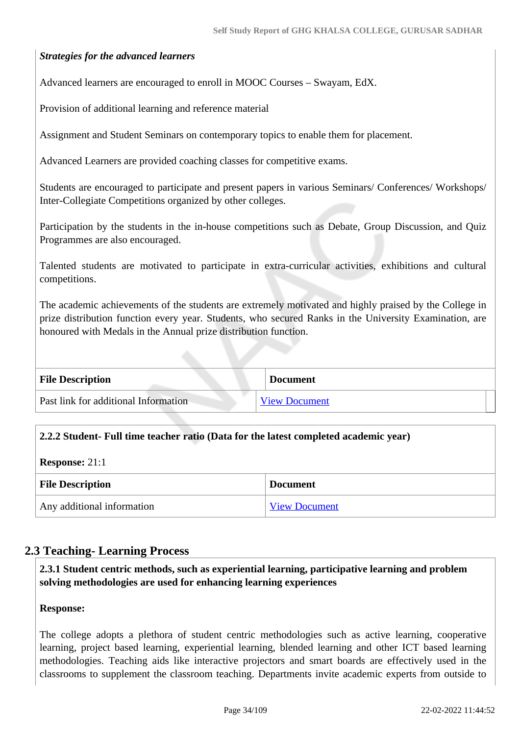## *Strategies for the advanced learners*

Advanced learners are encouraged to enroll in MOOC Courses – Swayam, EdX.

Provision of additional learning and reference material

Assignment and Student Seminars on contemporary topics to enable them for placement.

Advanced Learners are provided coaching classes for competitive exams.

Students are encouraged to participate and present papers in various Seminars/ Conferences/ Workshops/ Inter-Collegiate Competitions organized by other colleges.

Participation by the students in the in-house competitions such as Debate, Group Discussion, and Quiz Programmes are also encouraged.

Talented students are motivated to participate in extra-curricular activities, exhibitions and cultural competitions.

The academic achievements of the students are extremely motivated and highly praised by the College in prize distribution function every year. Students, who secured Ranks in the University Examination, are honoured with Medals in the Annual prize distribution function.

| <b>File Description</b>              | <b>Document</b>      |
|--------------------------------------|----------------------|
| Past link for additional Information | <b>View Document</b> |

### **2.2.2 Student- Full time teacher ratio (Data for the latest completed academic year)**

**Response:** 21:1

| <b>File Description</b>    | <b>Document</b>      |
|----------------------------|----------------------|
| Any additional information | <b>View Document</b> |

### **2.3 Teaching- Learning Process**

 **2.3.1 Student centric methods, such as experiential learning, participative learning and problem solving methodologies are used for enhancing learning experiences**

**Response:** 

The college adopts a plethora of student centric methodologies such as active learning, cooperative learning, project based learning, experiential learning, blended learning and other ICT based learning methodologies. Teaching aids like interactive projectors and smart boards are effectively used in the classrooms to supplement the classroom teaching. Departments invite academic experts from outside to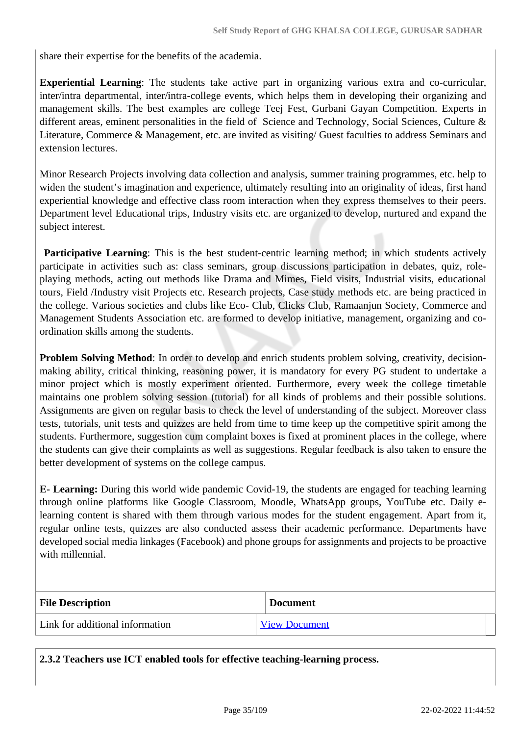share their expertise for the benefits of the academia.

**Experiential Learning**: The students take active part in organizing various extra and co-curricular, inter/intra departmental, inter/intra-college events, which helps them in developing their organizing and management skills. The best examples are college Teej Fest, Gurbani Gayan Competition. Experts in different areas, eminent personalities in the field of Science and Technology, Social Sciences, Culture & Literature, Commerce & Management, etc. are invited as visiting/ Guest faculties to address Seminars and extension lectures.

Minor Research Projects involving data collection and analysis, summer training programmes, etc. help to widen the student's imagination and experience, ultimately resulting into an originality of ideas, first hand experiential knowledge and effective class room interaction when they express themselves to their peers. Department level Educational trips, Industry visits etc. are organized to develop, nurtured and expand the subject interest.

**Participative Learning**: This is the best student-centric learning method; in which students actively participate in activities such as: class seminars, group discussions participation in debates, quiz, roleplaying methods, acting out methods like Drama and Mimes, Field visits, Industrial visits, educational tours, Field /Industry visit Projects etc. Research projects, Case study methods etc. are being practiced in the college. Various societies and clubs like Eco- Club, Clicks Club, Ramaanjun Society, Commerce and Management Students Association etc. are formed to develop initiative, management, organizing and coordination skills among the students.

**Problem Solving Method**: In order to develop and enrich students problem solving, creativity, decisionmaking ability, critical thinking, reasoning power, it is mandatory for every PG student to undertake a minor project which is mostly experiment oriented. Furthermore, every week the college timetable maintains one problem solving session (tutorial) for all kinds of problems and their possible solutions. Assignments are given on regular basis to check the level of understanding of the subject. Moreover class tests, tutorials, unit tests and quizzes are held from time to time keep up the competitive spirit among the students. Furthermore, suggestion cum complaint boxes is fixed at prominent places in the college, where the students can give their complaints as well as suggestions. Regular feedback is also taken to ensure the better development of systems on the college campus.

**E- Learning:** During this world wide pandemic Covid-19, the students are engaged for teaching learning through online platforms like Google Classroom, Moodle, WhatsApp groups, YouTube etc. Daily elearning content is shared with them through various modes for the student engagement. Apart from it, regular online tests, quizzes are also conducted assess their academic performance. Departments have developed social media linkages (Facebook) and phone groups for assignments and projects to be proactive with millennial.

| <b>File Description</b>         | <b>Document</b>      |
|---------------------------------|----------------------|
| Link for additional information | <b>View Document</b> |

**2.3.2 Teachers use ICT enabled tools for effective teaching-learning process.**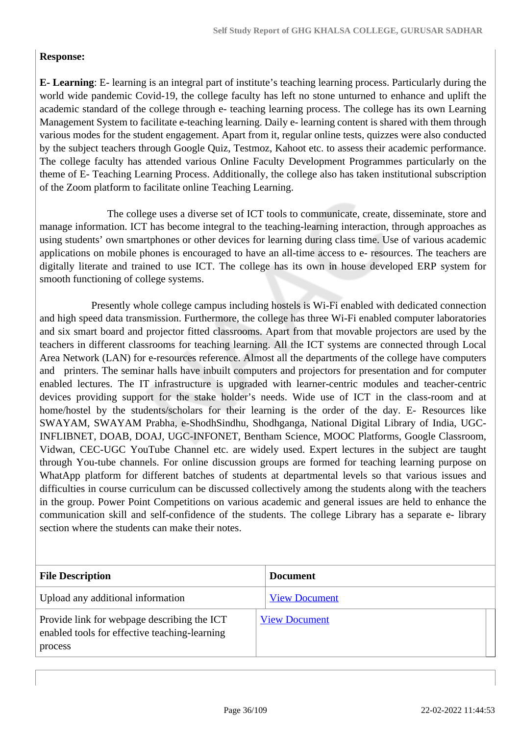## **Response:**

**E- Learning**: E- learning is an integral part of institute's teaching learning process. Particularly during the world wide pandemic Covid-19, the college faculty has left no stone unturned to enhance and uplift the academic standard of the college through e- teaching learning process. The college has its own Learning Management System to facilitate e-teaching learning. Daily e- learning content is shared with them through various modes for the student engagement. Apart from it, regular online tests, quizzes were also conducted by the subject teachers through Google Quiz, Testmoz, Kahoot etc. to assess their academic performance. The college faculty has attended various Online Faculty Development Programmes particularly on the theme of E- Teaching Learning Process. Additionally, the college also has taken institutional subscription of the Zoom platform to facilitate online Teaching Learning.

 The college uses a diverse set of ICT tools to communicate, create, disseminate, store and manage information. ICT has become integral to the teaching-learning interaction, through approaches as using students' own smartphones or other devices for learning during class time. Use of various academic applications on mobile phones is encouraged to have an all-time access to e- resources. The teachers are digitally literate and trained to use ICT. The college has its own in house developed ERP system for smooth functioning of college systems.

 Presently whole college campus including hostels is Wi-Fi enabled with dedicated connection and high speed data transmission. Furthermore, the college has three Wi-Fi enabled computer laboratories and six smart board and projector fitted classrooms. Apart from that movable projectors are used by the teachers in different classrooms for teaching learning. All the ICT systems are connected through Local Area Network (LAN) for e-resources reference. Almost all the departments of the college have computers and printers. The seminar halls have inbuilt computers and projectors for presentation and for computer enabled lectures. The IT infrastructure is upgraded with learner-centric modules and teacher-centric devices providing support for the stake holder's needs. Wide use of ICT in the class-room and at home/hostel by the students/scholars for their learning is the order of the day. E- Resources like SWAYAM, SWAYAM Prabha, e-ShodhSindhu, Shodhganga, National Digital Library of India, UGC-INFLIBNET, DOAB, DOAJ, UGC-INFONET, Bentham Science, MOOC Platforms, Google Classroom, Vidwan, CEC-UGC YouTube Channel etc. are widely used. Expert lectures in the subject are taught through You-tube channels. For online discussion groups are formed for teaching learning purpose on WhatApp platform for different batches of students at departmental levels so that various issues and difficulties in course curriculum can be discussed collectively among the students along with the teachers in the group. Power Point Competitions on various academic and general issues are held to enhance the communication skill and self-confidence of the students. The college Library has a separate e- library section where the students can make their notes.

| <b>File Description</b>                                                                                 | <b>Document</b>      |
|---------------------------------------------------------------------------------------------------------|----------------------|
| Upload any additional information                                                                       | <b>View Document</b> |
| Provide link for webpage describing the ICT<br>enabled tools for effective teaching-learning<br>process | <b>View Document</b> |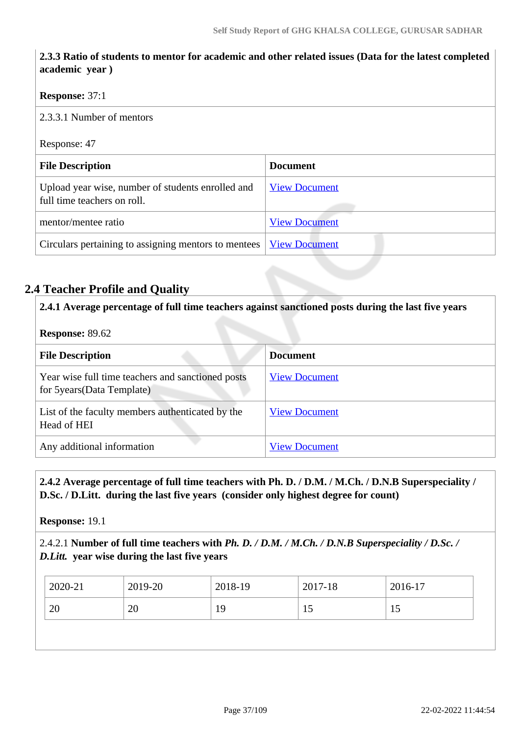## **2.3.3 Ratio of students to mentor for academic and other related issues (Data for the latest completed academic year )**

### **Response:** 37:1

2.3.3.1 Number of mentors

### Response: 47

| <b>File Description</b>                                                          | <b>Document</b>      |
|----------------------------------------------------------------------------------|----------------------|
| Upload year wise, number of students enrolled and<br>full time teachers on roll. | <b>View Document</b> |
| mentor/mentee ratio                                                              | <b>View Document</b> |
| Circulars pertaining to assigning mentors to mentees   View Document             |                      |

## **2.4 Teacher Profile and Quality**

**2.4.1 Average percentage of full time teachers against sanctioned posts during the last five years**

| <b>Response: 89.62</b>                                                           |                      |  |  |
|----------------------------------------------------------------------------------|----------------------|--|--|
| <b>File Description</b>                                                          | <b>Document</b>      |  |  |
| Year wise full time teachers and sanctioned posts<br>for 5 years (Data Template) | <b>View Document</b> |  |  |
| List of the faculty members authenticated by the<br>Head of HEI                  | <b>View Document</b> |  |  |
| Any additional information                                                       | <b>View Document</b> |  |  |

## **2.4.2 Average percentage of full time teachers with Ph. D. / D.M. / M.Ch. / D.N.B Superspeciality / D.Sc. / D.Litt. during the last five years (consider only highest degree for count)**

**Response:** 19.1

## 2.4.2.1 **Number of full time teachers with** *Ph. D. / D.M. / M.Ch. / D.N.B Superspeciality / D.Sc. / D.Litt.* **year wise during the last five years**

|                            | 2016-17 |
|----------------------------|---------|
| 20<br>19<br>20<br>15<br>10 |         |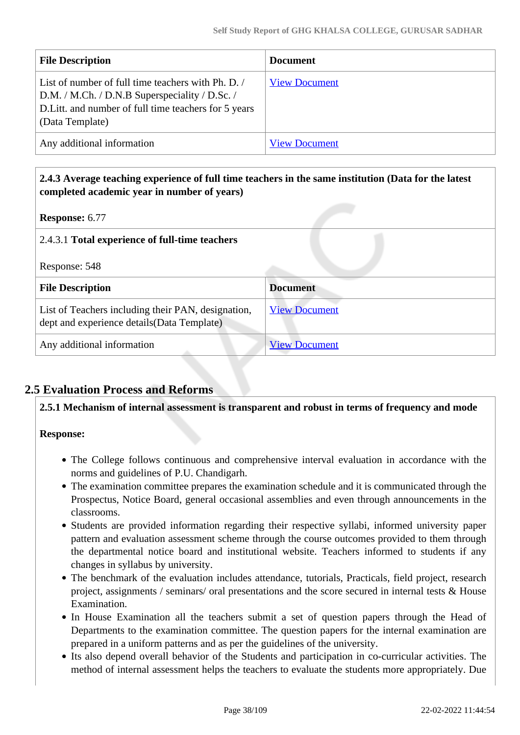| <b>File Description</b>                                                                                                                                                        | <b>Document</b>      |
|--------------------------------------------------------------------------------------------------------------------------------------------------------------------------------|----------------------|
| List of number of full time teachers with Ph. D.<br>D.M. / M.Ch. / D.N.B Superspeciality / D.Sc. /<br>D. Litt. and number of full time teachers for 5 years<br>(Data Template) | <b>View Document</b> |
| Any additional information                                                                                                                                                     | <b>View Document</b> |

| 2.4.3 Average teaching experience of full time teachers in the same institution (Data for the latest<br>completed academic year in number of years) |                      |  |  |
|-----------------------------------------------------------------------------------------------------------------------------------------------------|----------------------|--|--|
| <b>Response: 6.77</b>                                                                                                                               |                      |  |  |
| 2.4.3.1 Total experience of full-time teachers                                                                                                      |                      |  |  |
| Response: 548                                                                                                                                       |                      |  |  |
| <b>File Description</b>                                                                                                                             | <b>Document</b>      |  |  |
| List of Teachers including their PAN, designation,<br>dept and experience details (Data Template)                                                   | <b>View Document</b> |  |  |
| Any additional information                                                                                                                          | <b>View Document</b> |  |  |

## **2.5 Evaluation Process and Reforms**

### **2.5.1 Mechanism of internal assessment is transparent and robust in terms of frequency and mode**

### **Response:**

- The College follows continuous and comprehensive interval evaluation in accordance with the norms and guidelines of P.U. Chandigarh.
- The examination committee prepares the examination schedule and it is communicated through the Prospectus, Notice Board, general occasional assemblies and even through announcements in the classrooms.
- Students are provided information regarding their respective syllabi, informed university paper pattern and evaluation assessment scheme through the course outcomes provided to them through the departmental notice board and institutional website. Teachers informed to students if any changes in syllabus by university.
- The benchmark of the evaluation includes attendance, tutorials, Practicals, field project, research project, assignments / seminars/ oral presentations and the score secured in internal tests & House Examination.
- In House Examination all the teachers submit a set of question papers through the Head of Departments to the examination committee. The question papers for the internal examination are prepared in a uniform patterns and as per the guidelines of the university.
- Its also depend overall behavior of the Students and participation in co-curricular activities. The method of internal assessment helps the teachers to evaluate the students more appropriately. Due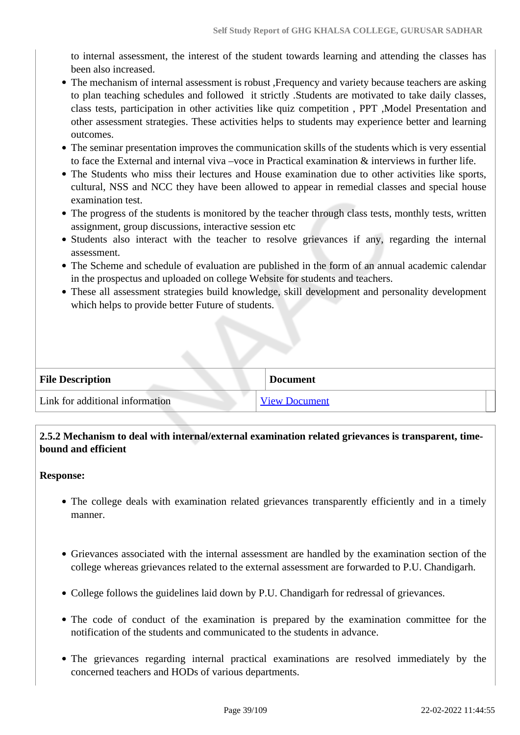to internal assessment, the interest of the student towards learning and attending the classes has been also increased.

- The mechanism of internal assessment is robust , Frequency and variety because teachers are asking to plan teaching schedules and followed it strictly .Students are motivated to take daily classes, class tests, participation in other activities like quiz competition , PPT ,Model Presentation and other assessment strategies. These activities helps to students may experience better and learning outcomes.
- The seminar presentation improves the communication skills of the students which is very essential to face the External and internal viva –voce in Practical examination & interviews in further life.
- The Students who miss their lectures and House examination due to other activities like sports, cultural, NSS and NCC they have been allowed to appear in remedial classes and special house examination test.
- The progress of the students is monitored by the teacher through class tests, monthly tests, written assignment, group discussions, interactive session etc
- Students also interact with the teacher to resolve grievances if any, regarding the internal assessment.
- The Scheme and schedule of evaluation are published in the form of an annual academic calendar in the prospectus and uploaded on college Website for students and teachers.
- These all assessment strategies build knowledge, skill development and personality development which helps to provide better Future of students.

| <b>File Description</b>         | <b>Document</b>      |
|---------------------------------|----------------------|
| Link for additional information | <b>View Document</b> |

## **2.5.2 Mechanism to deal with internal/external examination related grievances is transparent, timebound and efficient**

### **Response:**

- The college deals with examination related grievances transparently efficiently and in a timely manner.
- Grievances associated with the internal assessment are handled by the examination section of the college whereas grievances related to the external assessment are forwarded to P.U. Chandigarh.
- College follows the guidelines laid down by P.U. Chandigarh for redressal of grievances.
- The code of conduct of the examination is prepared by the examination committee for the notification of the students and communicated to the students in advance.
- The grievances regarding internal practical examinations are resolved immediately by the concerned teachers and HODs of various departments.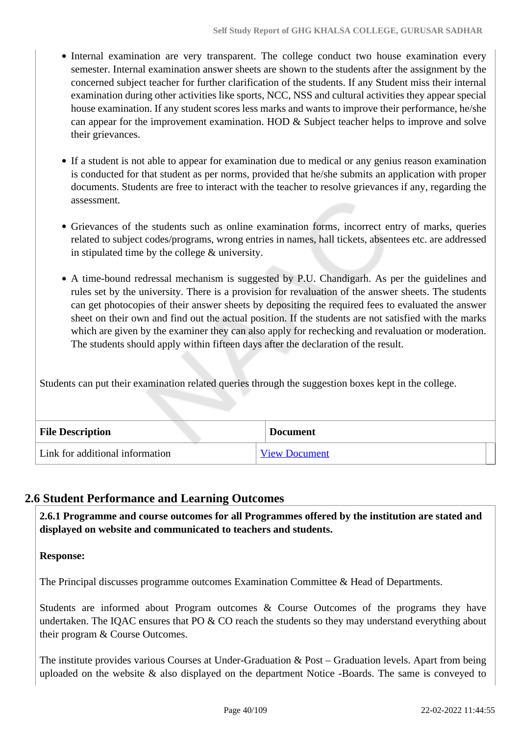- Internal examination are very transparent. The college conduct two house examination every semester. Internal examination answer sheets are shown to the students after the assignment by the concerned subject teacher for further clarification of the students. If any Student miss their internal examination during other activities like sports, NCC, NSS and cultural activities they appear special house examination. If any student scores less marks and wants to improve their performance, he/she can appear for the improvement examination. HOD & Subject teacher helps to improve and solve their grievances.
- If a student is not able to appear for examination due to medical or any genius reason examination is conducted for that student as per norms, provided that he/she submits an application with proper documents. Students are free to interact with the teacher to resolve grievances if any, regarding the assessment.
- Grievances of the students such as online examination forms, incorrect entry of marks, queries related to subject codes/programs, wrong entries in names, hall tickets, absentees etc. are addressed in stipulated time by the college & university.
- A time-bound redressal mechanism is suggested by P.U. Chandigarh. As per the guidelines and rules set by the university. There is a provision for revaluation of the answer sheets. The students can get photocopies of their answer sheets by depositing the required fees to evaluated the answer sheet on their own and find out the actual position. If the students are not satisfied with the marks which are given by the examiner they can also apply for rechecking and revaluation or moderation. The students should apply within fifteen days after the declaration of the result.

Students can put their examination related queries through the suggestion boxes kept in the college.

| <b>File Description</b>         | <b>Document</b>      |  |
|---------------------------------|----------------------|--|
| Link for additional information | <b>View Document</b> |  |

## **2.6 Student Performance and Learning Outcomes**

 **2.6.1 Programme and course outcomes for all Programmes offered by the institution are stated and displayed on website and communicated to teachers and students.**

### **Response:**

The Principal discusses programme outcomes Examination Committee & Head of Departments.

Students are informed about Program outcomes & Course Outcomes of the programs they have undertaken. The IQAC ensures that PO  $&$  CO reach the students so they may understand everything about their program & Course Outcomes.

The institute provides various Courses at Under-Graduation & Post – Graduation levels. Apart from being uploaded on the website & also displayed on the department Notice -Boards. The same is conveyed to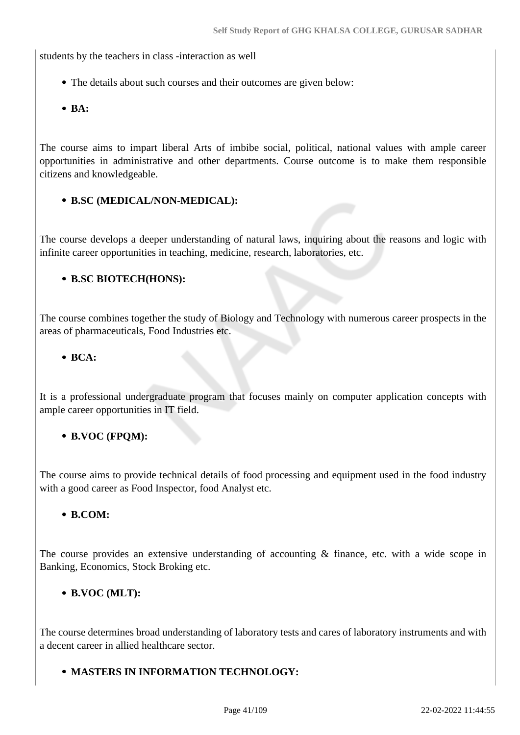students by the teachers in class -interaction as well

- The details about such courses and their outcomes are given below:
- **BA:**

The course aims to impart liberal Arts of imbibe social, political, national values with ample career opportunities in administrative and other departments. Course outcome is to make them responsible citizens and knowledgeable.

### **B.SC (MEDICAL/NON-MEDICAL):**

The course develops a deeper understanding of natural laws, inquiring about the reasons and logic with infinite career opportunities in teaching, medicine, research, laboratories, etc.

### **B.SC BIOTECH(HONS):**

The course combines together the study of Biology and Technology with numerous career prospects in the areas of pharmaceuticals, Food Industries etc.

**BCA:**

It is a professional undergraduate program that focuses mainly on computer application concepts with ample career opportunities in IT field.

### **B.VOC (FPQM):**

The course aims to provide technical details of food processing and equipment used in the food industry with a good career as Food Inspector, food Analyst etc.

### **B.COM:**

The course provides an extensive understanding of accounting & finance, etc. with a wide scope in Banking, Economics, Stock Broking etc.

### **B.VOC (MLT):**

The course determines broad understanding of laboratory tests and cares of laboratory instruments and with a decent career in allied healthcare sector.

### **MASTERS IN INFORMATION TECHNOLOGY:**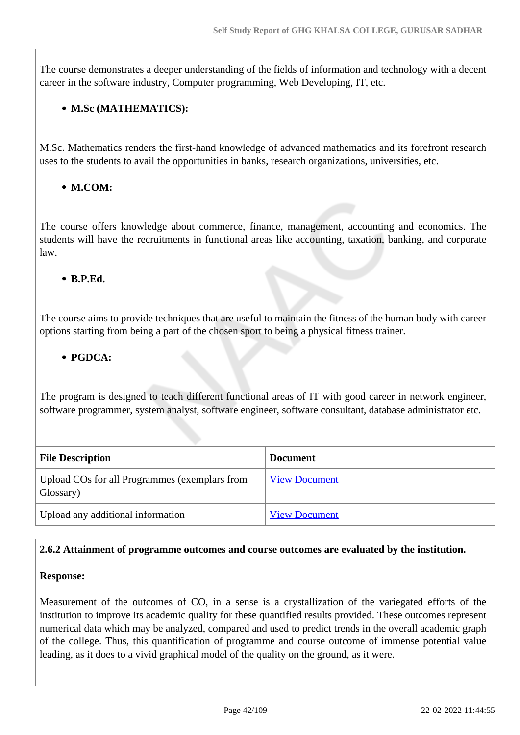The course demonstrates a deeper understanding of the fields of information and technology with a decent career in the software industry, Computer programming, Web Developing, IT, etc.

## **M.Sc (MATHEMATICS):**

M.Sc. Mathematics renders the first-hand knowledge of advanced mathematics and its forefront research uses to the students to avail the opportunities in banks, research organizations, universities, etc.

## **M.COM:**

The course offers knowledge about commerce, finance, management, accounting and economics. The students will have the recruitments in functional areas like accounting, taxation, banking, and corporate law.

## **B.P.Ed.**

The course aims to provide techniques that are useful to maintain the fitness of the human body with career options starting from being a part of the chosen sport to being a physical fitness trainer.

## **PGDCA:**

The program is designed to teach different functional areas of IT with good career in network engineer, software programmer, system analyst, software engineer, software consultant, database administrator etc.

| <b>File Description</b>                                    | <b>Document</b>      |
|------------------------------------------------------------|----------------------|
| Upload COs for all Programmes (exemplars from<br>Glossary) | <b>View Document</b> |
| Upload any additional information                          | <b>View Document</b> |

## **2.6.2 Attainment of programme outcomes and course outcomes are evaluated by the institution.**

### **Response:**

Measurement of the outcomes of CO, in a sense is a crystallization of the variegated efforts of the institution to improve its academic quality for these quantified results provided. These outcomes represent numerical data which may be analyzed, compared and used to predict trends in the overall academic graph of the college. Thus, this quantification of programme and course outcome of immense potential value leading, as it does to a vivid graphical model of the quality on the ground, as it were.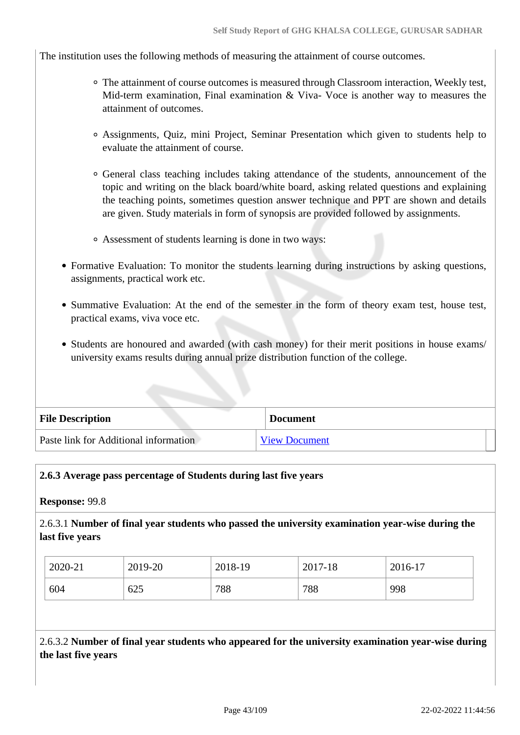The institution uses the following methods of measuring the attainment of course outcomes.

- The attainment of course outcomes is measured through Classroom interaction, Weekly test, Mid-term examination, Final examination & Viva- Voce is another way to measures the attainment of outcomes.
- Assignments, Quiz, mini Project, Seminar Presentation which given to students help to evaluate the attainment of course.
- General class teaching includes taking attendance of the students, announcement of the topic and writing on the black board/white board, asking related questions and explaining the teaching points, sometimes question answer technique and PPT are shown and details are given. Study materials in form of synopsis are provided followed by assignments.
- Assessment of students learning is done in two ways:
- Formative Evaluation: To monitor the students learning during instructions by asking questions, assignments, practical work etc.
- Summative Evaluation: At the end of the semester in the form of theory exam test, house test, practical exams, viva voce etc.
- Students are honoured and awarded (with cash money) for their merit positions in house exams/ university exams results during annual prize distribution function of the college.

| <b>File Description</b>               | <b>Document</b>      |
|---------------------------------------|----------------------|
| Paste link for Additional information | <b>View Document</b> |

### **2.6.3 Average pass percentage of Students during last five years**

**Response:** 99.8

2.6.3.1 **Number of final year students who passed the university examination year-wise during the last five years**

| 2020-21 | 2019-20 | 2018-19 | 2017-18 | 2016-17 |
|---------|---------|---------|---------|---------|
| 604     | 625     | 788     | 788     | 998     |

2.6.3.2 **Number of final year students who appeared for the university examination year-wise during the last five years**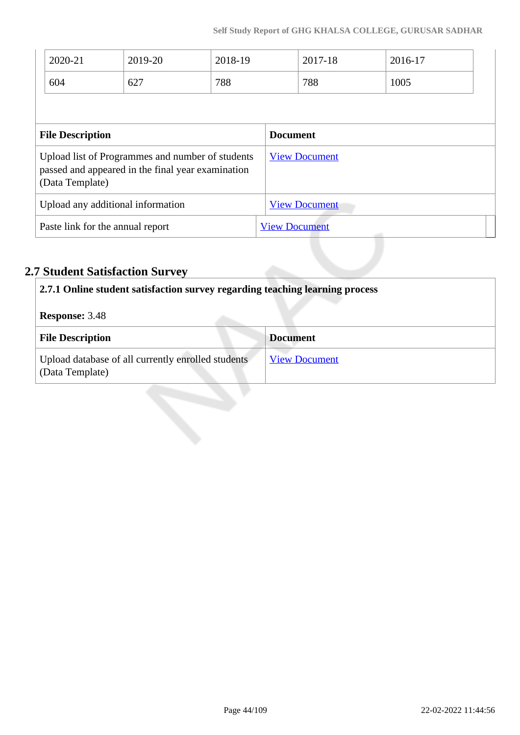|                                                                                                                          | 2020-21<br>604          | 2019-20<br>627 | 2018-19<br>788       |                      | 2017-18<br>788  | 2016-17<br>1005 |  |
|--------------------------------------------------------------------------------------------------------------------------|-------------------------|----------------|----------------------|----------------------|-----------------|-----------------|--|
|                                                                                                                          | <b>File Description</b> |                |                      |                      | <b>Document</b> |                 |  |
| Upload list of Programmes and number of students<br>passed and appeared in the final year examination<br>(Data Template) |                         |                |                      | <b>View Document</b> |                 |                 |  |
| Upload any additional information                                                                                        |                         |                |                      | <b>View Document</b> |                 |                 |  |
| Paste link for the annual report                                                                                         |                         |                | <b>View Document</b> |                      | التنبير         |                 |  |

# **2.7 Student Satisfaction Survey**

| 2.7.1 Online student satisfaction survey regarding teaching learning process |                      |  |
|------------------------------------------------------------------------------|----------------------|--|
| <b>Response: 3.48</b>                                                        |                      |  |
| <b>File Description</b>                                                      | <b>Document</b>      |  |
| Upload database of all currently enrolled students<br>(Data Template)        | <b>View Document</b> |  |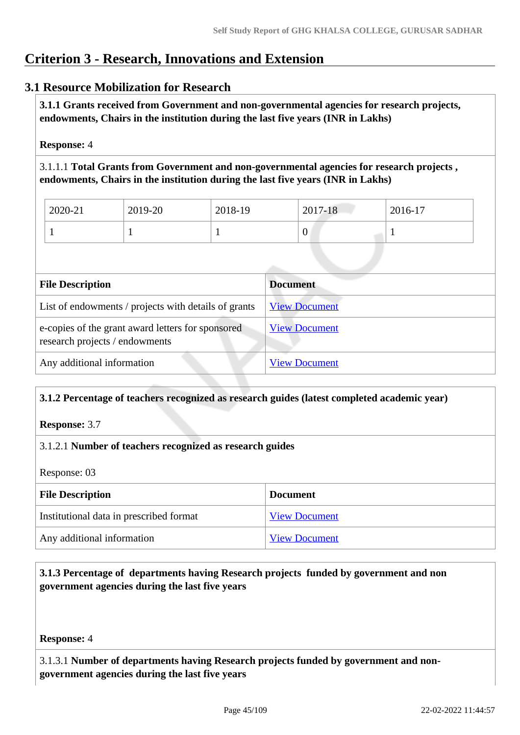# **Criterion 3 - Research, Innovations and Extension**

## **3.1 Resource Mobilization for Research**

 **3.1.1 Grants received from Government and non-governmental agencies for research projects, endowments, Chairs in the institution during the last five years (INR in Lakhs)** 

**Response:** 4

3.1.1.1 **Total Grants from Government and non-governmental agencies for research projects , endowments, Chairs in the institution during the last five years (INR in Lakhs)**

| 2020-21 | 2019-20 | 2018-19 | 2017-18 | 2016-17 |
|---------|---------|---------|---------|---------|
|         |         |         | v       |         |

| <b>File Description</b>                                                             | <b>Document</b>      |
|-------------------------------------------------------------------------------------|----------------------|
| List of endowments / projects with details of grants                                | <b>View Document</b> |
| e-copies of the grant award letters for sponsored<br>research projects / endowments | <b>View Document</b> |
| Any additional information                                                          | <b>View Document</b> |

### **3.1.2 Percentage of teachers recognized as research guides (latest completed academic year)**

**Response:** 3.7

### 3.1.2.1 **Number of teachers recognized as research guides**

Response: 03

| <b>File Description</b>                 | <b>Document</b>      |
|-----------------------------------------|----------------------|
| Institutional data in prescribed format | <b>View Document</b> |
| Any additional information              | <b>View Document</b> |

## **3.1.3 Percentage of departments having Research projects funded by government and non government agencies during the last five years**

**Response:** 4

3.1.3.1 **Number of departments having Research projects funded by government and nongovernment agencies during the last five years**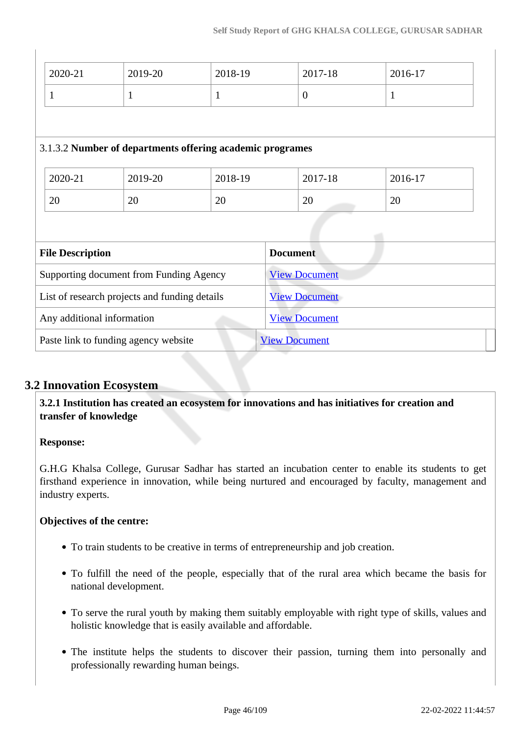| 2020-21                                       | 2019-20                                                   | 2018-19              |                      | 2017-18              | 2016-17 |
|-----------------------------------------------|-----------------------------------------------------------|----------------------|----------------------|----------------------|---------|
| $\mathbf{1}$                                  | 1                                                         | $\mathbf{1}$         |                      | $\overline{0}$       | 1       |
|                                               |                                                           |                      |                      |                      |         |
|                                               | 3.1.3.2 Number of departments offering academic programes |                      |                      |                      |         |
| 2020-21                                       | 2019-20                                                   | 2018-19              |                      | 2017-18              | 2016-17 |
| 20                                            | 20                                                        | 20                   |                      | 20                   | 20      |
|                                               |                                                           |                      |                      |                      |         |
| <b>File Description</b>                       |                                                           |                      | <b>Document</b>      |                      |         |
| Supporting document from Funding Agency       |                                                           |                      |                      | <b>View Document</b> |         |
| List of research projects and funding details |                                                           | <b>View Document</b> |                      |                      |         |
| Any additional information                    |                                                           |                      | <b>View Document</b> |                      |         |
| Paste link to funding agency website          |                                                           |                      |                      | <b>View Document</b> |         |

## **3.2 Innovation Ecosystem**

 **3.2.1 Institution has created an ecosystem for innovations and has initiatives for creation and transfer of knowledge**

## **Response:**

G.H.G Khalsa College, Gurusar Sadhar has started an incubation center to enable its students to get firsthand experience in innovation, while being nurtured and encouraged by faculty, management and industry experts.

### **Objectives of the centre:**

- To train students to be creative in terms of entrepreneurship and job creation.
- To fulfill the need of the people, especially that of the rural area which became the basis for national development.
- To serve the rural youth by making them suitably employable with right type of skills, values and holistic knowledge that is easily available and affordable.
- The institute helps the students to discover their passion, turning them into personally and professionally rewarding human beings.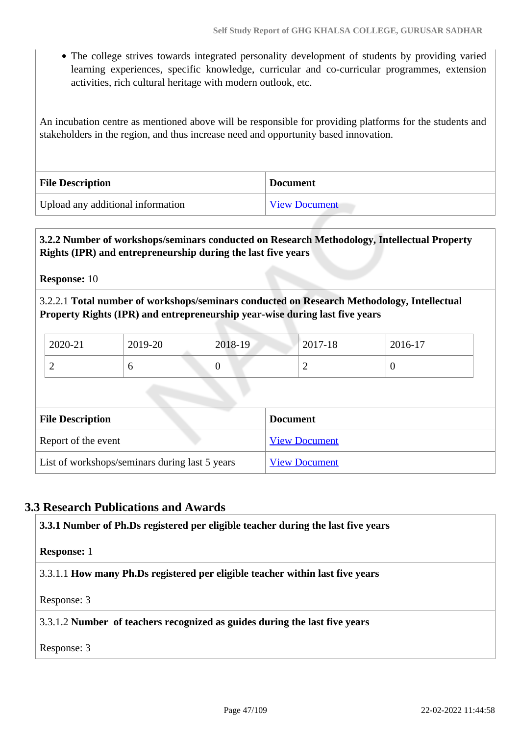The college strives towards integrated personality development of students by providing varied learning experiences, specific knowledge, curricular and co-curricular programmes, extension activities, rich cultural heritage with modern outlook, etc.

An incubation centre as mentioned above will be responsible for providing platforms for the students and stakeholders in the region, and thus increase need and opportunity based innovation.

| <b>File Description</b>           | <b>Document</b>      |
|-----------------------------------|----------------------|
| Upload any additional information | <b>View Document</b> |

### **3.2.2 Number of workshops/seminars conducted on Research Methodology, Intellectual Property Rights (IPR) and entrepreneurship during the last five years**

**Response:** 10

3.2.2.1 **Total number of workshops/seminars conducted on Research Methodology, Intellectual Property Rights (IPR) and entrepreneurship year-wise during last five years** 

| 2020-21 | 2019-20 | 2018-19 | 2017-18 | 2016-17 |
|---------|---------|---------|---------|---------|
| ∽       |         | ິ       |         | ◡       |

| <b>File Description</b>                        | <b>Document</b>      |
|------------------------------------------------|----------------------|
| Report of the event                            | <b>View Document</b> |
| List of workshops/seminars during last 5 years | <b>View Document</b> |

## **3.3 Research Publications and Awards**

 **3.3.1 Number of Ph.Ds registered per eligible teacher during the last five years Response:** 1 3.3.1.1 **How many Ph.Ds registered per eligible teacher within last five years** Response: 3 3.3.1.2 **Number of teachers recognized as guides during the last five years** Response: 3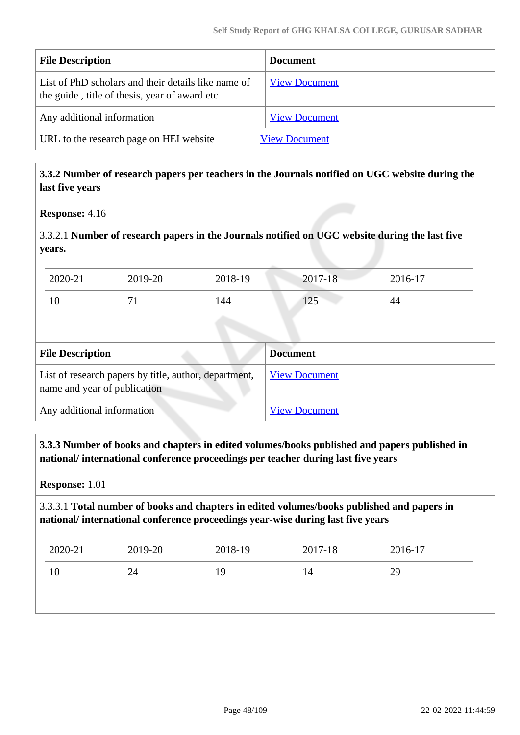| <b>File Description</b>                                                                              | <b>Document</b>      |
|------------------------------------------------------------------------------------------------------|----------------------|
| List of PhD scholars and their details like name of<br>the guide, title of thesis, year of award etc | <b>View Document</b> |
| Any additional information                                                                           | <b>View Document</b> |
| URL to the research page on HEI website                                                              | <b>View Document</b> |

### **3.3.2 Number of research papers per teachers in the Journals notified on UGC website during the last five years**

**Response:** 4.16

3.3.2.1 **Number of research papers in the Journals notified on UGC website during the last five years.**

| 2020-21 | 2019-20 | 2018-19 | $2017 - 18$     | 2016-17 |
|---------|---------|---------|-----------------|---------|
| 10      |         | 144     | $\Delta$<br>⊥∠J | 44      |

| <b>File Description</b>                                                               | <b>Document</b>      |
|---------------------------------------------------------------------------------------|----------------------|
| List of research papers by title, author, department,<br>name and year of publication | <b>View Document</b> |
| Any additional information                                                            | <b>View Document</b> |

 **3.3.3 Number of books and chapters in edited volumes/books published and papers published in national/ international conference proceedings per teacher during last five years**

**Response:** 1.01

3.3.3.1 **Total number of books and chapters in edited volumes/books published and papers in national/ international conference proceedings year-wise during last five years**

| $12020 - 21$ | 2019-20 | 2018-19 | 2017-18 | 2016-17 |
|--------------|---------|---------|---------|---------|
| 10           | 24      | 19      | 14      | 29      |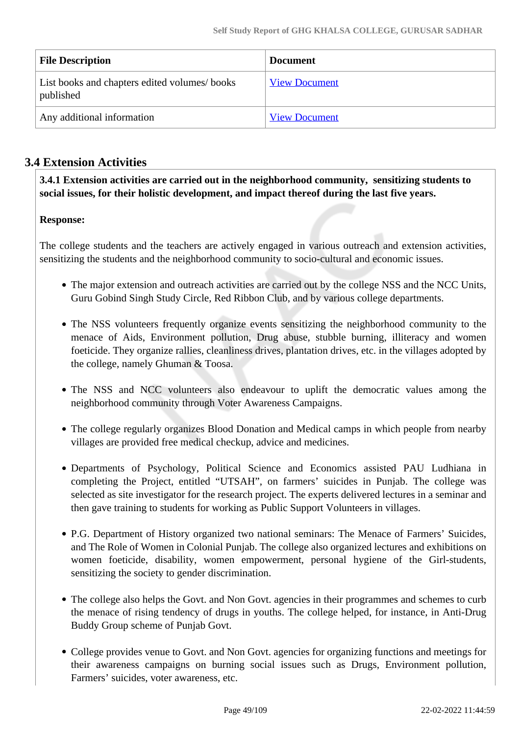| <b>File Description</b>                                   | <b>Document</b>      |
|-----------------------------------------------------------|----------------------|
| List books and chapters edited volumes/books<br>published | <b>View Document</b> |
| Any additional information                                | <b>View Document</b> |

# **3.4 Extension Activities**

 **3.4.1 Extension activities are carried out in the neighborhood community, sensitizing students to social issues, for their holistic development, and impact thereof during the last five years.**

## **Response:**

The college students and the teachers are actively engaged in various outreach and extension activities, sensitizing the students and the neighborhood community to socio-cultural and economic issues.

- The major extension and outreach activities are carried out by the college NSS and the NCC Units, Guru Gobind Singh Study Circle, Red Ribbon Club, and by various college departments.
- The NSS volunteers frequently organize events sensitizing the neighborhood community to the menace of Aids, Environment pollution, Drug abuse, stubble burning, illiteracy and women foeticide. They organize rallies, cleanliness drives, plantation drives, etc. in the villages adopted by the college, namely Ghuman & Toosa.
- The NSS and NCC volunteers also endeavour to uplift the democratic values among the neighborhood community through Voter Awareness Campaigns.
- The college regularly organizes Blood Donation and Medical camps in which people from nearby villages are provided free medical checkup, advice and medicines.
- Departments of Psychology, Political Science and Economics assisted PAU Ludhiana in completing the Project, entitled "UTSAH", on farmers' suicides in Punjab. The college was selected as site investigator for the research project. The experts delivered lectures in a seminar and then gave training to students for working as Public Support Volunteers in villages.
- P.G. Department of History organized two national seminars: The Menace of Farmers' Suicides, and The Role of Women in Colonial Punjab. The college also organized lectures and exhibitions on women foeticide, disability, women empowerment, personal hygiene of the Girl-students, sensitizing the society to gender discrimination.
- The college also helps the Govt. and Non Govt. agencies in their programmes and schemes to curb the menace of rising tendency of drugs in youths. The college helped, for instance, in Anti-Drug Buddy Group scheme of Punjab Govt.
- College provides venue to Govt. and Non Govt. agencies for organizing functions and meetings for their awareness campaigns on burning social issues such as Drugs, Environment pollution, Farmers' suicides, voter awareness, etc.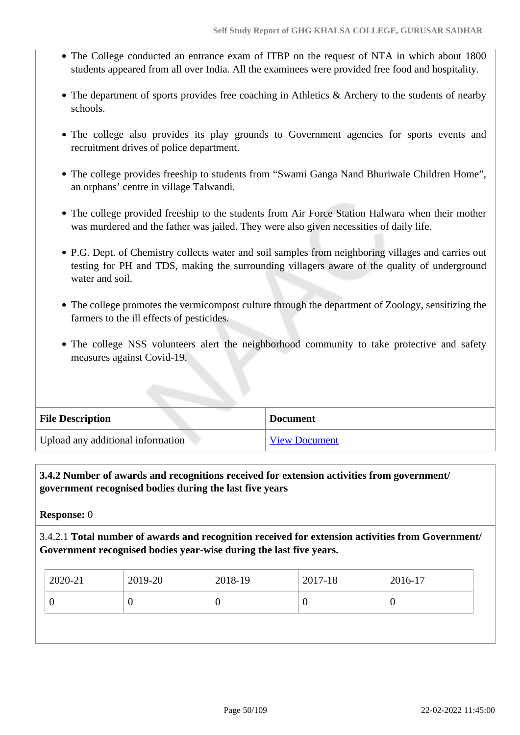- The College conducted an entrance exam of ITBP on the request of NTA in which about 1800 students appeared from all over India. All the examinees were provided free food and hospitality.
- The department of sports provides free coaching in Athletics & Archery to the students of nearby schools.
- The college also provides its play grounds to Government agencies for sports events and recruitment drives of police department.
- The college provides freeship to students from "Swami Ganga Nand Bhuriwale Children Home", an orphans' centre in village Talwandi.
- The college provided freeship to the students from Air Force Station Halwara when their mother was murdered and the father was jailed. They were also given necessities of daily life.
- P.G. Dept. of Chemistry collects water and soil samples from neighboring villages and carries out testing for PH and TDS, making the surrounding villagers aware of the quality of underground water and soil.
- The college promotes the vermicompost culture through the department of Zoology, sensitizing the farmers to the ill effects of pesticides.
- The college NSS volunteers alert the neighborhood community to take protective and safety measures against Covid-19.

| <b>File Description</b>           | <b>Document</b> |
|-----------------------------------|-----------------|
| Upload any additional information | View Document   |

## **3.4.2 Number of awards and recognitions received for extension activities from government/ government recognised bodies during the last five years**

**Response:** 0

3.4.2.1 **Total number of awards and recognition received for extension activities from Government/ Government recognised bodies year-wise during the last five years.**

| 2020-21<br>2019-20<br>2017-18<br>2018-19 | 2016-17 |
|------------------------------------------|---------|
| U<br>U<br>v                              |         |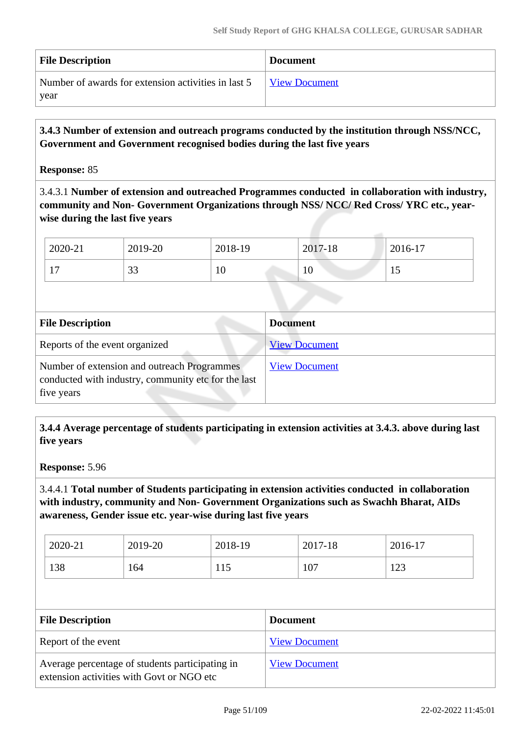| <b>File Description</b>                             | <b>Document</b>      |
|-----------------------------------------------------|----------------------|
| Number of awards for extension activities in last 5 | <b>View Document</b> |
| year                                                |                      |

 **3.4.3 Number of extension and outreach programs conducted by the institution through NSS/NCC, Government and Government recognised bodies during the last five years**

### **Response:** 85

3.4.3.1 **Number of extension and outreached Programmes conducted in collaboration with industry, community and Non- Government Organizations through NSS/ NCC/ Red Cross/ YRC etc., yearwise during the last five years**

| 2020-21                         | 2019-20   | 2018-19 | 2017-18 | 2016-17 |
|---------------------------------|-----------|---------|---------|---------|
| $1 \mathcal{F}$<br>$\mathbf{r}$ | n n<br>IJ | 10      | 10      | ⊥ J     |

| <b>File Description</b>                                                                                          | <b>Document</b>      |
|------------------------------------------------------------------------------------------------------------------|----------------------|
| Reports of the event organized                                                                                   | <b>View Document</b> |
| Number of extension and outreach Programmes<br>conducted with industry, community etc for the last<br>five years | <b>View Document</b> |

 **3.4.4 Average percentage of students participating in extension activities at 3.4.3. above during last five years**

**Response:** 5.96

3.4.4.1 **Total number of Students participating in extension activities conducted in collaboration with industry, community and Non- Government Organizations such as Swachh Bharat, AIDs awareness, Gender issue etc. year-wise during last five years**

| 2020-21 | 2019-20 | 2018-19 | 2017-18 | $2016-17$ |
|---------|---------|---------|---------|-----------|
| 138     | 164     | 115     | 107     | 123       |

| <b>File Description</b>                                                                      | <b>Document</b>      |
|----------------------------------------------------------------------------------------------|----------------------|
| Report of the event                                                                          | <b>View Document</b> |
| Average percentage of students participating in<br>extension activities with Govt or NGO etc | <b>View Document</b> |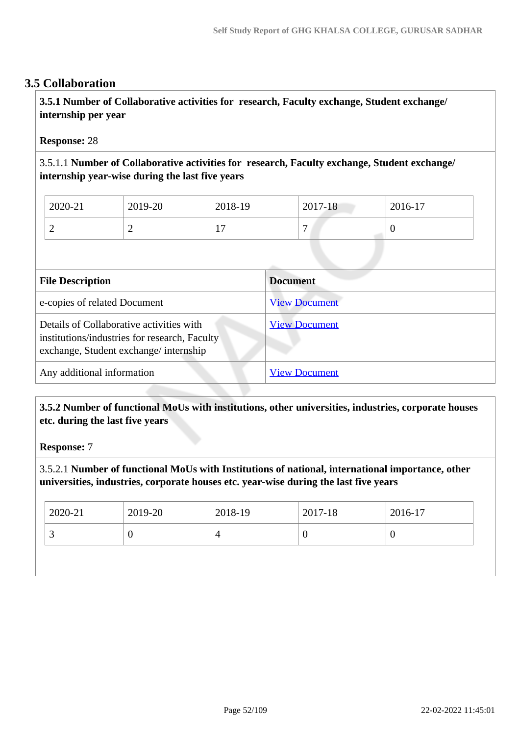## **3.5 Collaboration**

 **3.5.1 Number of Collaborative activities for research, Faculty exchange, Student exchange/ internship per year**

### **Response:** 28

3.5.1.1 **Number of Collaborative activities for research, Faculty exchange, Student exchange/ internship year-wise during the last five years**

| 2020-21 | 2019-20 | 2018-19                         | 2017-18      | 2016-17 |
|---------|---------|---------------------------------|--------------|---------|
|         |         | $\overline{\phantom{a}}$<br>. . | $\mathbf{r}$ | ◡       |

| <b>File Description</b>                                                                                                            | <b>Document</b>      |
|------------------------------------------------------------------------------------------------------------------------------------|----------------------|
| e-copies of related Document                                                                                                       | <b>View Document</b> |
| Details of Collaborative activities with<br>institutions/industries for research, Faculty<br>exchange, Student exchange/internship | <b>View Document</b> |
| Any additional information                                                                                                         | <b>View Document</b> |

 **3.5.2 Number of functional MoUs with institutions, other universities, industries, corporate houses etc. during the last five years** 

### **Response:** 7

3.5.2.1 **Number of functional MoUs with Institutions of national, international importance, other universities, industries, corporate houses etc. year-wise during the last five years**

| 2020-21 | 2019-20 | 2018-19 | 2017-18       | 2016-17 |
|---------|---------|---------|---------------|---------|
|         | U       |         | $\mathcal{L}$ | ν       |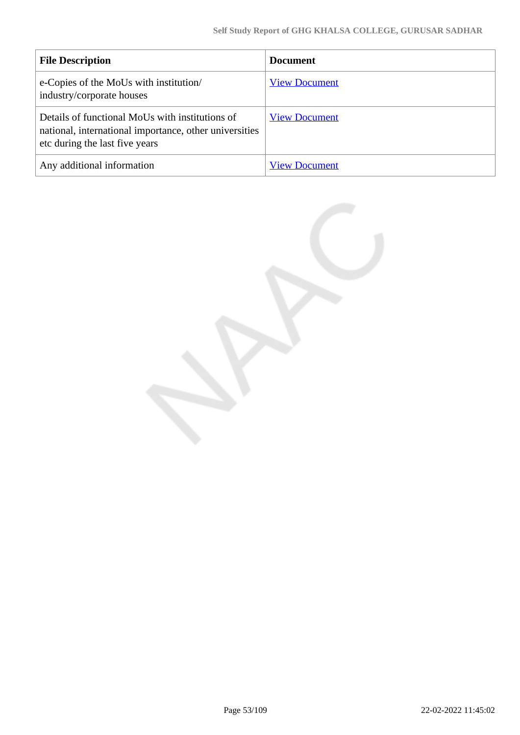| <b>File Description</b>                                                                                                                     | <b>Document</b>      |
|---------------------------------------------------------------------------------------------------------------------------------------------|----------------------|
| e-Copies of the MoUs with institution/<br>industry/corporate houses                                                                         | <b>View Document</b> |
| Details of functional MoUs with institutions of<br>national, international importance, other universities<br>etc during the last five years | <b>View Document</b> |
| Any additional information                                                                                                                  | <b>View Document</b> |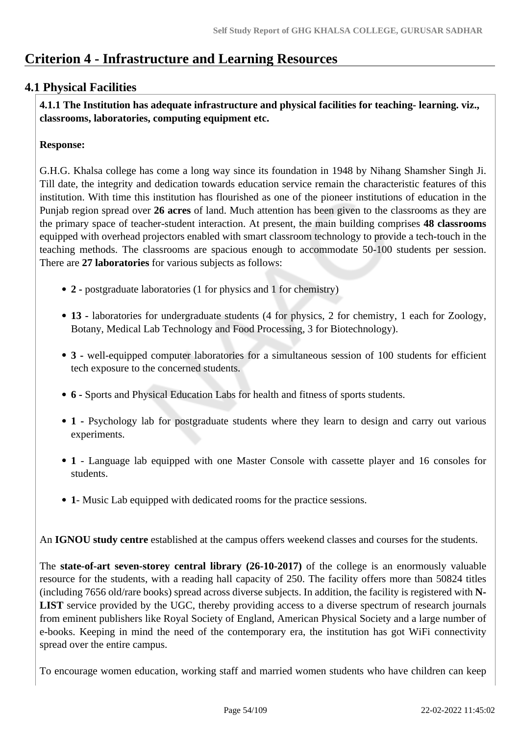# **Criterion 4 - Infrastructure and Learning Resources**

## **4.1 Physical Facilities**

 **4.1.1 The Institution has adequate infrastructure and physical facilities for teaching- learning. viz., classrooms, laboratories, computing equipment etc.** 

### **Response:**

G.H.G. Khalsa college has come a long way since its foundation in 1948 by Nihang Shamsher Singh Ji. Till date, the integrity and dedication towards education service remain the characteristic features of this institution. With time this institution has flourished as one of the pioneer institutions of education in the Punjab region spread over **26 acres** of land. Much attention has been given to the classrooms as they are the primary space of teacher-student interaction. At present, the main building comprises **48 classrooms** equipped with overhead projectors enabled with smart classroom technology to provide a tech-touch in the teaching methods. The classrooms are spacious enough to accommodate 50-100 students per session. There are **27 laboratories** for various subjects as follows:

- **2 -** postgraduate laboratories (1 for physics and 1 for chemistry)
- **13 -** laboratories for undergraduate students (4 for physics, 2 for chemistry, 1 each for Zoology, Botany, Medical Lab Technology and Food Processing, 3 for Biotechnology).
- **3** well-equipped computer laboratories for a simultaneous session of 100 students for efficient tech exposure to the concerned students.
- **6** Sports and Physical Education Labs for health and fitness of sports students.
- **1** Psychology lab for postgraduate students where they learn to design and carry out various experiments.
- **1** Language lab equipped with one Master Console with cassette player and 16 consoles for students.
- **1** Music Lab equipped with dedicated rooms for the practice sessions.

An **IGNOU study centre** established at the campus offers weekend classes and courses for the students.

The **state-of-art seven-storey central library (26-10-2017)** of the college is an enormously valuable resource for the students, with a reading hall capacity of 250. The facility offers more than 50824 titles (including 7656 old/rare books) spread across diverse subjects. In addition, the facility is registered with **N-LIST** service provided by the UGC, thereby providing access to a diverse spectrum of research journals from eminent publishers like Royal Society of England, American Physical Society and a large number of e-books. Keeping in mind the need of the contemporary era, the institution has got WiFi connectivity spread over the entire campus.

To encourage women education, working staff and married women students who have children can keep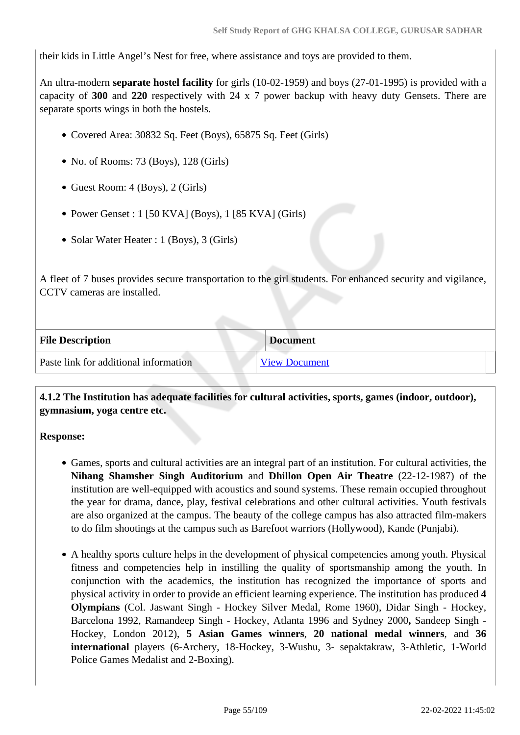their kids in Little Angel's Nest for free, where assistance and toys are provided to them.

An ultra-modern **separate hostel facility** for girls (10-02-1959) and boys (27-01-1995) is provided with a capacity of **300** and **220** respectively with 24 x 7 power backup with heavy duty Gensets. There are separate sports wings in both the hostels.

- Covered Area: 30832 Sq. Feet (Boys), 65875 Sq. Feet (Girls)
- No. of Rooms: 73 (Boys), 128 (Girls)
- Guest Room: 4 (Boys), 2 (Girls)
- Power Genset : 1 [50 KVA] (Boys), 1 [85 KVA] (Girls)
- Solar Water Heater : 1 (Boys), 3 (Girls)

A fleet of 7 buses provides secure transportation to the girl students. For enhanced security and vigilance, CCTV cameras are installed.

| <b>File Description</b>               | <b>Document</b>      |
|---------------------------------------|----------------------|
| Paste link for additional information | <b>View Document</b> |

 **4.1.2 The Institution has adequate facilities for cultural activities, sports, games (indoor, outdoor), gymnasium, yoga centre etc.** 

### **Response:**

- Games, sports and cultural activities are an integral part of an institution. For cultural activities, the **Nihang Shamsher Singh Auditorium** and **Dhillon Open Air Theatre** (22-12-1987) of the institution are well-equipped with acoustics and sound systems. These remain occupied throughout the year for drama, dance, play, festival celebrations and other cultural activities. Youth festivals are also organized at the campus. The beauty of the college campus has also attracted film-makers to do film shootings at the campus such as Barefoot warriors (Hollywood), Kande (Punjabi).
- A healthy sports culture helps in the development of physical competencies among youth. Physical fitness and competencies help in instilling the quality of sportsmanship among the youth. In conjunction with the academics, the institution has recognized the importance of sports and physical activity in order to provide an efficient learning experience. The institution has produced **4 Olympians** (Col. Jaswant Singh - Hockey Silver Medal, Rome 1960), Didar Singh - Hockey, Barcelona 1992, Ramandeep Singh - Hockey, Atlanta 1996 and Sydney 2000**,** Sandeep Singh - Hockey, London 2012), **5 Asian Games winners**, **20 national medal winners**, and **36 international** players (6-Archery, 18-Hockey, 3-Wushu, 3- sepaktakraw, 3-Athletic, 1-World Police Games Medalist and 2-Boxing).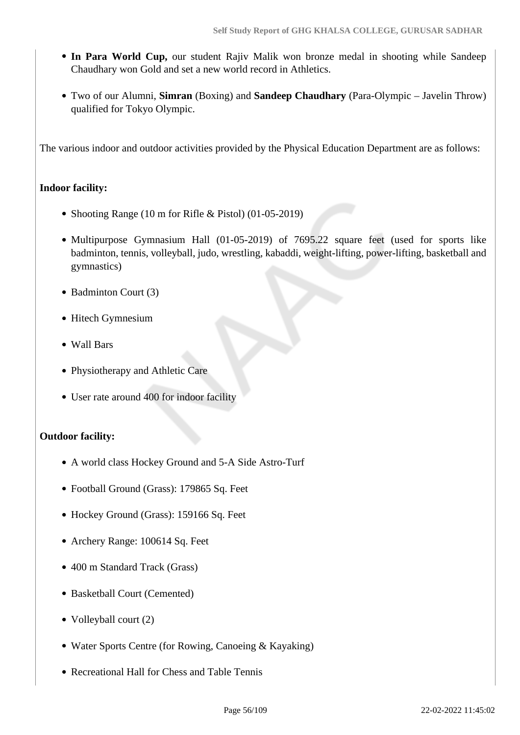- In Para World Cup, our student Rajiv Malik won bronze medal in shooting while Sandeep Chaudhary won Gold and set a new world record in Athletics.
- Two of our Alumni, **Simran** (Boxing) and **Sandeep Chaudhary** (Para-Olympic Javelin Throw) qualified for Tokyo Olympic.

The various indoor and outdoor activities provided by the Physical Education Department are as follows:

## **Indoor facility:**

- Shooting Range (10 m for Rifle & Pistol) (01-05-2019)
- Multipurpose Gymnasium Hall (01-05-2019) of 7695.22 square feet (used for sports like badminton, tennis, volleyball, judo, wrestling, kabaddi, weight-lifting, power-lifting, basketball and gymnastics)
- Badminton Court (3)
- Hitech Gymnesium
- Wall Bars
- Physiotherapy and Athletic Care
- User rate around 400 for indoor facility

## **Outdoor facility:**

- A world class Hockey Ground and 5-A Side Astro-Turf
- Football Ground (Grass): 179865 Sq. Feet
- Hockey Ground (Grass): 159166 Sq. Feet
- Archery Range: 100614 Sq. Feet
- 400 m Standard Track (Grass)
- Basketball Court (Cemented)
- Volleyball court (2)
- Water Sports Centre (for Rowing, Canoeing & Kayaking)
- Recreational Hall for Chess and Table Tennis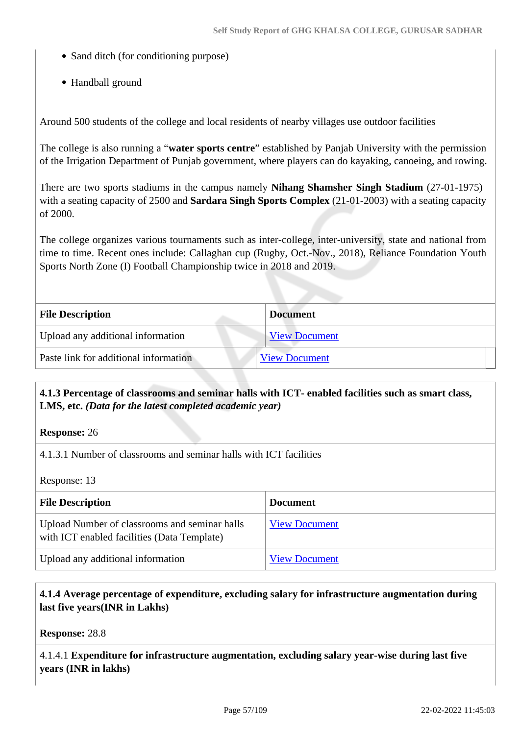- Sand ditch (for conditioning purpose)
- Handball ground

Around 500 students of the college and local residents of nearby villages use outdoor facilities

The college is also running a "**water sports centre**" established by Panjab University with the permission of the Irrigation Department of Punjab government, where players can do kayaking, canoeing, and rowing.

There are two sports stadiums in the campus namely **Nihang Shamsher Singh Stadium** (27-01-1975) with a seating capacity of 2500 and **Sardara Singh Sports Complex** (21-01-2003) with a seating capacity of 2000.

The college organizes various tournaments such as inter-college, inter-university, state and national from time to time. Recent ones include: Callaghan cup (Rugby, Oct.-Nov., 2018), Reliance Foundation Youth Sports North Zone (I) Football Championship twice in 2018 and 2019.

| <b>File Description</b>               | <b>Document</b>      |
|---------------------------------------|----------------------|
| Upload any additional information     | <b>View Document</b> |
| Paste link for additional information | <b>View Document</b> |

## **4.1.3 Percentage of classrooms and seminar halls with ICT- enabled facilities such as smart class, LMS, etc.** *(Data for the latest completed academic year)*

**Response:** 26

4.1.3.1 Number of classrooms and seminar halls with ICT facilities

Response: 13

| <b>File Description</b>                                                                      | <b>Document</b>      |
|----------------------------------------------------------------------------------------------|----------------------|
| Upload Number of classrooms and seminar halls<br>with ICT enabled facilities (Data Template) | <b>View Document</b> |
| Upload any additional information                                                            | <b>View Document</b> |

## **4.1.4 Average percentage of expenditure, excluding salary for infrastructure augmentation during last five years(INR in Lakhs)**

**Response:** 28.8

4.1.4.1 **Expenditure for infrastructure augmentation, excluding salary year-wise during last five years (INR in lakhs)**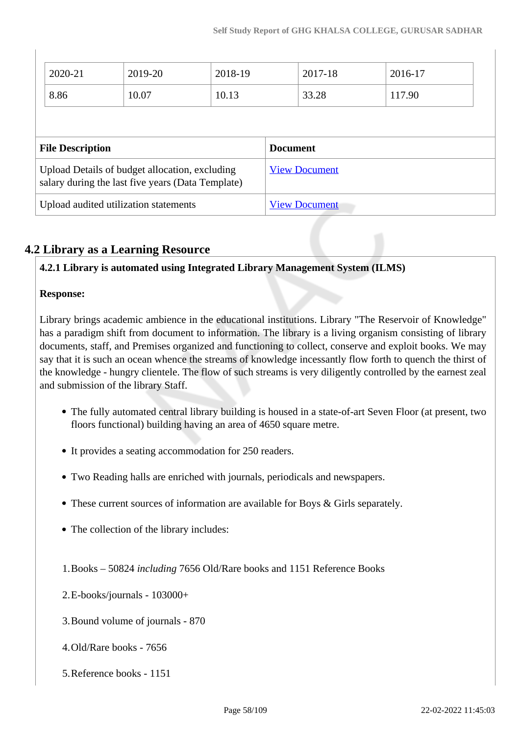| 2020-21                 | 2019-20                                                                                             | 2018-19 |                 | 2017-18              | 2016-17 |  |
|-------------------------|-----------------------------------------------------------------------------------------------------|---------|-----------------|----------------------|---------|--|
| 8.86                    | 10.07                                                                                               | 10.13   |                 | 33.28                | 117.90  |  |
|                         |                                                                                                     |         |                 |                      |         |  |
|                         |                                                                                                     |         |                 |                      |         |  |
| <b>File Description</b> |                                                                                                     |         | <b>Document</b> |                      |         |  |
|                         | Upload Details of budget allocation, excluding<br>salary during the last five years (Data Template) |         |                 | <b>View Document</b> |         |  |

## **4.2 Library as a Learning Resource**

## **4.2.1 Library is automated using Integrated Library Management System (ILMS)**

### **Response:**

Library brings academic ambience in the educational institutions. Library "The Reservoir of Knowledge" has a paradigm shift from document to information. The library is a living organism consisting of library documents, staff, and Premises organized and functioning to collect, conserve and exploit books. We may say that it is such an ocean whence the streams of knowledge incessantly flow forth to quench the thirst of the knowledge - hungry clientele. The flow of such streams is very diligently controlled by the earnest zeal and submission of the library Staff.

- The fully automated central library building is housed in a state-of-art Seven Floor (at present, two floors functional) building having an area of 4650 square metre.
- It provides a seating accommodation for 250 readers.
- Two Reading halls are enriched with journals, periodicals and newspapers.
- These current sources of information are available for Boys & Girls separately.
- The collection of the library includes:
- 1.Books 50824 *including* 7656 Old/Rare books and 1151 Reference Books
- 2.E-books/journals 103000+
- 3.Bound volume of journals 870
- 4.Old/Rare books 7656
- 5.Reference books 1151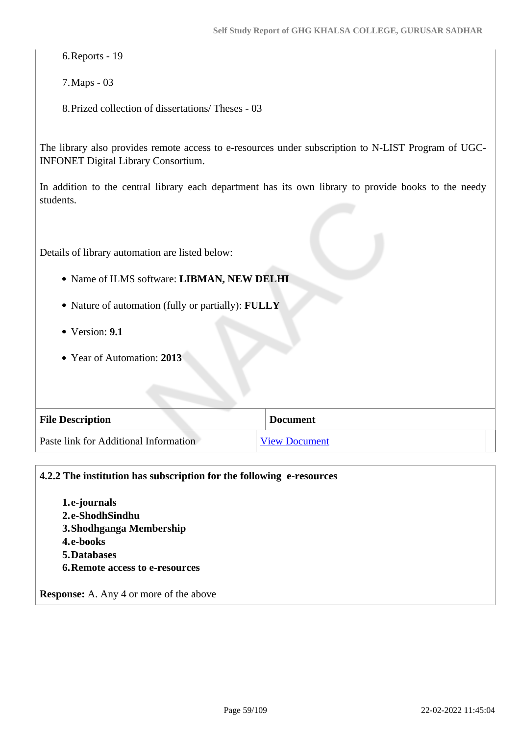6.Reports - 19

7.Maps - 03

8.Prized collection of dissertations/ Theses - 03

The library also provides remote access to e-resources under subscription to N-LIST Program of UGC-INFONET Digital Library Consortium.

In addition to the central library each department has its own library to provide books to the needy students.

Details of library automation are listed below:

- Name of ILMS software: **LIBMAN, NEW DELHI**
- Nature of automation (fully or partially): **FULLY**
- Version: **9.1**
- Year of Automation: **2013**

| <b>File Description</b>               | <b>Document</b>      |
|---------------------------------------|----------------------|
| Paste link for Additional Information | <b>View Document</b> |

## **4.2.2 The institution has subscription for the following e-resources**

**1.e-journals 2.e-ShodhSindhu 3.Shodhganga Membership 4.e-books 5.Databases 6.Remote access to e-resources**

**Response:** A. Any 4 or more of the above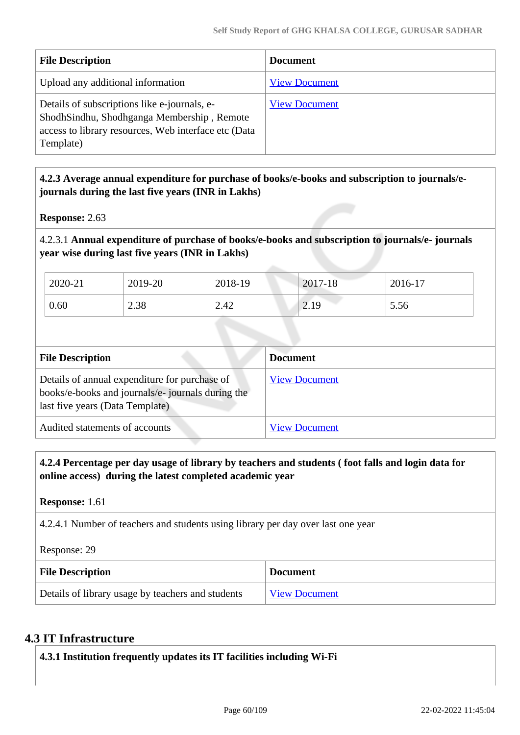| <b>File Description</b>                                                                                                                                         | <b>Document</b>      |
|-----------------------------------------------------------------------------------------------------------------------------------------------------------------|----------------------|
| Upload any additional information                                                                                                                               | <b>View Document</b> |
| Details of subscriptions like e-journals, e-<br>ShodhSindhu, Shodhganga Membership, Remote<br>access to library resources, Web interface etc (Data<br>Template) | <b>View Document</b> |

## **4.2.3 Average annual expenditure for purchase of books/e-books and subscription to journals/ejournals during the last five years (INR in Lakhs)**

**Response:** 2.63

4.2.3.1 **Annual expenditure of purchase of books/e-books and subscription to journals/e- journals year wise during last five years (INR in Lakhs)**

| 2020-21 | 2019-20 | 2018-19 | 2017-18    | 2016-17 |
|---------|---------|---------|------------|---------|
| 0.60    | 2.38    | 2.42    | 10<br>4.12 | 5.56    |

| <b>File Description</b>                                                                                                              | <b>Document</b>      |
|--------------------------------------------------------------------------------------------------------------------------------------|----------------------|
| Details of annual expenditure for purchase of<br>books/e-books and journals/e-journals during the<br>last five years (Data Template) | <b>View Document</b> |
| Audited statements of accounts                                                                                                       | <b>View Document</b> |

 **4.2.4 Percentage per day usage of library by teachers and students ( foot falls and login data for online access) during the latest completed academic year**

**Response:** 1.61

4.2.4.1 Number of teachers and students using library per day over last one year

Response: 29

| <b>File Description</b>                           | <b>Document</b>      |
|---------------------------------------------------|----------------------|
| Details of library usage by teachers and students | <b>View Document</b> |

## **4.3 IT Infrastructure**

**4.3.1 Institution frequently updates its IT facilities including Wi-Fi**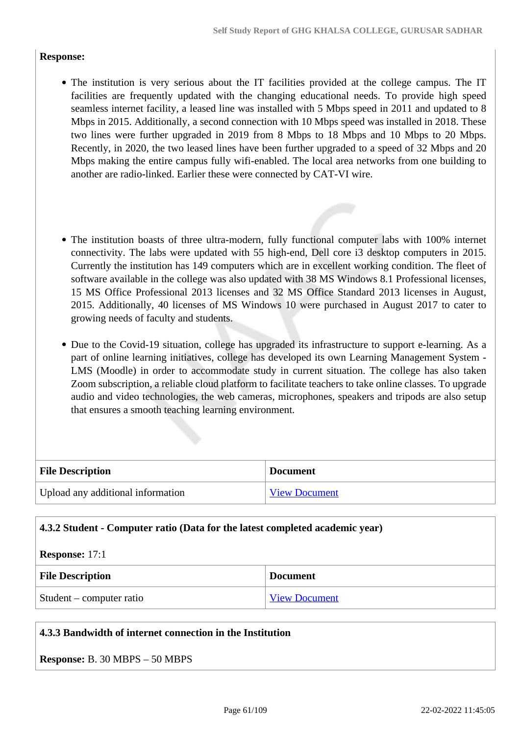### **Response:**

- The institution is very serious about the IT facilities provided at the college campus. The IT facilities are frequently updated with the changing educational needs. To provide high speed seamless internet facility, a leased line was installed with 5 Mbps speed in 2011 and updated to 8 Mbps in 2015. Additionally, a second connection with 10 Mbps speed was installed in 2018. These two lines were further upgraded in 2019 from 8 Mbps to 18 Mbps and 10 Mbps to 20 Mbps. Recently, in 2020, the two leased lines have been further upgraded to a speed of 32 Mbps and 20 Mbps making the entire campus fully wifi-enabled. The local area networks from one building to another are radio-linked. Earlier these were connected by CAT-VI wire.
- The institution boasts of three ultra-modern, fully functional computer labs with 100% internet connectivity. The labs were updated with 55 high-end, Dell core i3 desktop computers in 2015. Currently the institution has 149 computers which are in excellent working condition. The fleet of software available in the college was also updated with 38 MS Windows 8.1 Professional licenses, 15 MS Office Professional 2013 licenses and 32 MS Office Standard 2013 licenses in August, 2015. Additionally, 40 licenses of MS Windows 10 were purchased in August 2017 to cater to growing needs of faculty and students.
- Due to the Covid-19 situation, college has upgraded its infrastructure to support e-learning. As a part of online learning initiatives, college has developed its own Learning Management System - LMS (Moodle) in order to accommodate study in current situation. The college has also taken Zoom subscription, a reliable cloud platform to facilitate teachers to take online classes. To upgrade audio and video technologies, the web cameras, microphones, speakers and tripods are also setup that ensures a smooth teaching learning environment.

| <b>File Description</b>           | <b>Document</b>      |
|-----------------------------------|----------------------|
| Upload any additional information | <b>View Document</b> |

| 4.3.2 Student - Computer ratio (Data for the latest completed academic year) |                      |  |
|------------------------------------------------------------------------------|----------------------|--|
| <b>Response:</b> $17:1$                                                      |                      |  |
| <b>File Description</b>                                                      | <b>Document</b>      |  |
| $Student$ – computer ratio                                                   | <b>View Document</b> |  |

### **4.3.3 Bandwidth of internet connection in the Institution**

| <b>Response:</b> B. 30 MBPS – 50 MBPS |  |  |  |  |  |  |
|---------------------------------------|--|--|--|--|--|--|
|---------------------------------------|--|--|--|--|--|--|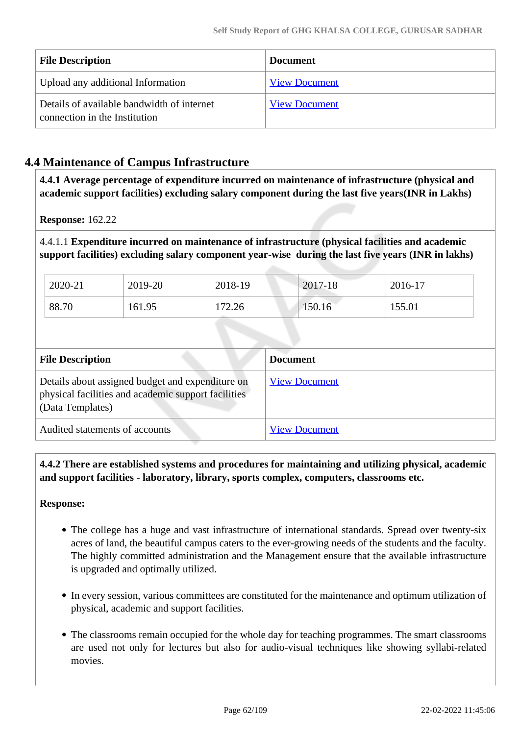| <b>File Description</b>                                                     | <b>Document</b>      |
|-----------------------------------------------------------------------------|----------------------|
| Upload any additional Information                                           | <b>View Document</b> |
| Details of available bandwidth of internet<br>connection in the Institution | <b>View Document</b> |

# **4.4 Maintenance of Campus Infrastructure**

 **4.4.1 Average percentage of expenditure incurred on maintenance of infrastructure (physical and academic support facilities) excluding salary component during the last five years(INR in Lakhs)**

**Response:** 162.22

4.4.1.1 **Expenditure incurred on maintenance of infrastructure (physical facilities and academic support facilities) excluding salary component year-wise during the last five years (INR in lakhs)**

| 2020-21 | 2019-20 | 2018-19 | 2017-18 | $2016-17$ |
|---------|---------|---------|---------|-----------|
| 88.70   | 161.95  | 172.26  | 150.16  | 155.01    |

| <b>File Description</b>                                                                                                     | <b>Document</b>      |
|-----------------------------------------------------------------------------------------------------------------------------|----------------------|
| Details about assigned budget and expenditure on<br>physical facilities and academic support facilities<br>(Data Templates) | <b>View Document</b> |
| Audited statements of accounts                                                                                              | <b>View Document</b> |

 **4.4.2 There are established systems and procedures for maintaining and utilizing physical, academic and support facilities - laboratory, library, sports complex, computers, classrooms etc.**

### **Response:**

- The college has a huge and vast infrastructure of international standards. Spread over twenty-six acres of land, the beautiful campus caters to the ever-growing needs of the students and the faculty. The highly committed administration and the Management ensure that the available infrastructure is upgraded and optimally utilized.
- In every session, various committees are constituted for the maintenance and optimum utilization of physical, academic and support facilities.
- The classrooms remain occupied for the whole day for teaching programmes. The smart classrooms are used not only for lectures but also for audio-visual techniques like showing syllabi-related movies.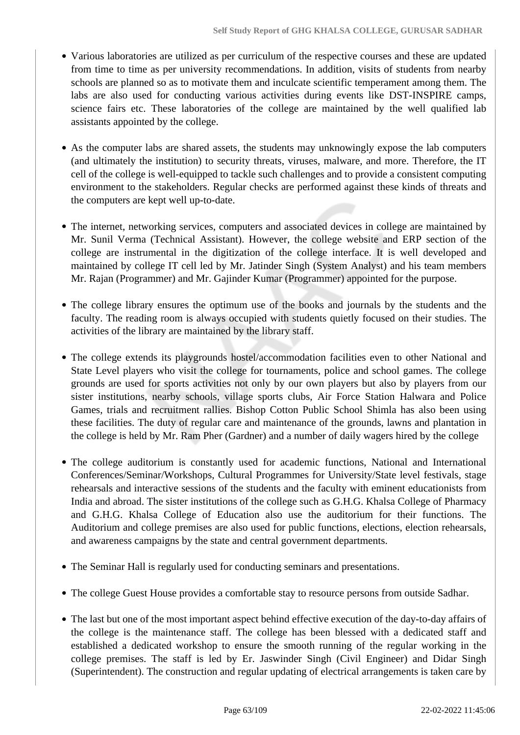- Various laboratories are utilized as per curriculum of the respective courses and these are updated from time to time as per university recommendations. In addition, visits of students from nearby schools are planned so as to motivate them and inculcate scientific temperament among them. The labs are also used for conducting various activities during events like DST-INSPIRE camps, science fairs etc. These laboratories of the college are maintained by the well qualified lab assistants appointed by the college.
- As the computer labs are shared assets, the students may unknowingly expose the lab computers (and ultimately the institution) to security threats, viruses, malware, and more. Therefore, the IT cell of the college is well-equipped to tackle such challenges and to provide a consistent computing environment to the stakeholders. Regular checks are performed against these kinds of threats and the computers are kept well up-to-date.
- The internet, networking services, computers and associated devices in college are maintained by Mr. Sunil Verma (Technical Assistant). However, the college website and ERP section of the college are instrumental in the digitization of the college interface. It is well developed and maintained by college IT cell led by Mr. Jatinder Singh (System Analyst) and his team members Mr. Rajan (Programmer) and Mr. Gajinder Kumar (Programmer) appointed for the purpose.
- The college library ensures the optimum use of the books and journals by the students and the faculty. The reading room is always occupied with students quietly focused on their studies. The activities of the library are maintained by the library staff.
- The college extends its playgrounds hostel/accommodation facilities even to other National and State Level players who visit the college for tournaments, police and school games. The college grounds are used for sports activities not only by our own players but also by players from our sister institutions, nearby schools, village sports clubs, Air Force Station Halwara and Police Games, trials and recruitment rallies. Bishop Cotton Public School Shimla has also been using these facilities. The duty of regular care and maintenance of the grounds, lawns and plantation in the college is held by Mr. Ram Pher (Gardner) and a number of daily wagers hired by the college
- The college auditorium is constantly used for academic functions, National and International Conferences/Seminar/Workshops, Cultural Programmes for University/State level festivals, stage rehearsals and interactive sessions of the students and the faculty with eminent educationists from India and abroad. The sister institutions of the college such as G.H.G. Khalsa College of Pharmacy and G.H.G. Khalsa College of Education also use the auditorium for their functions. The Auditorium and college premises are also used for public functions, elections, election rehearsals, and awareness campaigns by the state and central government departments.
- The Seminar Hall is regularly used for conducting seminars and presentations.
- The college Guest House provides a comfortable stay to resource persons from outside Sadhar.
- The last but one of the most important aspect behind effective execution of the day-to-day affairs of the college is the maintenance staff. The college has been blessed with a dedicated staff and established a dedicated workshop to ensure the smooth running of the regular working in the college premises. The staff is led by Er. Jaswinder Singh (Civil Engineer) and Didar Singh (Superintendent). The construction and regular updating of electrical arrangements is taken care by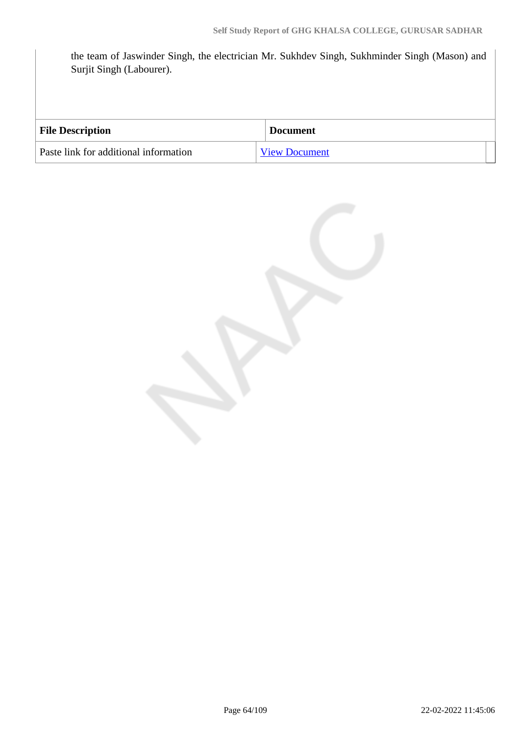the team of Jaswinder Singh, the electrician Mr. Sukhdev Singh, Sukhminder Singh (Mason) and Surjit Singh (Labourer).

| <b>File Description</b>               | <b>Document</b>      |
|---------------------------------------|----------------------|
| Paste link for additional information | <b>View Document</b> |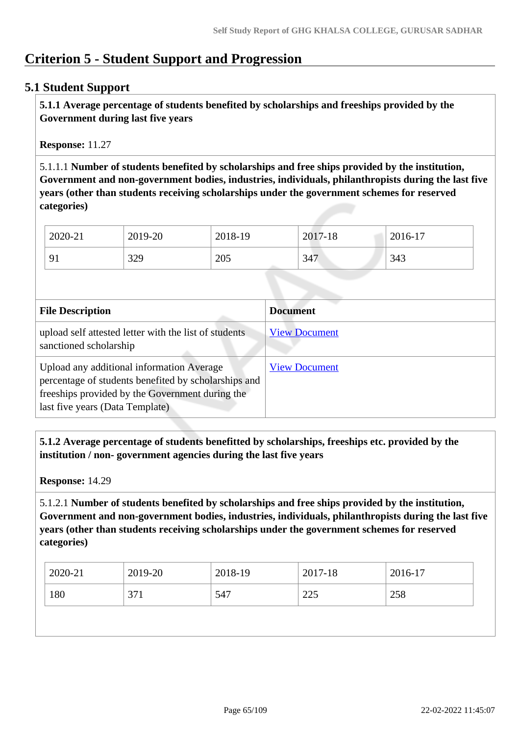# **Criterion 5 - Student Support and Progression**

## **5.1 Student Support**

 **5.1.1 Average percentage of students benefited by scholarships and freeships provided by the Government during last five years** 

**Response:** 11.27

5.1.1.1 **Number of students benefited by scholarships and free ships provided by the institution, Government and non-government bodies, industries, individuals, philanthropists during the last five years (other than students receiving scholarships under the government schemes for reserved categories)** 

| 2020-21        | 2019-20 | 2018-19 | 2017-18 | 2016-17 |
|----------------|---------|---------|---------|---------|
| Q <sub>1</sub> | 329     | 205     | 347     | 343     |

| <b>File Description</b>                                                                                                                                                                 | <b>Document</b>      |
|-----------------------------------------------------------------------------------------------------------------------------------------------------------------------------------------|----------------------|
| upload self attested letter with the list of students<br>sanctioned scholarship                                                                                                         | <b>View Document</b> |
| Upload any additional information Average<br>percentage of students benefited by scholarships and<br>freeships provided by the Government during the<br>last five years (Data Template) | <b>View Document</b> |

 **5.1.2 Average percentage of students benefitted by scholarships, freeships etc. provided by the institution / non- government agencies during the last five years**

**Response:** 14.29

5.1.2.1 **Number of students benefited by scholarships and free ships provided by the institution, Government and non-government bodies, industries, individuals, philanthropists during the last five years (other than students receiving scholarships under the government schemes for reserved categories)** 

| 2020-21 | 2019-20 | 2018-19 | 2017-18       | 2016-17 |
|---------|---------|---------|---------------|---------|
| 180     | 371     | 547     | 225<br>ل کرکے | 258     |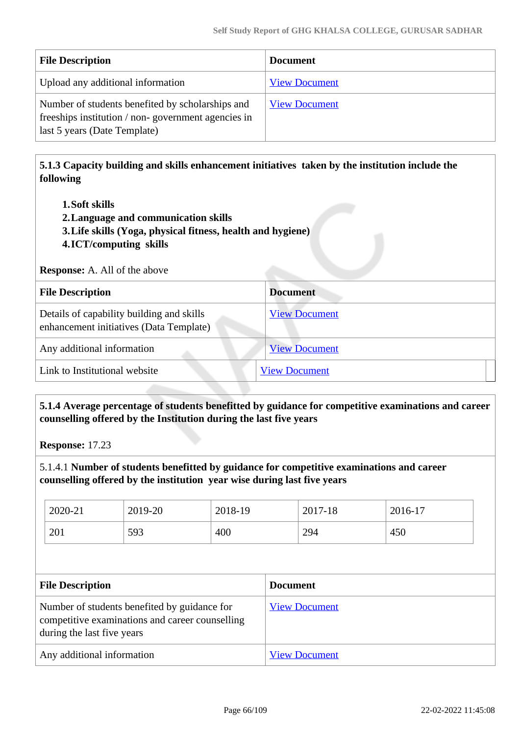| <b>File Description</b>                                                                                                                | <b>Document</b>      |
|----------------------------------------------------------------------------------------------------------------------------------------|----------------------|
| Upload any additional information                                                                                                      | <b>View Document</b> |
| Number of students benefited by scholarships and<br>freeships institution / non-government agencies in<br>last 5 years (Date Template) | <b>View Document</b> |

 **5.1.3 Capacity building and skills enhancement initiatives taken by the institution include the following**

- **1.Soft skills**
- **2.Language and communication skills**
- **3.Life skills (Yoga, physical fitness, health and hygiene)**
- **4.ICT/computing skills**

**Response:** A. All of the above

| <b>File Description</b>                                                              | <b>Document</b>      |
|--------------------------------------------------------------------------------------|----------------------|
| Details of capability building and skills<br>enhancement initiatives (Data Template) | <b>View Document</b> |
| Any additional information                                                           | <b>View Document</b> |
| Link to Institutional website                                                        | <b>View Document</b> |

 **5.1.4 Average percentage of students benefitted by guidance for competitive examinations and career counselling offered by the Institution during the last five years**

**Response:** 17.23

5.1.4.1 **Number of students benefitted by guidance for competitive examinations and career counselling offered by the institution year wise during last five years**

| 2020-21 | 2019-20 | 2018-19 | 2017-18 | 2016-17 |
|---------|---------|---------|---------|---------|
| 201     | 593     | 400     | 294     | 450     |

| <b>File Description</b>                                                                                                       | <b>Document</b>      |
|-------------------------------------------------------------------------------------------------------------------------------|----------------------|
| Number of students benefited by guidance for<br>competitive examinations and career counselling<br>during the last five years | <b>View Document</b> |
| Any additional information                                                                                                    | <b>View Document</b> |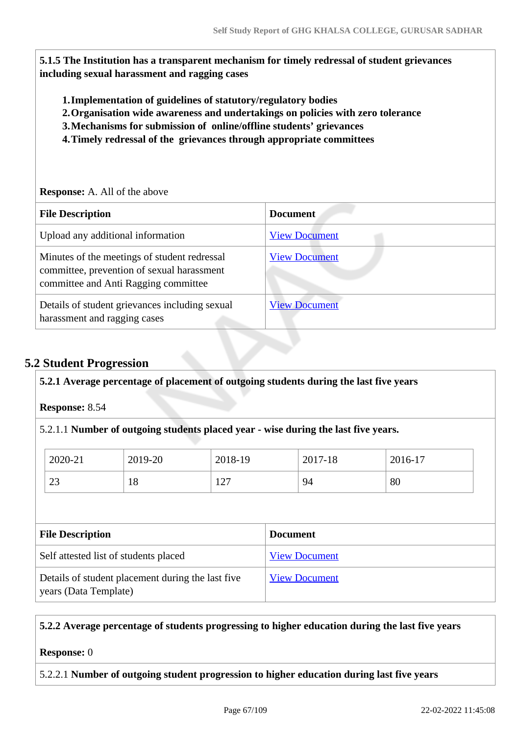**5.1.5 The Institution has a transparent mechanism for timely redressal of student grievances including sexual harassment and ragging cases**

- **1.Implementation of guidelines of statutory/regulatory bodies**
- **2.Organisation wide awareness and undertakings on policies with zero tolerance**
- **3.Mechanisms for submission of online/offline students' grievances**
- **4.Timely redressal of the grievances through appropriate committees**

### **Response:** A. All of the above

| <b>File Description</b>                                                                                                            | <b>Document</b>      |
|------------------------------------------------------------------------------------------------------------------------------------|----------------------|
| Upload any additional information                                                                                                  | <b>View Document</b> |
| Minutes of the meetings of student redressal<br>committee, prevention of sexual harassment<br>committee and Anti Ragging committee | <b>View Document</b> |
| Details of student grievances including sexual<br>harassment and ragging cases                                                     | <b>View Document</b> |

## **5.2 Student Progression**

### **5.2.1 Average percentage of placement of outgoing students during the last five years**

**Response:** 8.54

### 5.2.1.1 **Number of outgoing students placed year - wise during the last five years.**

| 2020-21       | 2019-20 | 2018-19           | 2017-18 | 2016-17 |
|---------------|---------|-------------------|---------|---------|
| $\cap$<br>ر ے | 1 O     | $\sqrt{2}$<br>⊥∠⊥ | 94      | 80      |

| <b>File Description</b>                                                    | <b>Document</b>      |
|----------------------------------------------------------------------------|----------------------|
| Self attested list of students placed                                      | <b>View Document</b> |
| Details of student placement during the last five<br>years (Data Template) | <b>View Document</b> |

### **5.2.2 Average percentage of students progressing to higher education during the last five years**

#### **Response:** 0

#### 5.2.2.1 **Number of outgoing student progression to higher education during last five years**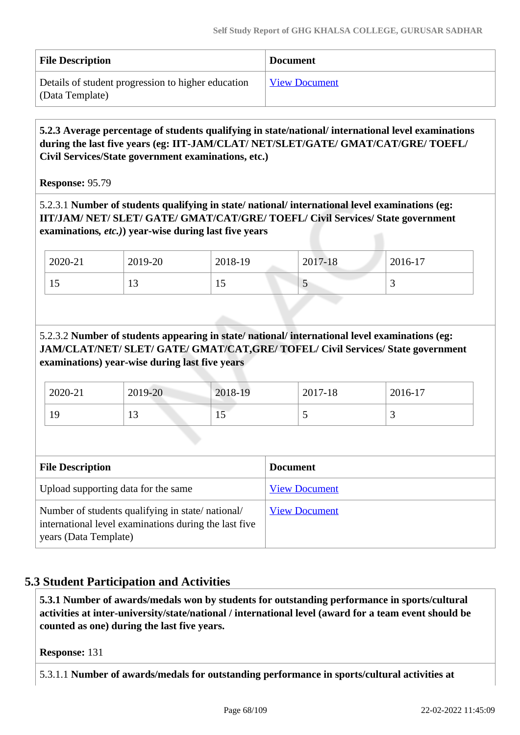| <b>File Description</b>                                               | <b>Document</b>      |
|-----------------------------------------------------------------------|----------------------|
| Details of student progression to higher education<br>(Data Template) | <b>View Document</b> |

 **5.2.3 Average percentage of students qualifying in state/national/ international level examinations during the last five years (eg: IIT-JAM/CLAT/ NET/SLET/GATE/ GMAT/CAT/GRE/ TOEFL/ Civil Services/State government examinations, etc.)**

**Response:** 95.79

5.2.3.1 **Number of students qualifying in state/ national/ international level examinations (eg: IIT/JAM/ NET/ SLET/ GATE/ GMAT/CAT/GRE/ TOEFL/ Civil Services/ State government examinations***, etc.)***) year-wise during last five years**

| 2020-21 | 2019-20 | 2018-19        | 2017-18 | 2016-17 |
|---------|---------|----------------|---------|---------|
| IJ      | ⊥ັ      | $\overline{1}$ | ັ       |         |

5.2.3.2 **Number of students appearing in state/ national/ international level examinations (eg: JAM/CLAT/NET/ SLET/ GATE/ GMAT/CAT,GRE/ TOFEL/ Civil Services/ State government examinations) year-wise during last five years**

| 2020-21 | 2019-20 | 2018-19 | 2017-18 | 2016-17  |
|---------|---------|---------|---------|----------|
| 19      | 1 J     | ⊥ັ      |         | <u>ب</u> |

| <b>File Description</b>                                                                                                            | <b>Document</b>      |
|------------------------------------------------------------------------------------------------------------------------------------|----------------------|
| Upload supporting data for the same                                                                                                | <b>View Document</b> |
| Number of students qualifying in state/national/<br>international level examinations during the last five<br>years (Data Template) | <b>View Document</b> |

## **5.3 Student Participation and Activities**

 **5.3.1 Number of awards/medals won by students for outstanding performance in sports/cultural activities at inter-university/state/national / international level (award for a team event should be counted as one) during the last five years.**

**Response:** 131

5.3.1.1 **Number of awards/medals for outstanding performance in sports/cultural activities at**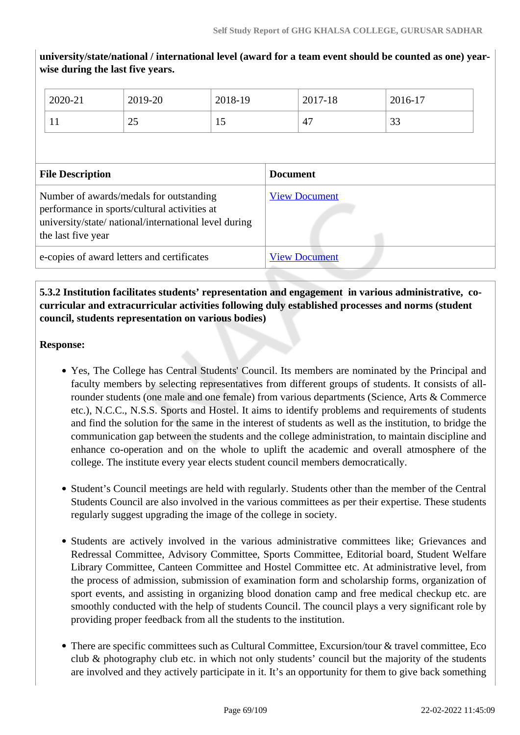**university/state/national / international level (award for a team event should be counted as one) yearwise during the last five years.**

| 2020-21                                                                                                                                                                | 2019-20 | 2018-19 |                      | 2017-18 | 2016-17 |
|------------------------------------------------------------------------------------------------------------------------------------------------------------------------|---------|---------|----------------------|---------|---------|
| 11                                                                                                                                                                     | 25      | 15      |                      | 47      | 33      |
|                                                                                                                                                                        |         |         |                      |         |         |
| <b>File Description</b>                                                                                                                                                |         |         | <b>Document</b>      |         |         |
| Number of awards/medals for outstanding<br>performance in sports/cultural activities at<br>university/state/ national/international level during<br>the last five year |         |         | <b>View Document</b> |         |         |
| e-copies of award letters and certificates                                                                                                                             |         |         | <b>View Document</b> |         |         |

## **5.3.2 Institution facilitates students' representation and engagement in various administrative, cocurricular and extracurricular activities following duly established processes and norms (student council, students representation on various bodies)**

### **Response:**

- Yes, The College has Central Students' Council. Its members are nominated by the Principal and faculty members by selecting representatives from different groups of students. It consists of allrounder students (one male and one female) from various departments (Science, Arts & Commerce etc.), N.C.C., N.S.S. Sports and Hostel. It aims to identify problems and requirements of students and find the solution for the same in the interest of students as well as the institution, to bridge the communication gap between the students and the college administration, to maintain discipline and enhance co-operation and on the whole to uplift the academic and overall atmosphere of the college. The institute every year elects student council members democratically.
- Student's Council meetings are held with regularly. Students other than the member of the Central Students Council are also involved in the various committees as per their expertise. These students regularly suggest upgrading the image of the college in society.
- Students are actively involved in the various administrative committees like; Grievances and Redressal Committee, Advisory Committee, Sports Committee, Editorial board, Student Welfare Library Committee, Canteen Committee and Hostel Committee etc. At administrative level, from the process of admission, submission of examination form and scholarship forms, organization of sport events, and assisting in organizing blood donation camp and free medical checkup etc. are smoothly conducted with the help of students Council. The council plays a very significant role by providing proper feedback from all the students to the institution.
- There are specific committees such as Cultural Committee, Excursion/tour & travel committee, Eco club & photography club etc. in which not only students' council but the majority of the students are involved and they actively participate in it. It's an opportunity for them to give back something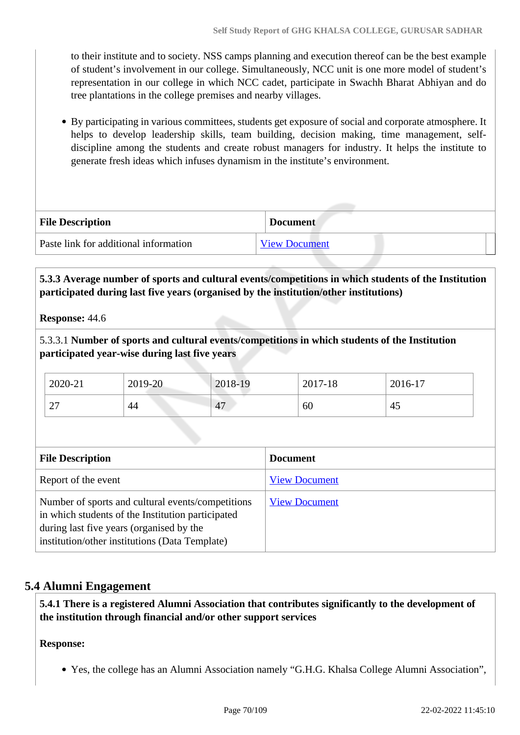to their institute and to society. NSS camps planning and execution thereof can be the best example of student's involvement in our college. Simultaneously, NCC unit is one more model of student's representation in our college in which NCC cadet, participate in Swachh Bharat Abhiyan and do tree plantations in the college premises and nearby villages.

By participating in various committees, students get exposure of social and corporate atmosphere. It helps to develop leadership skills, team building, decision making, time management, selfdiscipline among the students and create robust managers for industry. It helps the institute to generate fresh ideas which infuses dynamism in the institute's environment.

| <b>File Description</b>               | <b>Document</b>      |
|---------------------------------------|----------------------|
| Paste link for additional information | <b>View Document</b> |

 **5.3.3 Average number of sports and cultural events/competitions in which students of the Institution participated during last five years (organised by the institution/other institutions)**

**Response:** 44.6

5.3.3.1 **Number of sports and cultural events/competitions in which students of the Institution participated year-wise during last five years**

| 2020-21          | 2019-20 | 2018-19 | 2017-18 | 2016-17 |
|------------------|---------|---------|---------|---------|
| $\sim$<br>$\sim$ | 44      | 47      | 60      | 45      |

| <b>File Description</b>                                                                                                                                                                              | <b>Document</b>      |
|------------------------------------------------------------------------------------------------------------------------------------------------------------------------------------------------------|----------------------|
| Report of the event                                                                                                                                                                                  | <b>View Document</b> |
| Number of sports and cultural events/competitions<br>in which students of the Institution participated<br>during last five years (organised by the<br>institution/other institutions (Data Template) | <b>View Document</b> |

## **5.4 Alumni Engagement**

 **5.4.1 There is a registered Alumni Association that contributes significantly to the development of the institution through financial and/or other support services**

### **Response:**

Yes, the college has an Alumni Association namely "G.H.G. Khalsa College Alumni Association",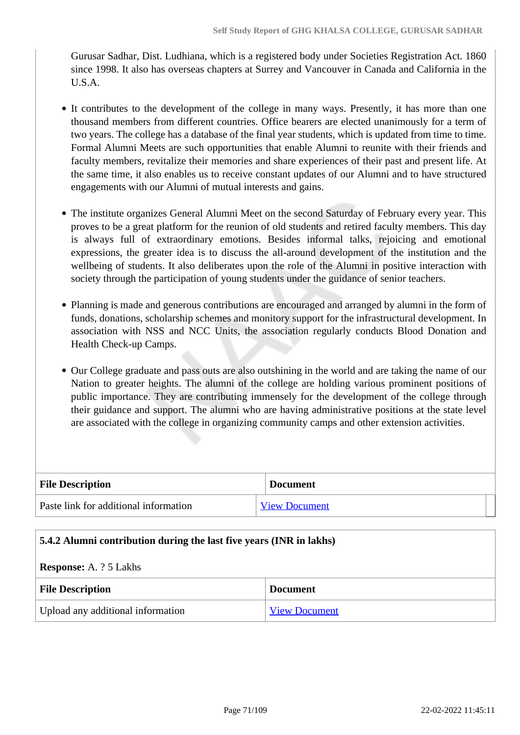Gurusar Sadhar, Dist. Ludhiana, which is a registered body under Societies Registration Act. 1860 since 1998. It also has overseas chapters at Surrey and Vancouver in Canada and California in the U.S.A.

- It contributes to the development of the college in many ways. Presently, it has more than one thousand members from different countries. Office bearers are elected unanimously for a term of two years. The college has a database of the final year students, which is updated from time to time. Formal Alumni Meets are such opportunities that enable Alumni to reunite with their friends and faculty members, revitalize their memories and share experiences of their past and present life. At the same time, it also enables us to receive constant updates of our Alumni and to have structured engagements with our Alumni of mutual interests and gains.
- The institute organizes General Alumni Meet on the second Saturday of February every year. This proves to be a great platform for the reunion of old students and retired faculty members. This day is always full of extraordinary emotions. Besides informal talks, rejoicing and emotional expressions, the greater idea is to discuss the all-around development of the institution and the wellbeing of students. It also deliberates upon the role of the Alumni in positive interaction with society through the participation of young students under the guidance of senior teachers.
- Planning is made and generous contributions are encouraged and arranged by alumni in the form of funds, donations, scholarship schemes and monitory support for the infrastructural development. In association with NSS and NCC Units, the association regularly conducts Blood Donation and Health Check-up Camps.
- Our College graduate and pass outs are also outshining in the world and are taking the name of our Nation to greater heights. The alumni of the college are holding various prominent positions of public importance. They are contributing immensely for the development of the college through their guidance and support. The alumni who are having administrative positions at the state level are associated with the college in organizing community camps and other extension activities.

| <b>File Description</b>               | <b>Document</b>      |
|---------------------------------------|----------------------|
| Paste link for additional information | <b>View Document</b> |

### **5.4.2 Alumni contribution during the last five years (INR in lakhs)**

### **Response:** A. ? 5 Lakhs

| <b>File Description</b>           | <b>Document</b>      |
|-----------------------------------|----------------------|
| Upload any additional information | <b>View Document</b> |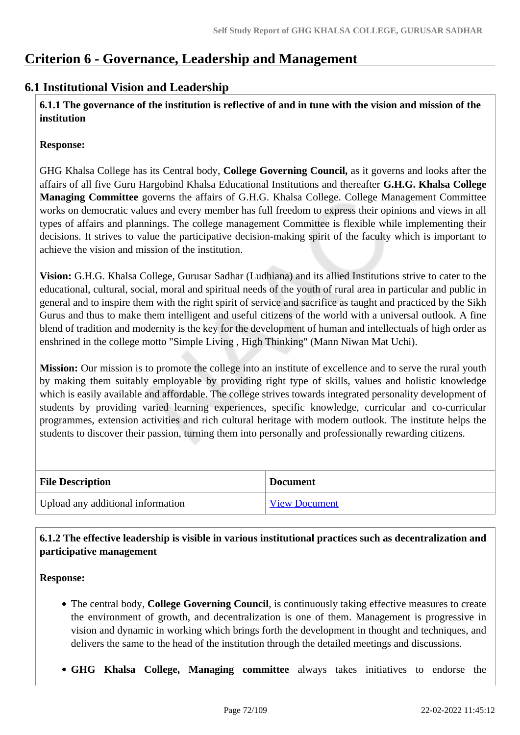# **Criterion 6 - Governance, Leadership and Management**

## **6.1 Institutional Vision and Leadership**

 **6.1.1 The governance of the institution is reflective of and in tune with the vision and mission of the institution**

### **Response:**

GHG Khalsa College has its Central body, **College Governing Council,** as it governs and looks after the affairs of all five Guru Hargobind Khalsa Educational Institutions and thereafter **G.H.G. Khalsa College Managing Committee** governs the affairs of G.H.G. Khalsa College. College Management Committee works on democratic values and every member has full freedom to express their opinions and views in all types of affairs and plannings. The college management Committee is flexible while implementing their decisions. It strives to value the participative decision-making spirit of the faculty which is important to achieve the vision and mission of the institution.

**Vision:** G.H.G. Khalsa College, Gurusar Sadhar (Ludhiana) and its allied Institutions strive to cater to the educational, cultural, social, moral and spiritual needs of the youth of rural area in particular and public in general and to inspire them with the right spirit of service and sacrifice as taught and practiced by the Sikh Gurus and thus to make them intelligent and useful citizens of the world with a universal outlook. A fine blend of tradition and modernity is the key for the development of human and intellectuals of high order as enshrined in the college motto "Simple Living , High Thinking" (Mann Niwan Mat Uchi).

**Mission:** Our mission is to promote the college into an institute of excellence and to serve the rural youth by making them suitably employable by providing right type of skills, values and holistic knowledge which is easily available and affordable. The college strives towards integrated personality development of students by providing varied learning experiences, specific knowledge, curricular and co-curricular programmes, extension activities and rich cultural heritage with modern outlook. The institute helps the students to discover their passion, turning them into personally and professionally rewarding citizens.

| <b>File Description</b>           | <b>Document</b>      |
|-----------------------------------|----------------------|
| Upload any additional information | <b>View Document</b> |

## **6.1.2 The effective leadership is visible in various institutional practices such as decentralization and participative management**

**Response:** 

- The central body, **College Governing Council**, is continuously taking effective measures to create the environment of growth, and decentralization is one of them. Management is progressive in vision and dynamic in working which brings forth the development in thought and techniques, and delivers the same to the head of the institution through the detailed meetings and discussions.
- **GHG Khalsa College, Managing committee** always takes initiatives to endorse the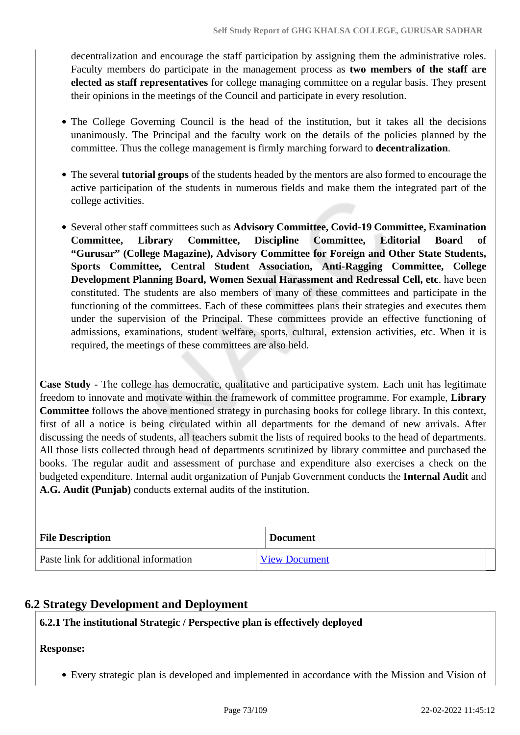decentralization and encourage the staff participation by assigning them the administrative roles. Faculty members do participate in the management process as **two members of the staff are elected as staff representatives** for college managing committee on a regular basis. They present their opinions in the meetings of the Council and participate in every resolution.

- The College Governing Council is the head of the institution, but it takes all the decisions unanimously. The Principal and the faculty work on the details of the policies planned by the committee. Thus the college management is firmly marching forward to **decentralization**.
- The several **tutorial groups** of the students headed by the mentors are also formed to encourage the active participation of the students in numerous fields and make them the integrated part of the college activities.
- Several other staff committees such as **Advisory Committee, Covid-19 Committee, Examination Committee, Library Committee, Discipline Committee, Editorial Board of "Gurusar" (College Magazine), Advisory Committee for Foreign and Other State Students, Sports Committee, Central Student Association, Anti-Ragging Committee, College Development Planning Board, Women Sexual Harassment and Redressal Cell, etc**. have been constituted. The students are also members of many of these committees and participate in the functioning of the committees. Each of these committees plans their strategies and executes them under the supervision of the Principal. These committees provide an effective functioning of admissions, examinations, student welfare, sports, cultural, extension activities, etc. When it is required, the meetings of these committees are also held.

**Case Study** - The college has democratic, qualitative and participative system. Each unit has legitimate freedom to innovate and motivate within the framework of committee programme. For example, **Library Committee** follows the above mentioned strategy in purchasing books for college library. In this context, first of all a notice is being circulated within all departments for the demand of new arrivals. After discussing the needs of students, all teachers submit the lists of required books to the head of departments. All those lists collected through head of departments scrutinized by library committee and purchased the books. The regular audit and assessment of purchase and expenditure also exercises a check on the budgeted expenditure. Internal audit organization of Punjab Government conducts the **Internal Audit** and **A.G. Audit (Punjab)** conducts external audits of the institution.

| <b>File Description</b>               | <b>Document</b>      |
|---------------------------------------|----------------------|
| Paste link for additional information | <b>View Document</b> |

## **6.2 Strategy Development and Deployment**

## **6.2.1 The institutional Strategic / Perspective plan is effectively deployed**

## **Response:**

Every strategic plan is developed and implemented in accordance with the Mission and Vision of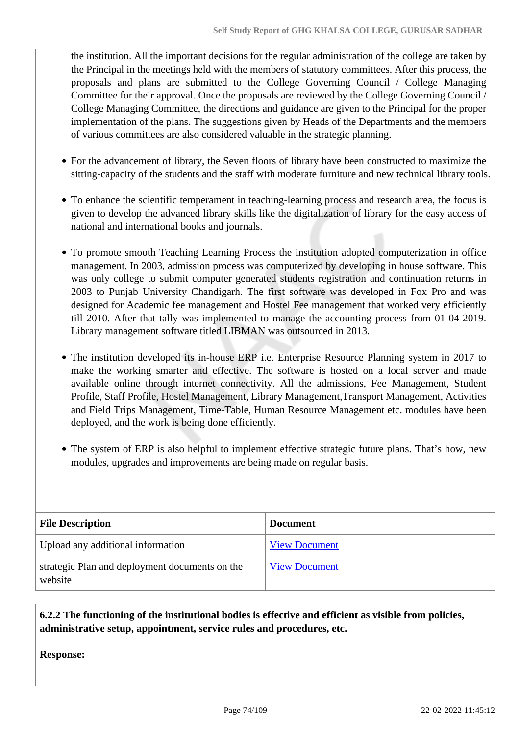the institution. All the important decisions for the regular administration of the college are taken by the Principal in the meetings held with the members of statutory committees. After this process, the proposals and plans are submitted to the College Governing Council / College Managing Committee for their approval. Once the proposals are reviewed by the College Governing Council / College Managing Committee, the directions and guidance are given to the Principal for the proper implementation of the plans. The suggestions given by Heads of the Departments and the members of various committees are also considered valuable in the strategic planning.

- For the advancement of library, the Seven floors of library have been constructed to maximize the sitting-capacity of the students and the staff with moderate furniture and new technical library tools.
- To enhance the scientific temperament in teaching-learning process and research area, the focus is given to develop the advanced library skills like the digitalization of library for the easy access of national and international books and journals.
- To promote smooth Teaching Learning Process the institution adopted computerization in office management. In 2003, admission process was computerized by developing in house software. This was only college to submit computer generated students registration and continuation returns in 2003 to Punjab University Chandigarh. The first software was developed in Fox Pro and was designed for Academic fee management and Hostel Fee management that worked very efficiently till 2010. After that tally was implemented to manage the accounting process from 01-04-2019. Library management software titled LIBMAN was outsourced in 2013.
- The institution developed its in-house ERP i.e. Enterprise Resource Planning system in 2017 to make the working smarter and effective. The software is hosted on a local server and made available online through internet connectivity. All the admissions, Fee Management, Student Profile, Staff Profile, Hostel Management, Library Management,Transport Management, Activities and Field Trips Management, Time-Table, Human Resource Management etc. modules have been deployed, and the work is being done efficiently.
- The system of ERP is also helpful to implement effective strategic future plans. That's how, new modules, upgrades and improvements are being made on regular basis.

| <b>File Description</b>                                   | Document             |
|-----------------------------------------------------------|----------------------|
| Upload any additional information                         | <b>View Document</b> |
| strategic Plan and deployment documents on the<br>website | <b>View Document</b> |

 **6.2.2 The functioning of the institutional bodies is effective and efficient as visible from policies, administrative setup, appointment, service rules and procedures, etc.**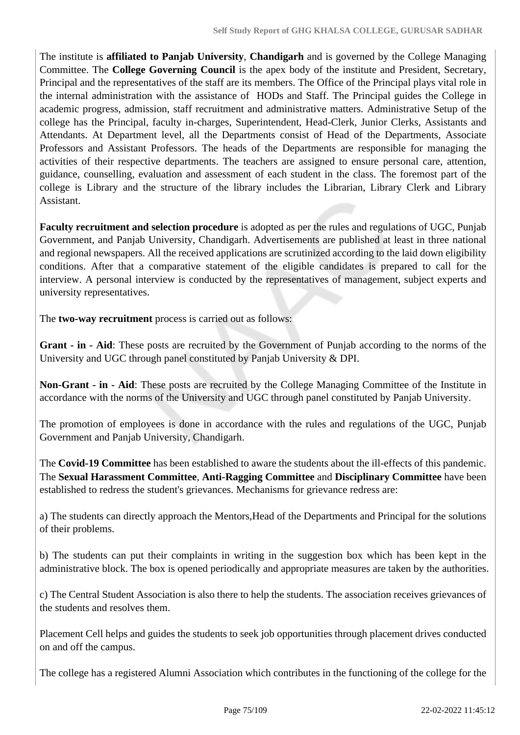The institute is **affiliated to Panjab University**, **Chandigarh** and is governed by the College Managing Committee. The **College Governing Council** is the apex body of the institute and President, Secretary, Principal and the representatives of the staff are its members. The Office of the Principal plays vital role in the internal administration with the assistance of HODs and Staff. The Principal guides the College in academic progress, admission, staff recruitment and administrative matters. Administrative Setup of the college has the Principal, faculty in-charges, Superintendent, Head-Clerk, Junior Clerks, Assistants and Attendants. At Department level, all the Departments consist of Head of the Departments, Associate Professors and Assistant Professors. The heads of the Departments are responsible for managing the activities of their respective departments. The teachers are assigned to ensure personal care, attention, guidance, counselling, evaluation and assessment of each student in the class. The foremost part of the college is Library and the structure of the library includes the Librarian, Library Clerk and Library Assistant.

**Faculty recruitment and selection procedure** is adopted as per the rules and regulations of UGC, Punjab Government, and Panjab University, Chandigarh. Advertisements are published at least in three national and regional newspapers. All the received applications are scrutinized according to the laid down eligibility conditions. After that a comparative statement of the eligible candidates is prepared to call for the interview. A personal interview is conducted by the representatives of management, subject experts and university representatives.

The **two-way recruitment** process is carried out as follows:

**Grant - in - Aid**: These posts are recruited by the Government of Punjab according to the norms of the University and UGC through panel constituted by Panjab University & DPI.

**Non-Grant - in - Aid**: These posts are recruited by the College Managing Committee of the Institute in accordance with the norms of the University and UGC through panel constituted by Panjab University.

The promotion of employees is done in accordance with the rules and regulations of the UGC, Punjab Government and Panjab University, Chandigarh.

The **Covid-19 Committee** has been established to aware the students about the ill-effects of this pandemic. The **Sexual Harassment Committee**, **Anti-Ragging Committee** and **Disciplinary Committee** have been established to redress the student's grievances. Mechanisms for grievance redress are:

a) The students can directly approach the Mentors,Head of the Departments and Principal for the solutions of their problems.

b) The students can put their complaints in writing in the suggestion box which has been kept in the administrative block. The box is opened periodically and appropriate measures are taken by the authorities.

c) The Central Student Association is also there to help the students. The association receives grievances of the students and resolves them.

Placement Cell helps and guides the students to seek job opportunities through placement drives conducted on and off the campus.

The college has a registered Alumni Association which contributes in the functioning of the college for the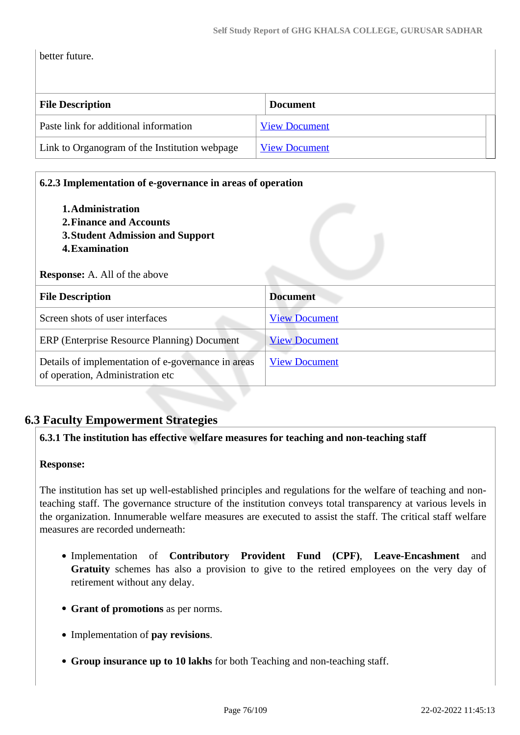better future.

| <b>File Description</b>                       | <b>Document</b>      |  |
|-----------------------------------------------|----------------------|--|
| Paste link for additional information         | <b>View Document</b> |  |
| Link to Organogram of the Institution webpage | <b>View Document</b> |  |

| 1. Administration<br>2. Finance and Accounts<br>3. Student Admission and Support<br>4. Examination |                      |
|----------------------------------------------------------------------------------------------------|----------------------|
| <b>Response:</b> A. All of the above                                                               |                      |
| <b>File Description</b>                                                                            | <b>Document</b>      |
| Screen shots of user interfaces                                                                    | <b>View Document</b> |
| ERP (Enterprise Resource Planning) Document                                                        | <b>View Document</b> |
| Details of implementation of e-governance in areas<br>of operation, Administration etc             | <b>View Document</b> |

## **6.3 Faculty Empowerment Strategies**

#### **6.3.1 The institution has effective welfare measures for teaching and non-teaching staff**

#### **Response:**

The institution has set up well-established principles and regulations for the welfare of teaching and nonteaching staff. The governance structure of the institution conveys total transparency at various levels in the organization. Innumerable welfare measures are executed to assist the staff. The critical staff welfare measures are recorded underneath:

- Implementation of **Contributory Provident Fund (CPF)**, **Leave-Encashment** and **Gratuity** schemes has also a provision to give to the retired employees on the very day of retirement without any delay.
- **Grant of promotions** as per norms.
- Implementation of **pay revisions**.
- **Group insurance up to 10 lakhs** for both Teaching and non-teaching staff.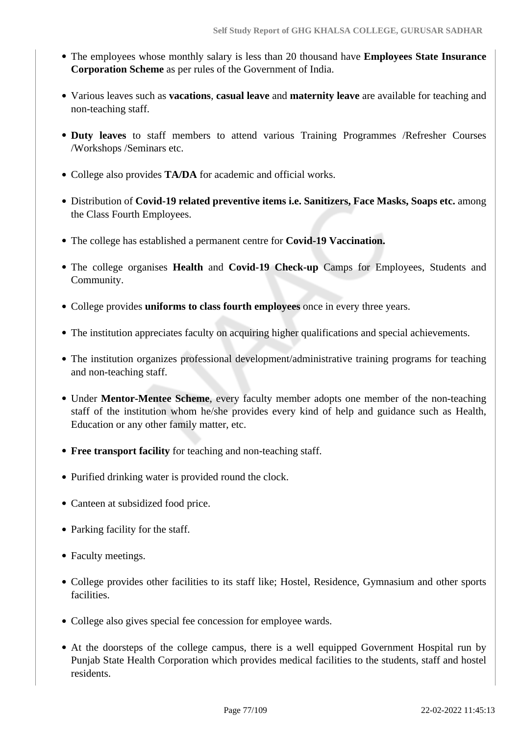- The employees whose monthly salary is less than 20 thousand have **Employees State Insurance Corporation Scheme** as per rules of the Government of India.
- Various leaves such as **vacations**, **casual leave** and **maternity leave** are available for teaching and non-teaching staff.
- **Duty leaves** to staff members to attend various Training Programmes /Refresher Courses /Workshops /Seminars etc.
- College also provides **TA/DA** for academic and official works.
- Distribution of **Covid-19 related preventive items i.e. Sanitizers, Face Masks, Soaps etc.** among the Class Fourth Employees.
- The college has established a permanent centre for **Covid-19 Vaccination.**
- The college organises **Health** and **Covid-19 Check-up** Camps for Employees, Students and Community.
- College provides **uniforms to class fourth employees** once in every three years.
- The institution appreciates faculty on acquiring higher qualifications and special achievements.
- The institution organizes professional development/administrative training programs for teaching and non-teaching staff.
- Under **Mentor-Mentee Scheme**, every faculty member adopts one member of the non-teaching staff of the institution whom he/she provides every kind of help and guidance such as Health, Education or any other family matter, etc.
- **Free transport facility** for teaching and non-teaching staff.
- Purified drinking water is provided round the clock.
- Canteen at subsidized food price.
- Parking facility for the staff.
- Faculty meetings.
- College provides other facilities to its staff like; Hostel, Residence, Gymnasium and other sports facilities.
- College also gives special fee concession for employee wards.
- At the doorsteps of the college campus, there is a well equipped Government Hospital run by Punjab State Health Corporation which provides medical facilities to the students, staff and hostel residents.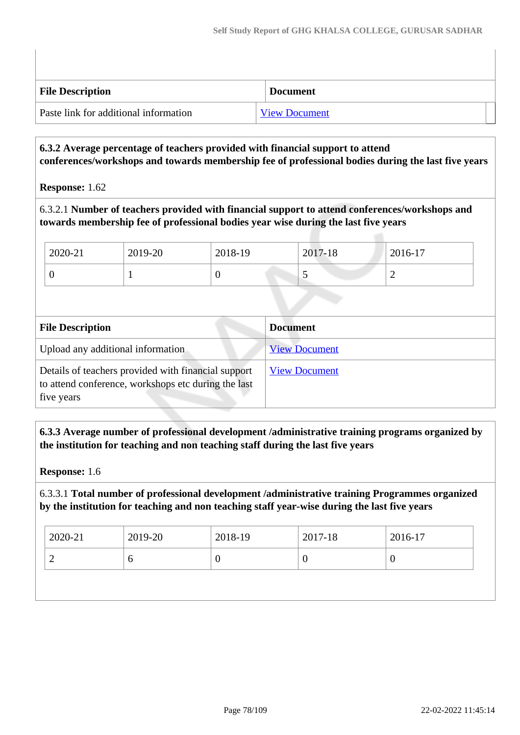| <b>File Description</b>               | <b>Document</b>      |  |
|---------------------------------------|----------------------|--|
| Paste link for additional information | <b>View Document</b> |  |

## **6.3.2 Average percentage of teachers provided with financial support to attend conferences/workshops and towards membership fee of professional bodies during the last five years**

#### **Response:** 1.62

## 6.3.2.1 **Number of teachers provided with financial support to attend conferences/workshops and towards membership fee of professional bodies year wise during the last five years**

| 2020-21 | 2019-20 | 2018-19 | 2017-18 | 2016-17 |
|---------|---------|---------|---------|---------|
|         |         | ິ       |         |         |

| <b>File Description</b>                                                                                                  | <b>Document</b>      |
|--------------------------------------------------------------------------------------------------------------------------|----------------------|
| Upload any additional information                                                                                        | <b>View Document</b> |
| Details of teachers provided with financial support<br>to attend conference, workshops etc during the last<br>five years | <b>View Document</b> |

 **6.3.3 Average number of professional development /administrative training programs organized by the institution for teaching and non teaching staff during the last five years**

**Response:** 1.6

6.3.3.1 **Total number of professional development /administrative training Programmes organized by the institution for teaching and non teaching staff year-wise during the last five years**

| O<br>υ |  |
|--------|--|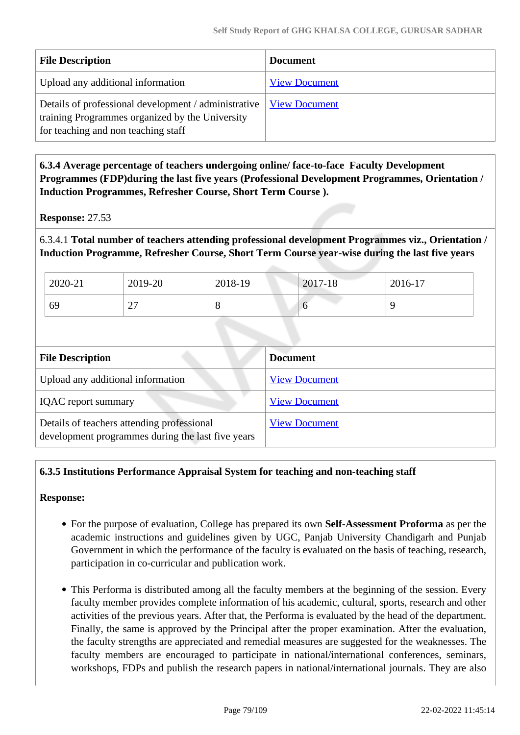| <b>File Description</b>                                                                                                                        | <b>Document</b>      |
|------------------------------------------------------------------------------------------------------------------------------------------------|----------------------|
| Upload any additional information                                                                                                              | <b>View Document</b> |
| Details of professional development / administrative<br>training Programmes organized by the University<br>for teaching and non teaching staff | <b>View Document</b> |

 **6.3.4 Average percentage of teachers undergoing online/ face-to-face Faculty Development Programmes (FDP)during the last five years (Professional Development Programmes, Orientation / Induction Programmes, Refresher Course, Short Term Course ).**

**Response:** 27.53

6.3.4.1 **Total number of teachers attending professional development Programmes viz., Orientation / Induction Programme, Refresher Course, Short Term Course year-wise during the last five years**

| 2020-21 | 2019-20     | 2018-19 | 2017-18 | 2016-17  |
|---------|-------------|---------|---------|----------|
| 69      | $\sim$<br>∼ | $\circ$ | v       | <b>C</b> |

| <b>File Description</b>                                                                         | <b>Document</b>      |
|-------------------------------------------------------------------------------------------------|----------------------|
| Upload any additional information                                                               | <b>View Document</b> |
| <b>IQAC</b> report summary                                                                      | <b>View Document</b> |
| Details of teachers attending professional<br>development programmes during the last five years | <b>View Document</b> |

## **6.3.5 Institutions Performance Appraisal System for teaching and non-teaching staff**

- For the purpose of evaluation, College has prepared its own **Self-Assessment Proforma** as per the academic instructions and guidelines given by UGC, Panjab University Chandigarh and Punjab Government in which the performance of the faculty is evaluated on the basis of teaching, research, participation in co-curricular and publication work.
- This Performa is distributed among all the faculty members at the beginning of the session. Every faculty member provides complete information of his academic, cultural, sports, research and other activities of the previous years. After that, the Performa is evaluated by the head of the department. Finally, the same is approved by the Principal after the proper examination. After the evaluation, the faculty strengths are appreciated and remedial measures are suggested for the weaknesses. The faculty members are encouraged to participate in national/international conferences, seminars, workshops, FDPs and publish the research papers in national/international journals. They are also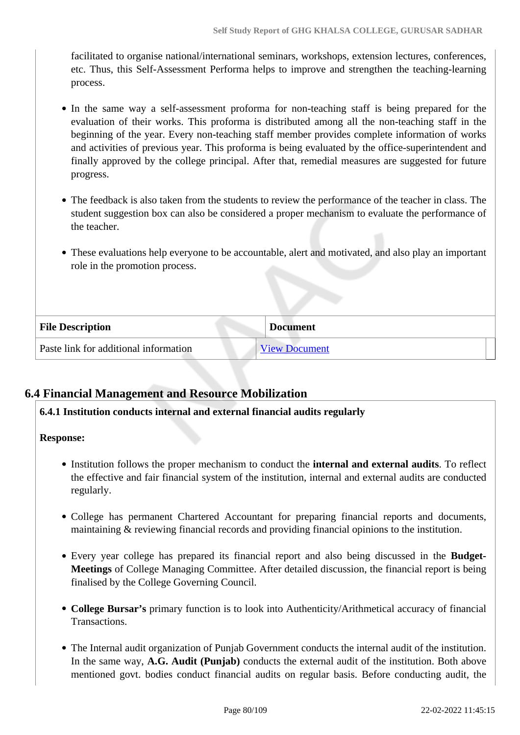facilitated to organise national/international seminars, workshops, extension lectures, conferences, etc. Thus, this Self-Assessment Performa helps to improve and strengthen the teaching-learning process.

- In the same way a self-assessment proforma for non-teaching staff is being prepared for the evaluation of their works. This proforma is distributed among all the non-teaching staff in the beginning of the year. Every non-teaching staff member provides complete information of works and activities of previous year. This proforma is being evaluated by the office-superintendent and finally approved by the college principal. After that, remedial measures are suggested for future progress.
- The feedback is also taken from the students to review the performance of the teacher in class. The student suggestion box can also be considered a proper mechanism to evaluate the performance of the teacher.
- These evaluations help everyone to be accountable, alert and motivated, and also play an important role in the promotion process.

| <b>File Description</b>               | <b>Document</b> |
|---------------------------------------|-----------------|
| Paste link for additional information | View Document   |

## **6.4 Financial Management and Resource Mobilization**

## **6.4.1 Institution conducts internal and external financial audits regularly**

- Institution follows the proper mechanism to conduct the **internal and external audits**. To reflect the effective and fair financial system of the institution, internal and external audits are conducted regularly.
- College has permanent Chartered Accountant for preparing financial reports and documents, maintaining & reviewing financial records and providing financial opinions to the institution.
- Every year college has prepared its financial report and also being discussed in the **Budget-Meetings** of College Managing Committee. After detailed discussion, the financial report is being finalised by the College Governing Council.
- **College Bursar's** primary function is to look into Authenticity/Arithmetical accuracy of financial Transactions.
- The Internal audit organization of Punjab Government conducts the internal audit of the institution. In the same way, **A.G. Audit (Punjab)** conducts the external audit of the institution. Both above mentioned govt. bodies conduct financial audits on regular basis. Before conducting audit, the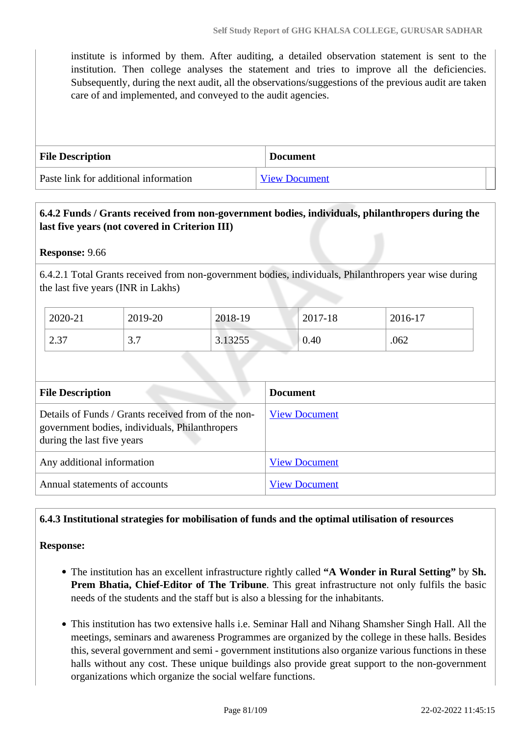institute is informed by them. After auditing, a detailed observation statement is sent to the institution. Then college analyses the statement and tries to improve all the deficiencies. Subsequently, during the next audit, all the observations/suggestions of the previous audit are taken care of and implemented, and conveyed to the audit agencies.

| <b>File Description</b>               | <b>Document</b>      |
|---------------------------------------|----------------------|
| Paste link for additional information | <b>View Document</b> |

## **6.4.2 Funds / Grants received from non-government bodies, individuals, philanthropers during the last five years (not covered in Criterion III)**

**Response:** 9.66

6.4.2.1 Total Grants received from non-government bodies, individuals, Philanthropers year wise during the last five years (INR in Lakhs)

| 2020-21                   | 2019-20            | 2018-19 | 2017-18 | 2016-17 |
|---------------------------|--------------------|---------|---------|---------|
| C 27<br>$\mathcal{L}$ .J. | $\sim$ $\sim$<br>. | 3.13255 | 0.40    | .062    |

| <b>File Description</b>                                                                                                             | <b>Document</b>      |
|-------------------------------------------------------------------------------------------------------------------------------------|----------------------|
| Details of Funds / Grants received from of the non-<br>government bodies, individuals, Philanthropers<br>during the last five years | <b>View Document</b> |
| Any additional information                                                                                                          | <b>View Document</b> |
| Annual statements of accounts                                                                                                       | <b>View Document</b> |

## **6.4.3 Institutional strategies for mobilisation of funds and the optimal utilisation of resources**

- The institution has an excellent infrastructure rightly called **"A Wonder in Rural Setting"** by **Sh. Prem Bhatia, Chief-Editor of The Tribune**. This great infrastructure not only fulfils the basic needs of the students and the staff but is also a blessing for the inhabitants.
- This institution has two extensive halls i.e. Seminar Hall and Nihang Shamsher Singh Hall. All the meetings, seminars and awareness Programmes are organized by the college in these halls. Besides this, several government and semi - government institutions also organize various functions in these halls without any cost. These unique buildings also provide great support to the non-government organizations which organize the social welfare functions.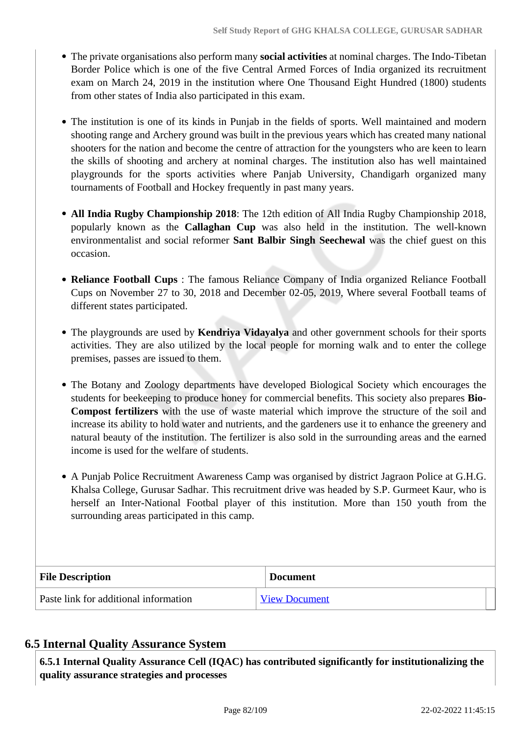- The private organisations also perform many **social activities** at nominal charges. The Indo-Tibetan Border Police which is one of the five Central Armed Forces of India organized its recruitment exam on March 24, 2019 in the institution where One Thousand Eight Hundred (1800) students from other states of India also participated in this exam.
- The institution is one of its kinds in Punjab in the fields of sports. Well maintained and modern shooting range and Archery ground was built in the previous years which has created many national shooters for the nation and become the centre of attraction for the youngsters who are keen to learn the skills of shooting and archery at nominal charges. The institution also has well maintained playgrounds for the sports activities where Panjab University, Chandigarh organized many tournaments of Football and Hockey frequently in past many years.
- **All India Rugby Championship 2018**: The 12th edition of All India Rugby Championship 2018, popularly known as the **Callaghan Cup** was also held in the institution. The well-known environmentalist and social reformer **Sant Balbir Singh Seechewal** was the chief guest on this occasion.
- **Reliance Football Cups** : The famous Reliance Company of India organized Reliance Football Cups on November 27 to 30, 2018 and December 02-05, 2019, Where several Football teams of different states participated.
- The playgrounds are used by **Kendriya Vidayalya** and other government schools for their sports activities. They are also utilized by the local people for morning walk and to enter the college premises, passes are issued to them.
- The Botany and Zoology departments have developed Biological Society which encourages the students for beekeeping to produce honey for commercial benefits. This society also prepares **Bio-Compost fertilizers** with the use of waste material which improve the structure of the soil and increase its ability to hold water and nutrients, and the gardeners use it to enhance the greenery and natural beauty of the institution. The fertilizer is also sold in the surrounding areas and the earned income is used for the welfare of students.
- A Punjab Police Recruitment Awareness Camp was organised by district Jagraon Police at G.H.G. Khalsa College, Gurusar Sadhar. This recruitment drive was headed by S.P. Gurmeet Kaur, who is herself an Inter-National Footbal player of this institution. More than 150 youth from the surrounding areas participated in this camp.

| <b>File Description</b>               | <b>Document</b>      |
|---------------------------------------|----------------------|
| Paste link for additional information | <b>View Document</b> |

## **6.5 Internal Quality Assurance System**

 **6.5.1 Internal Quality Assurance Cell (IQAC) has contributed significantly for institutionalizing the quality assurance strategies and processes**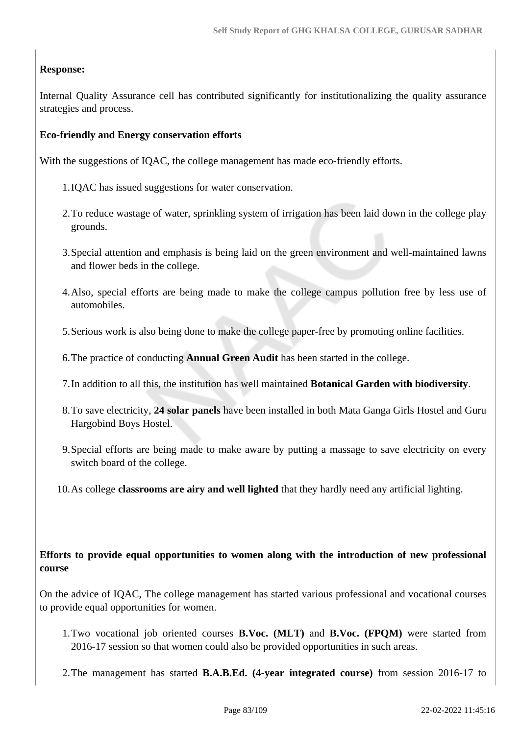## **Response:**

Internal Quality Assurance cell has contributed significantly for institutionalizing the quality assurance strategies and process.

## **Eco-friendly and Energy conservation efforts**

With the suggestions of IQAC, the college management has made eco-friendly efforts.

- 1.IQAC has issued suggestions for water conservation.
- 2.To reduce wastage of water, sprinkling system of irrigation has been laid down in the college play grounds.
- 3.Special attention and emphasis is being laid on the green environment and well-maintained lawns and flower beds in the college.
- 4.Also, special efforts are being made to make the college campus pollution free by less use of automobiles.
- 5.Serious work is also being done to make the college paper-free by promoting online facilities.
- 6.The practice of conducting **Annual Green Audit** has been started in the college.
- 7.In addition to all this, the institution has well maintained **Botanical Garden with biodiversity**.
- 8.To save electricity, **24 solar panels** have been installed in both Mata Ganga Girls Hostel and Guru Hargobind Boys Hostel.
- 9.Special efforts are being made to make aware by putting a massage to save electricity on every switch board of the college.
- 10.As college **classrooms are airy and well lighted** that they hardly need any artificial lighting.

## **Efforts to provide equal opportunities to women along with the introduction of new professional course**

On the advice of IQAC, The college management has started various professional and vocational courses to provide equal opportunities for women.

- 1.Two vocational job oriented courses **B.Voc. (MLT)** and **B.Voc. (FPQM)** were started from 2016-17 session so that women could also be provided opportunities in such areas.
- 2.The management has started **B.A.B.Ed. (4-year integrated course)** from session 2016-17 to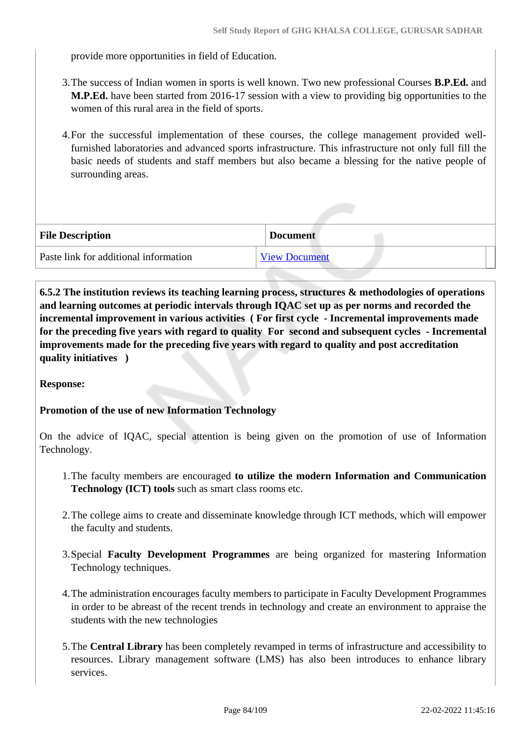provide more opportunities in field of Education.

- 3.The success of Indian women in sports is well known. Two new professional Courses **B.P.Ed.** and **M.P.Ed.** have been started from 2016-17 session with a view to providing big opportunities to the women of this rural area in the field of sports.
- 4.For the successful implementation of these courses, the college management provided wellfurnished laboratories and advanced sports infrastructure. This infrastructure not only full fill the basic needs of students and staff members but also became a blessing for the native people of surrounding areas.

| <b>File Description</b>               | <b>Document</b>      |
|---------------------------------------|----------------------|
| Paste link for additional information | <b>View Document</b> |

 **6.5.2 The institution reviews its teaching learning process, structures & methodologies of operations and learning outcomes at periodic intervals through IQAC set up as per norms and recorded the incremental improvement in various activities ( For first cycle - Incremental improvements made for the preceding five years with regard to quality For second and subsequent cycles - Incremental improvements made for the preceding five years with regard to quality and post accreditation quality initiatives )** 

**Response:** 

## **Promotion of the use of new Information Technology**

On the advice of IQAC, special attention is being given on the promotion of use of Information Technology.

- 1.The faculty members are encouraged **to utilize the modern Information and Communication Technology (ICT) tools** such as smart class rooms etc.
- 2.The college aims to create and disseminate knowledge through ICT methods, which will empower the faculty and students.
- 3.Special **Faculty Development Programmes** are being organized for mastering Information Technology techniques.
- 4.The administration encourages faculty members to participate in Faculty Development Programmes in order to be abreast of the recent trends in technology and create an environment to appraise the students with the new technologies
- 5.The **Central Library** has been completely revamped in terms of infrastructure and accessibility to resources. Library management software (LMS) has also been introduces to enhance library services.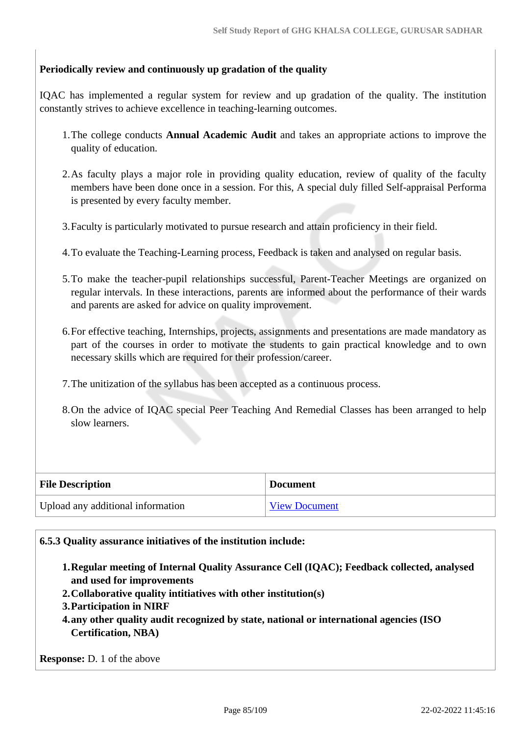## **Periodically review and continuously up gradation of the quality**

IQAC has implemented a regular system for review and up gradation of the quality. The institution constantly strives to achieve excellence in teaching-learning outcomes.

- 1.The college conducts **Annual Academic Audit** and takes an appropriate actions to improve the quality of education.
- 2.As faculty plays a major role in providing quality education, review of quality of the faculty members have been done once in a session. For this, A special duly filled Self-appraisal Performa is presented by every faculty member.
- 3.Faculty is particularly motivated to pursue research and attain proficiency in their field.
- 4.To evaluate the Teaching-Learning process, Feedback is taken and analysed on regular basis.
- 5.To make the teacher-pupil relationships successful, Parent-Teacher Meetings are organized on regular intervals. In these interactions, parents are informed about the performance of their wards and parents are asked for advice on quality improvement.
- 6.For effective teaching, Internships, projects, assignments and presentations are made mandatory as part of the courses in order to motivate the students to gain practical knowledge and to own necessary skills which are required for their profession/career.
- 7.The unitization of the syllabus has been accepted as a continuous process.
- 8.On the advice of IQAC special Peer Teaching And Remedial Classes has been arranged to help slow learners.

| <b>File Description</b>           | <b>Document</b>      |
|-----------------------------------|----------------------|
| Upload any additional information | <b>View Document</b> |

#### **6.5.3 Quality assurance initiatives of the institution include:**

- **1.Regular meeting of Internal Quality Assurance Cell (IQAC); Feedback collected, analysed and used for improvements**
- **2.Collaborative quality intitiatives with other institution(s)**
- **3.Participation in NIRF**
- **4.any other quality audit recognized by state, national or international agencies (ISO Certification, NBA)**

**Response:** D. 1 of the above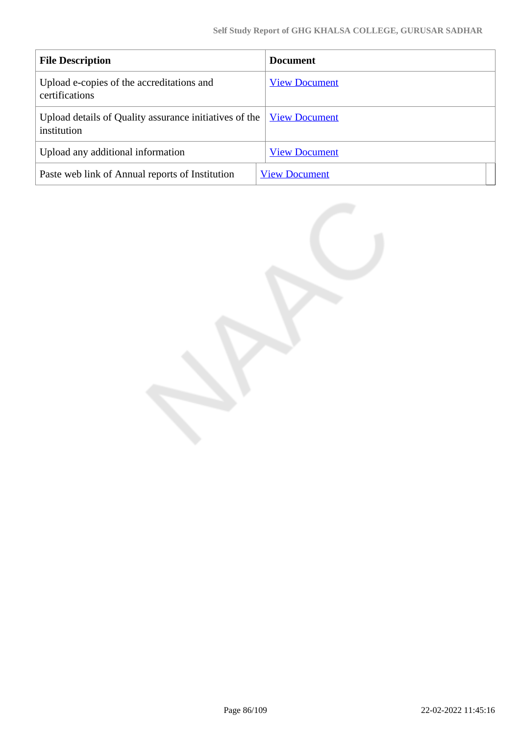| <b>File Description</b>                                               | <b>Document</b>      |
|-----------------------------------------------------------------------|----------------------|
| Upload e-copies of the accreditations and<br>certifications           | <b>View Document</b> |
| Upload details of Quality assurance initiatives of the<br>institution | <b>View Document</b> |
| Upload any additional information                                     | <b>View Document</b> |
| Paste web link of Annual reports of Institution                       | <b>View Document</b> |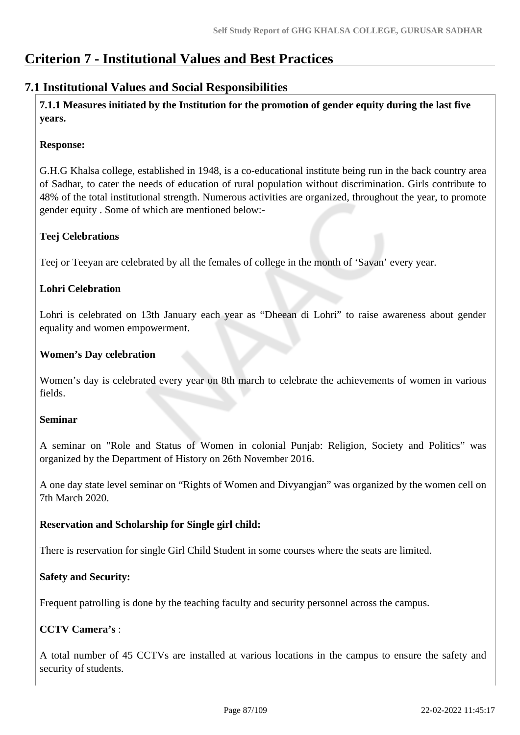## **Criterion 7 - Institutional Values and Best Practices**

## **7.1 Institutional Values and Social Responsibilities**

 **7.1.1 Measures initiated by the Institution for the promotion of gender equity during the last five years.**

## **Response:**

G.H.G Khalsa college, established in 1948, is a co-educational institute being run in the back country area of Sadhar, to cater the needs of education of rural population without discrimination. Girls contribute to 48% of the total institutional strength. Numerous activities are organized, throughout the year, to promote gender equity . Some of which are mentioned below:-

## **Teej Celebrations**

Teej or Teeyan are celebrated by all the females of college in the month of 'Savan' every year.

## **Lohri Celebration**

Lohri is celebrated on 13th January each year as "Dheean di Lohri" to raise awareness about gender equality and women empowerment.

## **Women's Day celebration**

Women's day is celebrated every year on 8th march to celebrate the achievements of women in various fields.

## **Seminar**

A seminar on "Role and Status of Women in colonial Punjab: Religion, Society and Politics" was organized by the Department of History on 26th November 2016.

A one day state level seminar on "Rights of Women and Divyangjan" was organized by the women cell on 7th March 2020.

## **Reservation and Scholarship for Single girl child:**

There is reservation for single Girl Child Student in some courses where the seats are limited.

## **Safety and Security:**

Frequent patrolling is done by the teaching faculty and security personnel across the campus.

## **CCTV Camera's** :

A total number of 45 CCTVs are installed at various locations in the campus to ensure the safety and security of students.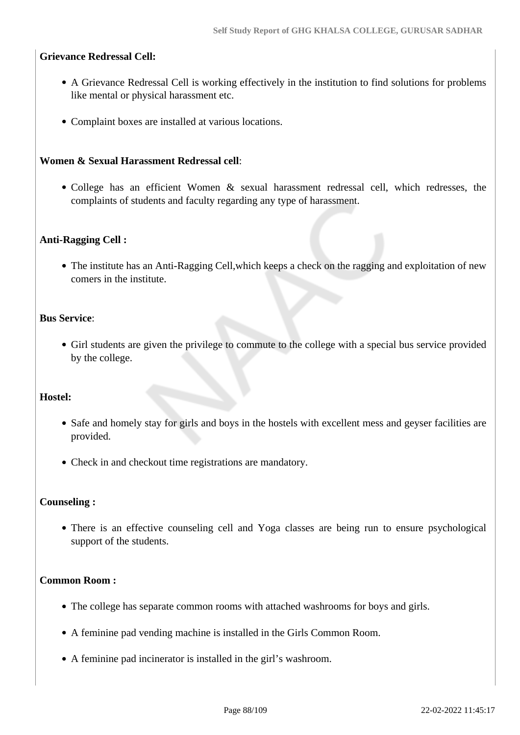#### **Grievance Redressal Cell:**

- A Grievance Redressal Cell is working effectively in the institution to find solutions for problems like mental or physical harassment etc.
- Complaint boxes are installed at various locations.

#### **Women & Sexual Harassment Redressal cell**:

• College has an efficient Women & sexual harassment redressal cell, which redresses, the complaints of students and faculty regarding any type of harassment.

#### **Anti-Ragging Cell :**

The institute has an Anti-Ragging Cell,which keeps a check on the ragging and exploitation of new comers in the institute.

#### **Bus Service**:

Girl students are given the privilege to commute to the college with a special bus service provided by the college.

## **Hostel:**

- Safe and homely stay for girls and boys in the hostels with excellent mess and geyser facilities are provided.
- Check in and checkout time registrations are mandatory.

#### **Counseling :**

There is an effective counseling cell and Yoga classes are being run to ensure psychological support of the students.

#### **Common Room :**

- The college has separate common rooms with attached washrooms for boys and girls.
- A feminine pad vending machine is installed in the Girls Common Room.
- A feminine pad incinerator is installed in the girl's washroom.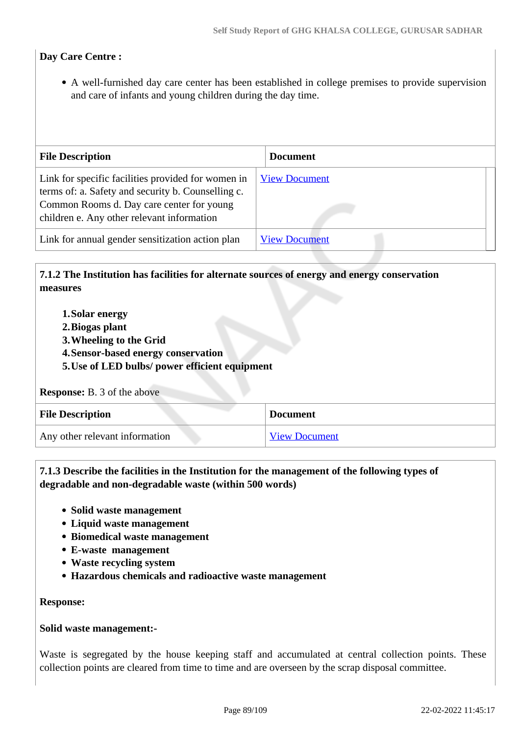## **Day Care Centre :**

A well-furnished day care center has been established in college premises to provide supervision and care of infants and young children during the day time.

| <b>File Description</b>                                                                                                                                                                             | <b>Document</b>      |
|-----------------------------------------------------------------------------------------------------------------------------------------------------------------------------------------------------|----------------------|
| Link for specific facilities provided for women in<br>terms of: a. Safety and security b. Counselling c.<br>Common Rooms d. Day care center for young<br>children e. Any other relevant information | <b>View Document</b> |
| Link for annual gender sensitization action plan                                                                                                                                                    | <b>View Document</b> |

## **7.1.2 The Institution has facilities for alternate sources of energy and energy conservation measures**

- **1.Solar energy**
- **2.Biogas plant**
- **3.Wheeling to the Grid**
- **4.Sensor-based energy conservation**
- **5.Use of LED bulbs/ power efficient equipment**

#### **Response:** B. 3 of the above

| <b>File Description</b>        | <b>Document</b>      |
|--------------------------------|----------------------|
| Any other relevant information | <b>View Document</b> |

## **7.1.3 Describe the facilities in the Institution for the management of the following types of degradable and non-degradable waste (within 500 words)**

- **Solid waste management**
- **Liquid waste management**
- **Biomedical waste management**
- **E-waste management**
- **Waste recycling system**
- **Hazardous chemicals and radioactive waste management**

#### **Response:**

#### **Solid waste management:-**

Waste is segregated by the house keeping staff and accumulated at central collection points. These collection points are cleared from time to time and are overseen by the scrap disposal committee.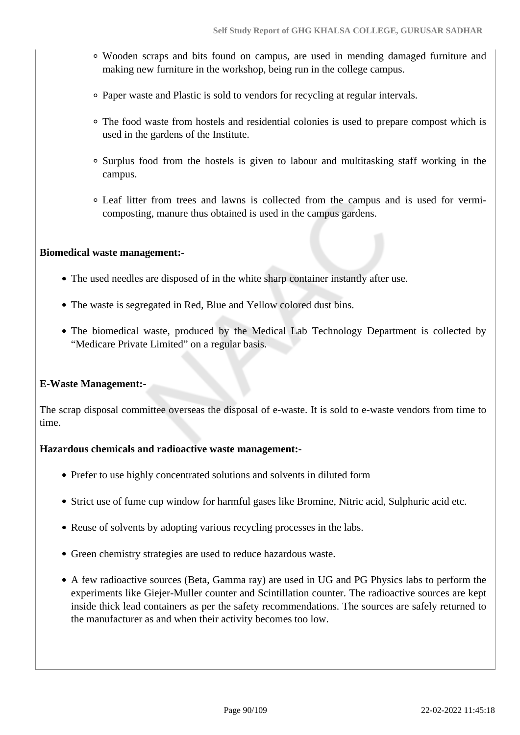- Wooden scraps and bits found on campus, are used in mending damaged furniture and making new furniture in the workshop, being run in the college campus.
- Paper waste and Plastic is sold to vendors for recycling at regular intervals.
- The food waste from hostels and residential colonies is used to prepare compost which is used in the gardens of the Institute.
- Surplus food from the hostels is given to labour and multitasking staff working in the campus.
- Leaf litter from trees and lawns is collected from the campus and is used for vermicomposting, manure thus obtained is used in the campus gardens.

## **Biomedical waste management:-**

- The used needles are disposed of in the white sharp container instantly after use.
- The waste is segregated in Red, Blue and Yellow colored dust bins.
- The biomedical waste, produced by the Medical Lab Technology Department is collected by "Medicare Private Limited" on a regular basis.

## **E-Waste Management:-**

The scrap disposal committee overseas the disposal of e-waste. It is sold to e-waste vendors from time to time.

#### **Hazardous chemicals and radioactive waste management:-**

- Prefer to use highly concentrated solutions and solvents in diluted form
- Strict use of fume cup window for harmful gases like Bromine, Nitric acid, Sulphuric acid etc.
- Reuse of solvents by adopting various recycling processes in the labs.
- Green chemistry strategies are used to reduce hazardous waste.
- A few radioactive sources (Beta, Gamma ray) are used in UG and PG Physics labs to perform the experiments like Giejer-Muller counter and Scintillation counter. The radioactive sources are kept inside thick lead containers as per the safety recommendations. The sources are safely returned to the manufacturer as and when their activity becomes too low.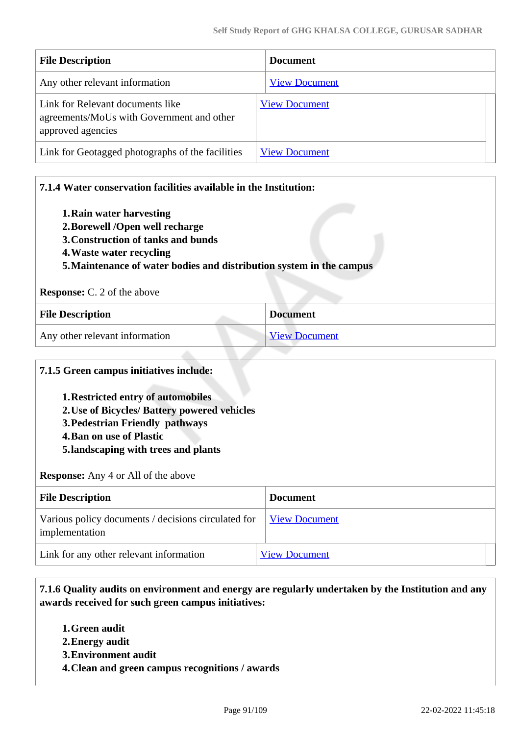| <b>File Description</b>                                                                            | <b>Document</b>      |
|----------------------------------------------------------------------------------------------------|----------------------|
| Any other relevant information                                                                     | <b>View Document</b> |
| Link for Relevant documents like<br>agreements/MoUs with Government and other<br>approved agencies | <b>View Document</b> |
| Link for Geotagged photographs of the facilities                                                   | <b>View Document</b> |

| 7.1.4 Water conservation facilities available in the Institution:                                                                                                                                     |                      |  |
|-------------------------------------------------------------------------------------------------------------------------------------------------------------------------------------------------------|----------------------|--|
| 1. Rain water harvesting<br>2. Borewell /Open well recharge<br>3. Construction of tanks and bunds<br>4. Waste water recycling<br>5. Maintenance of water bodies and distribution system in the campus |                      |  |
| <b>Response:</b> C. 2 of the above                                                                                                                                                                    |                      |  |
| <b>File Description</b>                                                                                                                                                                               | <b>Document</b>      |  |
| Any other relevant information                                                                                                                                                                        | <b>View Document</b> |  |

## **7.1.5 Green campus initiatives include:**

- **1.Restricted entry of automobiles**
- **2.Use of Bicycles/ Battery powered vehicles**
- **3.Pedestrian Friendly pathways**
- **4.Ban on use of Plastic**
- **5.landscaping with trees and plants**

#### **Response:** Any 4 or All of the above

| <b>File Description</b>                                               | <b>Document</b>      |
|-----------------------------------------------------------------------|----------------------|
| Various policy documents / decisions circulated for<br>implementation | <b>View Document</b> |
| Link for any other relevant information                               | <b>View Document</b> |

 **7.1.6 Quality audits on environment and energy are regularly undertaken by the Institution and any awards received for such green campus initiatives:**

- **1.Green audit**
- **2.Energy audit**
- **3.Environment audit**
- **4.Clean and green campus recognitions / awards**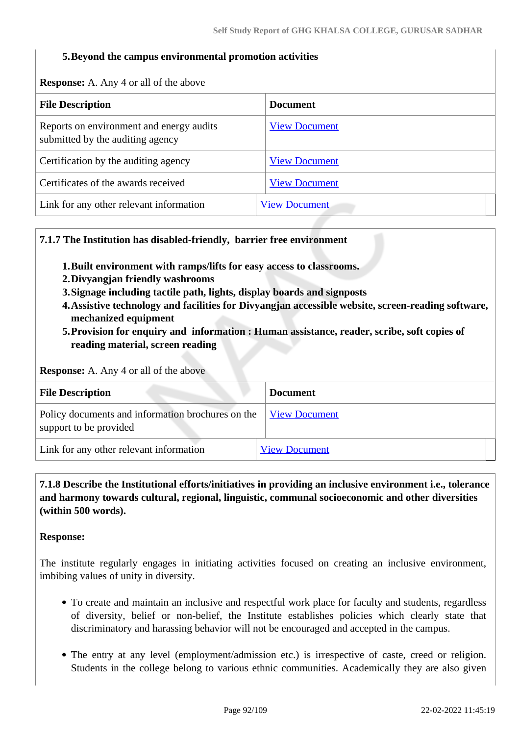#### **5.Beyond the campus environmental promotion activities**

**Response:** A. Any 4 or all of the above

| <b>File Description</b>                                                      | <b>Document</b>      |
|------------------------------------------------------------------------------|----------------------|
| Reports on environment and energy audits<br>submitted by the auditing agency | <b>View Document</b> |
| Certification by the auditing agency                                         | <b>View Document</b> |
| Certificates of the awards received                                          | <b>View Document</b> |
| Link for any other relevant information                                      | <b>View Document</b> |

#### **7.1.7 The Institution has disabled-friendly, barrier free environment**

- **1.Built environment with ramps/lifts for easy access to classrooms.**
- **2.Divyangjan friendly washrooms**
- **3.Signage including tactile path, lights, display boards and signposts**
- **4.Assistive technology and facilities for Divyangjan accessible website, screen-reading software, mechanized equipment**
- **5.Provision for enquiry and information : Human assistance, reader, scribe, soft copies of reading material, screen reading**

**Response:** A. Any 4 or all of the above

| <b>File Description</b>                                                     | <b>Document</b>      |
|-----------------------------------------------------------------------------|----------------------|
| Policy documents and information brochures on the<br>support to be provided | <b>View Document</b> |
| Link for any other relevant information                                     | <b>View Document</b> |

 **7.1.8 Describe the Institutional efforts/initiatives in providing an inclusive environment i.e., tolerance and harmony towards cultural, regional, linguistic, communal socioeconomic and other diversities (within 500 words).**

#### **Response:**

The institute regularly engages in initiating activities focused on creating an inclusive environment, imbibing values of unity in diversity.

- To create and maintain an inclusive and respectful work place for faculty and students, regardless of diversity, belief or non-belief, the Institute establishes policies which clearly state that discriminatory and harassing behavior will not be encouraged and accepted in the campus.
- The entry at any level (employment/admission etc.) is irrespective of caste, creed or religion. Students in the college belong to various ethnic communities. Academically they are also given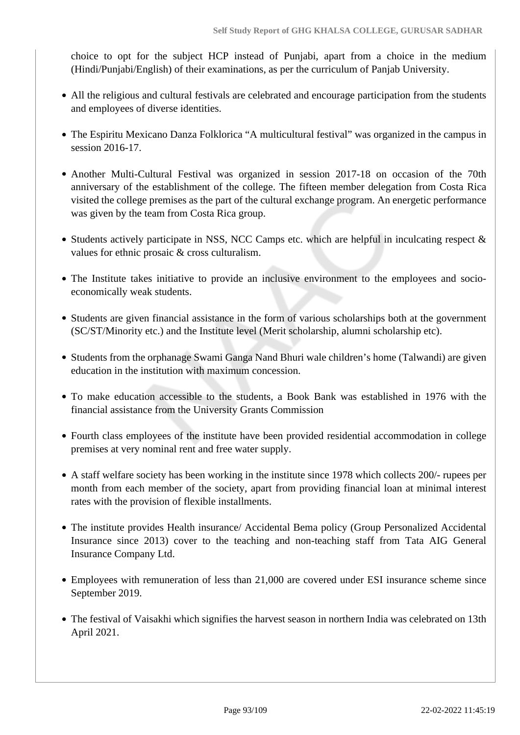choice to opt for the subject HCP instead of Punjabi, apart from a choice in the medium (Hindi/Punjabi/English) of their examinations, as per the curriculum of Panjab University.

- All the religious and cultural festivals are celebrated and encourage participation from the students and employees of diverse identities.
- The Espiritu Mexicano Danza Folklorica "A multicultural festival" was organized in the campus in session 2016-17.
- Another Multi-Cultural Festival was organized in session 2017-18 on occasion of the 70th anniversary of the establishment of the college. The fifteen member delegation from Costa Rica visited the college premises as the part of the cultural exchange program. An energetic performance was given by the team from Costa Rica group.
- Students actively participate in NSS, NCC Camps etc. which are helpful in inculcating respect  $\&$ values for ethnic prosaic & cross culturalism.
- The Institute takes initiative to provide an inclusive environment to the employees and socioeconomically weak students.
- Students are given financial assistance in the form of various scholarships both at the government (SC/ST/Minority etc.) and the Institute level (Merit scholarship, alumni scholarship etc).
- Students from the orphanage Swami Ganga Nand Bhuri wale children's home (Talwandi) are given education in the institution with maximum concession.
- To make education accessible to the students, a Book Bank was established in 1976 with the financial assistance from the University Grants Commission
- Fourth class employees of the institute have been provided residential accommodation in college premises at very nominal rent and free water supply.
- A staff welfare society has been working in the institute since 1978 which collects 200/- rupees per month from each member of the society, apart from providing financial loan at minimal interest rates with the provision of flexible installments.
- The institute provides Health insurance/ Accidental Bema policy (Group Personalized Accidental Insurance since 2013) cover to the teaching and non-teaching staff from Tata AIG General Insurance Company Ltd.
- Employees with remuneration of less than 21,000 are covered under ESI insurance scheme since September 2019.
- The festival of Vaisakhi which signifies the harvest season in northern India was celebrated on 13th April 2021.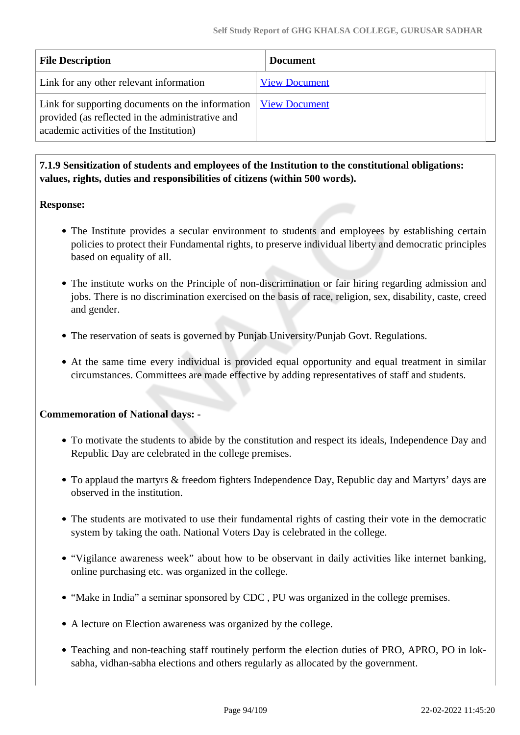| <b>File Description</b>                                                                                                                         | <b>Document</b>      |
|-------------------------------------------------------------------------------------------------------------------------------------------------|----------------------|
| Link for any other relevant information                                                                                                         | <b>View Document</b> |
| Link for supporting documents on the information<br>provided (as reflected in the administrative and<br>academic activities of the Institution) | <b>View Document</b> |

 **7.1.9 Sensitization of students and employees of the Institution to the constitutional obligations: values, rights, duties and responsibilities of citizens (within 500 words).**

## **Response:**

- The Institute provides a secular environment to students and employees by establishing certain policies to protect their Fundamental rights, to preserve individual liberty and democratic principles based on equality of all.
- The institute works on the Principle of non-discrimination or fair hiring regarding admission and jobs. There is no discrimination exercised on the basis of race, religion, sex, disability, caste, creed and gender.
- The reservation of seats is governed by Punjab University/Punjab Govt. Regulations.
- At the same time every individual is provided equal opportunity and equal treatment in similar circumstances. Committees are made effective by adding representatives of staff and students.

## **Commemoration of National days: -**

- To motivate the students to abide by the constitution and respect its ideals, Independence Day and Republic Day are celebrated in the college premises.
- To applaud the martyrs & freedom fighters Independence Day, Republic day and Martyrs' days are observed in the institution.
- The students are motivated to use their fundamental rights of casting their vote in the democratic system by taking the oath. National Voters Day is celebrated in the college.
- "Vigilance awareness week" about how to be observant in daily activities like internet banking, online purchasing etc. was organized in the college.
- "Make in India" a seminar sponsored by CDC, PU was organized in the college premises.
- A lecture on Election awareness was organized by the college.
- Teaching and non-teaching staff routinely perform the election duties of PRO, APRO, PO in loksabha, vidhan-sabha elections and others regularly as allocated by the government.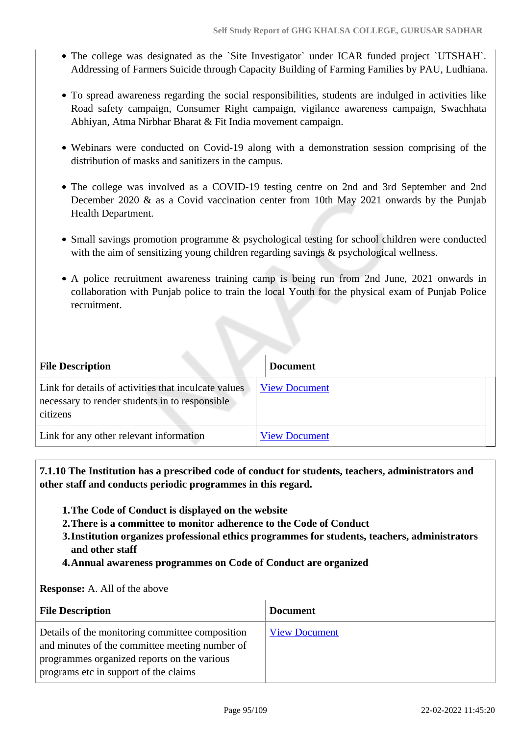- The college was designated as the `Site Investigator` under ICAR funded project `UTSHAH`. Addressing of Farmers Suicide through Capacity Building of Farming Families by PAU, Ludhiana.
- To spread awareness regarding the social responsibilities, students are indulged in activities like Road safety campaign, Consumer Right campaign, vigilance awareness campaign, Swachhata Abhiyan, Atma Nirbhar Bharat & Fit India movement campaign.
- Webinars were conducted on Covid-19 along with a demonstration session comprising of the distribution of masks and sanitizers in the campus.
- The college was involved as a COVID-19 testing centre on 2nd and 3rd September and 2nd December 2020 & as a Covid vaccination center from 10th May 2021 onwards by the Punjab Health Department.
- Small savings promotion programme & psychological testing for school children were conducted with the aim of sensitizing young children regarding savings & psychological wellness.
- A police recruitment awareness training camp is being run from 2nd June, 2021 onwards in collaboration with Punjab police to train the local Youth for the physical exam of Punjab Police recruitment.

| <b>File Description</b>                                                                                            | <b>Document</b>      |
|--------------------------------------------------------------------------------------------------------------------|----------------------|
| Link for details of activities that inculcate values<br>necessary to render students in to responsible<br>citizens | <b>View Document</b> |
| Link for any other relevant information                                                                            | <b>View Document</b> |

 **7.1.10 The Institution has a prescribed code of conduct for students, teachers, administrators and other staff and conducts periodic programmes in this regard.** 

- **1.The Code of Conduct is displayed on the website**
- **2.There is a committee to monitor adherence to the Code of Conduct**
- **3.Institution organizes professional ethics programmes for students, teachers, administrators and other staff**
- **4.Annual awareness programmes on Code of Conduct are organized**

#### **Response:** A. All of the above

| <b>File Description</b>                                                                                                                                                                   | <b>Document</b>      |
|-------------------------------------------------------------------------------------------------------------------------------------------------------------------------------------------|----------------------|
| Details of the monitoring committee composition<br>and minutes of the committee meeting number of<br>programmes organized reports on the various<br>programs etc in support of the claims | <b>View Document</b> |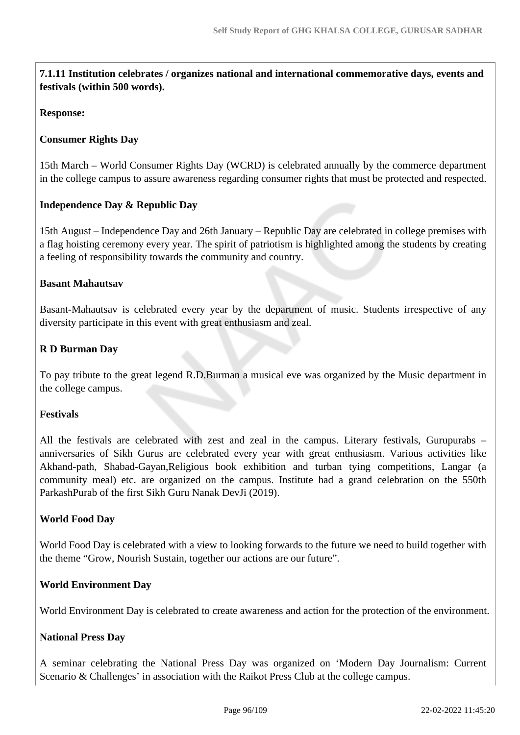**7.1.11 Institution celebrates / organizes national and international commemorative days, events and festivals (within 500 words).**

#### **Response:**

#### **Consumer Rights Day**

15th March – World Consumer Rights Day (WCRD) is celebrated annually by the commerce department in the college campus to assure awareness regarding consumer rights that must be protected and respected.

#### **Independence Day & Republic Day**

15th August – Independence Day and 26th January – Republic Day are celebrated in college premises with a flag hoisting ceremony every year. The spirit of patriotism is highlighted among the students by creating a feeling of responsibility towards the community and country.

#### **Basant Mahautsav**

Basant-Mahautsav is celebrated every year by the department of music. Students irrespective of any diversity participate in this event with great enthusiasm and zeal.

## **R D Burman Day**

To pay tribute to the great legend R.D.Burman a musical eve was organized by the Music department in the college campus.

## **Festivals**

All the festivals are celebrated with zest and zeal in the campus. Literary festivals, Gurupurabs – anniversaries of Sikh Gurus are celebrated every year with great enthusiasm. Various activities like Akhand-path, Shabad-Gayan,Religious book exhibition and turban tying competitions, Langar (a community meal) etc. are organized on the campus. Institute had a grand celebration on the 550th ParkashPurab of the first Sikh Guru Nanak DevJi (2019).

## **World Food Day**

World Food Day is celebrated with a view to looking forwards to the future we need to build together with the theme "Grow, Nourish Sustain, together our actions are our future".

#### **World Environment Day**

World Environment Day is celebrated to create awareness and action for the protection of the environment.

#### **National Press Day**

A seminar celebrating the National Press Day was organized on 'Modern Day Journalism: Current Scenario & Challenges' in association with the Raikot Press Club at the college campus.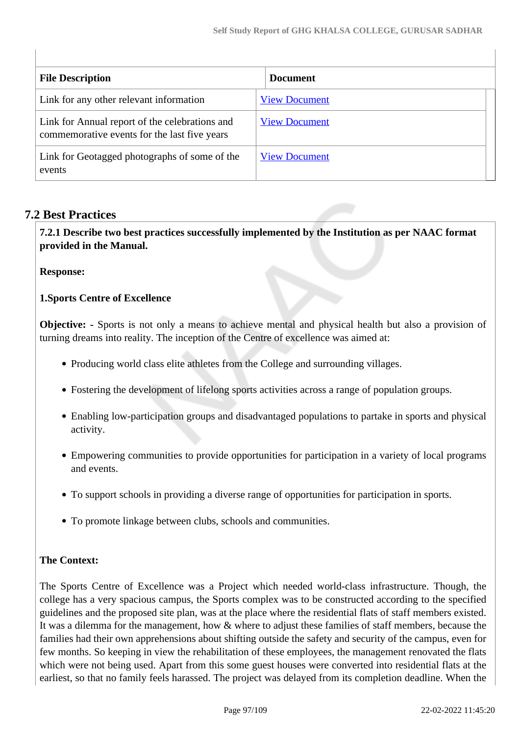| <b>File Description</b>                                                                        | <b>Document</b>      |
|------------------------------------------------------------------------------------------------|----------------------|
| Link for any other relevant information                                                        | <b>View Document</b> |
| Link for Annual report of the celebrations and<br>commemorative events for the last five years | <b>View Document</b> |
| Link for Geotagged photographs of some of the<br>events                                        | <b>View Document</b> |

## **7.2 Best Practices**

 **7.2.1 Describe two best practices successfully implemented by the Institution as per NAAC format provided in the Manual.**

**Response:** 

**1.Sports Centre of Excellence**

**Objective:** - Sports is not only a means to achieve mental and physical health but also a provision of turning dreams into reality. The inception of the Centre of excellence was aimed at:

- Producing world class elite athletes from the College and surrounding villages.
- Fostering the development of lifelong sports activities across a range of population groups.
- Enabling low-participation groups and disadvantaged populations to partake in sports and physical activity.
- Empowering communities to provide opportunities for participation in a variety of local programs and events.
- To support schools in providing a diverse range of opportunities for participation in sports.
- To promote linkage between clubs, schools and communities.

## **The Context:**

The Sports Centre of Excellence was a Project which needed world-class infrastructure. Though, the college has a very spacious campus, the Sports complex was to be constructed according to the specified guidelines and the proposed site plan, was at the place where the residential flats of staff members existed. It was a dilemma for the management, how & where to adjust these families of staff members, because the families had their own apprehensions about shifting outside the safety and security of the campus, even for few months. So keeping in view the rehabilitation of these employees, the management renovated the flats which were not being used. Apart from this some guest houses were converted into residential flats at the earliest, so that no family feels harassed. The project was delayed from its completion deadline. When the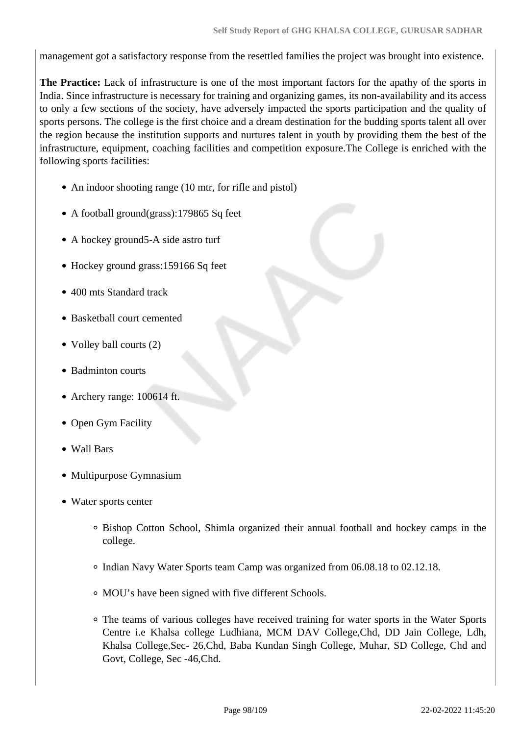management got a satisfactory response from the resettled families the project was brought into existence.

**The Practice:** Lack of infrastructure is one of the most important factors for the apathy of the sports in India. Since infrastructure is necessary for training and organizing games, its non-availability and its access to only a few sections of the society, have adversely impacted the sports participation and the quality of sports persons. The college is the first choice and a dream destination for the budding sports talent all over the region because the institution supports and nurtures talent in youth by providing them the best of the infrastructure, equipment, coaching facilities and competition exposure.The College is enriched with the following sports facilities:

- An indoor shooting range (10 mtr, for rifle and pistol)
- A football ground(grass):179865 Sq feet
- A hockey ground 5-A side astro turf
- Hockey ground grass:159166 Sq feet
- 400 mts Standard track
- Basketball court cemented
- Volley ball courts (2)
- Badminton courts
- Archery range: 100614 ft.
- Open Gym Facility
- Wall Bars
- Multipurpose Gymnasium
- Water sports center
	- Bishop Cotton School, Shimla organized their annual football and hockey camps in the college.
	- Indian Navy Water Sports team Camp was organized from 06.08.18 to 02.12.18.
	- MOU's have been signed with five different Schools.
	- The teams of various colleges have received training for water sports in the Water Sports Centre i.e Khalsa college Ludhiana, MCM DAV College,Chd, DD Jain College, Ldh, Khalsa College,Sec- 26,Chd, Baba Kundan Singh College, Muhar, SD College, Chd and Govt, College, Sec -46,Chd.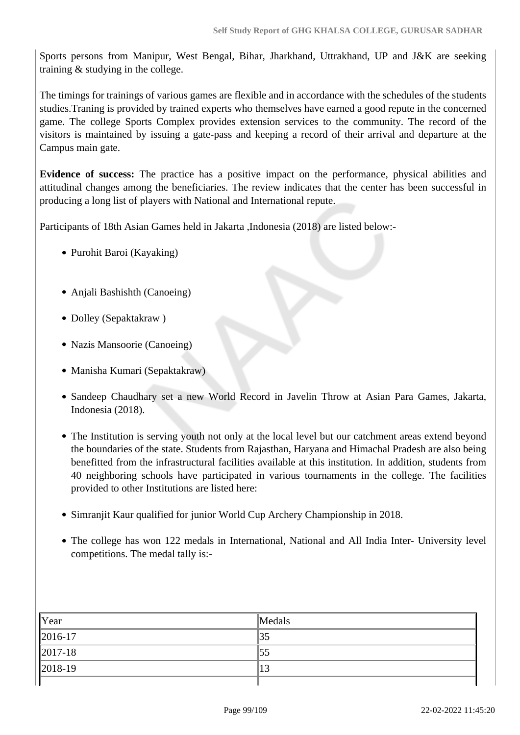Sports persons from Manipur, West Bengal, Bihar, Jharkhand, Uttrakhand, UP and J&K are seeking training & studying in the college.

The timings for trainings of various games are flexible and in accordance with the schedules of the students studies.Traning is provided by trained experts who themselves have earned a good repute in the concerned game. The college Sports Complex provides extension services to the community. The record of the visitors is maintained by issuing a gate-pass and keeping a record of their arrival and departure at the Campus main gate.

**Evidence of success:** The practice has a positive impact on the performance, physical abilities and attitudinal changes among the beneficiaries. The review indicates that the center has been successful in producing a long list of players with National and International repute.

Participants of 18th Asian Games held in Jakarta ,Indonesia (2018) are listed below:-

- Purohit Baroi (Kayaking)
- Anjali Bashishth (Canoeing)
- Dolley (Sepaktakraw)
- Nazis Mansoorie (Canoeing)
- Manisha Kumari (Sepaktakraw)
- Sandeep Chaudhary set a new World Record in Javelin Throw at Asian Para Games, Jakarta, Indonesia (2018).
- The Institution is serving youth not only at the local level but our catchment areas extend beyond the boundaries of the state. Students from Rajasthan, Haryana and Himachal Pradesh are also being benefitted from the infrastructural facilities available at this institution. In addition, students from 40 neighboring schools have participated in various tournaments in the college. The facilities provided to other Institutions are listed here:
- Simranjit Kaur qualified for junior World Cup Archery Championship in 2018.
- The college has won 122 medals in International, National and All India Inter- University level competitions. The medal tally is:-

| Year        | Medals |
|-------------|--------|
| $ 2016-17$  | 35     |
| $ 2017-18 $ | 55     |
| $ 2018-19 $ | 13     |
|             |        |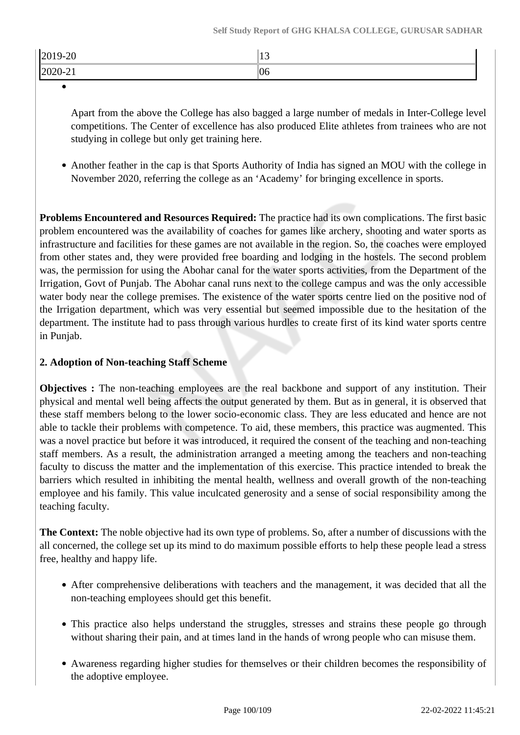| $ 2019-20$               | ື້ |
|--------------------------|----|
| ിറ്റ<br>70.7.<br>1202021 | 06 |

Apart from the above the College has also bagged a large number of medals in Inter-College level competitions. The Center of excellence has also produced Elite athletes from trainees who are not studying in college but only get training here.

Another feather in the cap is that Sports Authority of India has signed an MOU with the college in November 2020, referring the college as an 'Academy' for bringing excellence in sports.

**Problems Encountered and Resources Required:** The practice had its own complications. The first basic problem encountered was the availability of coaches for games like archery, shooting and water sports as infrastructure and facilities for these games are not available in the region. So, the coaches were employed from other states and, they were provided free boarding and lodging in the hostels. The second problem was, the permission for using the Abohar canal for the water sports activities, from the Department of the Irrigation, Govt of Punjab. The Abohar canal runs next to the college campus and was the only accessible water body near the college premises. The existence of the water sports centre lied on the positive nod of the Irrigation department, which was very essential but seemed impossible due to the hesitation of the department. The institute had to pass through various hurdles to create first of its kind water sports centre in Punjab.

## **2. Adoption of Non-teaching Staff Scheme**

**Objectives :** The non-teaching employees are the real backbone and support of any institution. Their physical and mental well being affects the output generated by them. But as in general, it is observed that these staff members belong to the lower socio-economic class. They are less educated and hence are not able to tackle their problems with competence. To aid, these members, this practice was augmented. This was a novel practice but before it was introduced, it required the consent of the teaching and non-teaching staff members. As a result, the administration arranged a meeting among the teachers and non-teaching faculty to discuss the matter and the implementation of this exercise. This practice intended to break the barriers which resulted in inhibiting the mental health, wellness and overall growth of the non-teaching employee and his family. This value inculcated generosity and a sense of social responsibility among the teaching faculty.

**The Context:** The noble objective had its own type of problems. So, after a number of discussions with the all concerned, the college set up its mind to do maximum possible efforts to help these people lead a stress free, healthy and happy life.

- After comprehensive deliberations with teachers and the management, it was decided that all the non-teaching employees should get this benefit.
- This practice also helps understand the struggles, stresses and strains these people go through without sharing their pain, and at times land in the hands of wrong people who can misuse them.
- Awareness regarding higher studies for themselves or their children becomes the responsibility of the adoptive employee.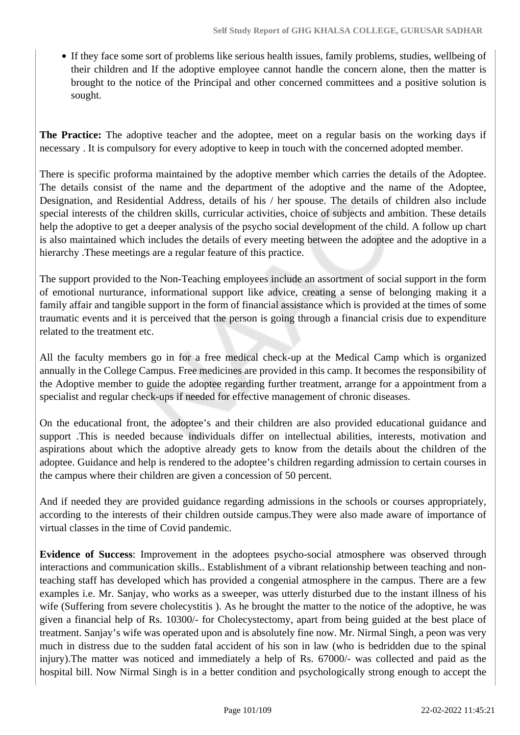If they face some sort of problems like serious health issues, family problems, studies, wellbeing of their children and If the adoptive employee cannot handle the concern alone, then the matter is brought to the notice of the Principal and other concerned committees and a positive solution is sought.

**The Practice:** The adoptive teacher and the adoptee, meet on a regular basis on the working days if necessary . It is compulsory for every adoptive to keep in touch with the concerned adopted member.

There is specific proforma maintained by the adoptive member which carries the details of the Adoptee. The details consist of the name and the department of the adoptive and the name of the Adoptee, Designation, and Residential Address, details of his / her spouse. The details of children also include special interests of the children skills, curricular activities, choice of subjects and ambition. These details help the adoptive to get a deeper analysis of the psycho social development of the child. A follow up chart is also maintained which includes the details of every meeting between the adoptee and the adoptive in a hierarchy .These meetings are a regular feature of this practice.

The support provided to the Non-Teaching employees include an assortment of social support in the form of emotional nurturance, informational support like advice, creating a sense of belonging making it a family affair and tangible support in the form of financial assistance which is provided at the times of some traumatic events and it is perceived that the person is going through a financial crisis due to expenditure related to the treatment etc.

All the faculty members go in for a free medical check-up at the Medical Camp which is organized annually in the College Campus. Free medicines are provided in this camp. It becomes the responsibility of the Adoptive member to guide the adoptee regarding further treatment, arrange for a appointment from a specialist and regular check-ups if needed for effective management of chronic diseases.

On the educational front, the adoptee's and their children are also provided educational guidance and support .This is needed because individuals differ on intellectual abilities, interests, motivation and aspirations about which the adoptive already gets to know from the details about the children of the adoptee. Guidance and help is rendered to the adoptee's children regarding admission to certain courses in the campus where their children are given a concession of 50 percent.

And if needed they are provided guidance regarding admissions in the schools or courses appropriately, according to the interests of their children outside campus.They were also made aware of importance of virtual classes in the time of Covid pandemic.

**Evidence of Success**: Improvement in the adoptees psycho-social atmosphere was observed through interactions and communication skills.. Establishment of a vibrant relationship between teaching and nonteaching staff has developed which has provided a congenial atmosphere in the campus. There are a few examples i.e. Mr. Sanjay, who works as a sweeper, was utterly disturbed due to the instant illness of his wife (Suffering from severe cholecystitis ). As he brought the matter to the notice of the adoptive, he was given a financial help of Rs. 10300/- for Cholecystectomy, apart from being guided at the best place of treatment. Sanjay's wife was operated upon and is absolutely fine now. Mr. Nirmal Singh, a peon was very much in distress due to the sudden fatal accident of his son in law (who is bedridden due to the spinal injury).The matter was noticed and immediately a help of Rs. 67000/- was collected and paid as the hospital bill. Now Nirmal Singh is in a better condition and psychologically strong enough to accept the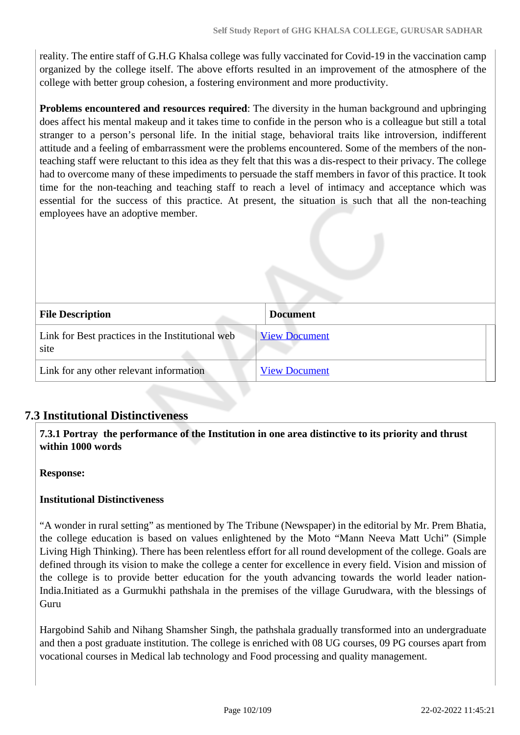reality. The entire staff of G.H.G Khalsa college was fully vaccinated for Covid-19 in the vaccination camp organized by the college itself. The above efforts resulted in an improvement of the atmosphere of the college with better group cohesion, a fostering environment and more productivity.

**Problems encountered and resources required**: The diversity in the human background and upbringing does affect his mental makeup and it takes time to confide in the person who is a colleague but still a total stranger to a person's personal life. In the initial stage, behavioral traits like introversion, indifferent attitude and a feeling of embarrassment were the problems encountered. Some of the members of the nonteaching staff were reluctant to this idea as they felt that this was a dis-respect to their privacy. The college had to overcome many of these impediments to persuade the staff members in favor of this practice. It took time for the non-teaching and teaching staff to reach a level of intimacy and acceptance which was essential for the success of this practice. At present, the situation is such that all the non-teaching employees have an adoptive member.

| <b>File Description</b>                                  | <b>Document</b>      |
|----------------------------------------------------------|----------------------|
| Link for Best practices in the Institutional web<br>site | <b>View Document</b> |
| Link for any other relevant information                  | <b>View Document</b> |

## **7.3 Institutional Distinctiveness**

 **7.3.1 Portray the performance of the Institution in one area distinctive to its priority and thrust within 1000 words**

## **Response:**

## **Institutional Distinctiveness**

"A wonder in rural setting" as mentioned by The Tribune (Newspaper) in the editorial by Mr. Prem Bhatia, the college education is based on values enlightened by the Moto "Mann Neeva Matt Uchi" (Simple Living High Thinking). There has been relentless effort for all round development of the college. Goals are defined through its vision to make the college a center for excellence in every field. Vision and mission of the college is to provide better education for the youth advancing towards the world leader nation-India.Initiated as a Gurmukhi pathshala in the premises of the village Gurudwara, with the blessings of Guru

Hargobind Sahib and Nihang Shamsher Singh, the pathshala gradually transformed into an undergraduate and then a post graduate institution. The college is enriched with 08 UG courses, 09 PG courses apart from vocational courses in Medical lab technology and Food processing and quality management.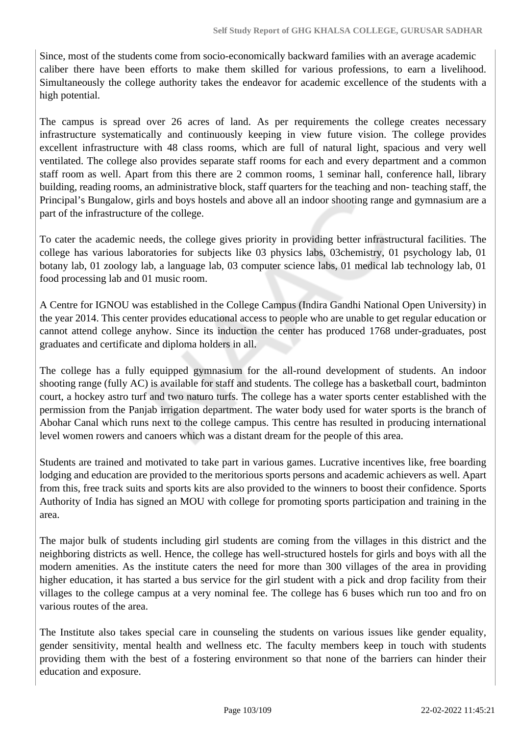Since, most of the students come from socio-economically backward families with an average academic caliber there have been efforts to make them skilled for various professions, to earn a livelihood. Simultaneously the college authority takes the endeavor for academic excellence of the students with a high potential.

The campus is spread over 26 acres of land. As per requirements the college creates necessary infrastructure systematically and continuously keeping in view future vision. The college provides excellent infrastructure with 48 class rooms, which are full of natural light, spacious and very well ventilated. The college also provides separate staff rooms for each and every department and a common staff room as well. Apart from this there are 2 common rooms, 1 seminar hall, conference hall, library building, reading rooms, an administrative block, staff quarters for the teaching and non- teaching staff, the Principal's Bungalow, girls and boys hostels and above all an indoor shooting range and gymnasium are a part of the infrastructure of the college.

To cater the academic needs, the college gives priority in providing better infrastructural facilities. The college has various laboratories for subjects like 03 physics labs, 03chemistry, 01 psychology lab, 01 botany lab, 01 zoology lab, a language lab, 03 computer science labs, 01 medical lab technology lab, 01 food processing lab and 01 music room.

A Centre for IGNOU was established in the College Campus (Indira Gandhi National Open University) in the year 2014. This center provides educational access to people who are unable to get regular education or cannot attend college anyhow. Since its induction the center has produced 1768 under-graduates, post graduates and certificate and diploma holders in all.

The college has a fully equipped gymnasium for the all-round development of students. An indoor shooting range (fully AC) is available for staff and students. The college has a basketball court, badminton court, a hockey astro turf and two naturo turfs. The college has a water sports center established with the permission from the Panjab irrigation department. The water body used for water sports is the branch of Abohar Canal which runs next to the college campus. This centre has resulted in producing international level women rowers and canoers which was a distant dream for the people of this area.

Students are trained and motivated to take part in various games. Lucrative incentives like, free boarding lodging and education are provided to the meritorious sports persons and academic achievers as well. Apart from this, free track suits and sports kits are also provided to the winners to boost their confidence. Sports Authority of India has signed an MOU with college for promoting sports participation and training in the area.

The major bulk of students including girl students are coming from the villages in this district and the neighboring districts as well. Hence, the college has well-structured hostels for girls and boys with all the modern amenities. As the institute caters the need for more than 300 villages of the area in providing higher education, it has started a bus service for the girl student with a pick and drop facility from their villages to the college campus at a very nominal fee. The college has 6 buses which run too and fro on various routes of the area.

The Institute also takes special care in counseling the students on various issues like gender equality, gender sensitivity, mental health and wellness etc. The faculty members keep in touch with students providing them with the best of a fostering environment so that none of the barriers can hinder their education and exposure.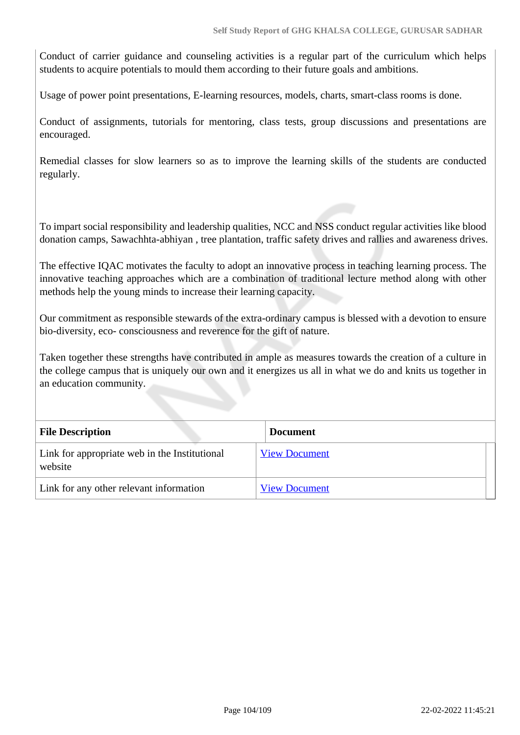Conduct of carrier guidance and counseling activities is a regular part of the curriculum which helps students to acquire potentials to mould them according to their future goals and ambitions.

Usage of power point presentations, E-learning resources, models, charts, smart-class rooms is done.

Conduct of assignments, tutorials for mentoring, class tests, group discussions and presentations are encouraged.

Remedial classes for slow learners so as to improve the learning skills of the students are conducted regularly.

To impart social responsibility and leadership qualities, NCC and NSS conduct regular activities like blood donation camps, Sawachhta-abhiyan , tree plantation, traffic safety drives and rallies and awareness drives.

The effective IQAC motivates the faculty to adopt an innovative process in teaching learning process. The innovative teaching approaches which are a combination of traditional lecture method along with other methods help the young minds to increase their learning capacity.

Our commitment as responsible stewards of the extra-ordinary campus is blessed with a devotion to ensure bio-diversity, eco- consciousness and reverence for the gift of nature.

Taken together these strengths have contributed in ample as measures towards the creation of a culture in the college campus that is uniquely our own and it energizes us all in what we do and knits us together in an education community.

| <b>File Description</b>                                  | <b>Document</b>      |
|----------------------------------------------------------|----------------------|
| Link for appropriate web in the Institutional<br>website | <b>View Document</b> |
| Link for any other relevant information                  | <b>View Document</b> |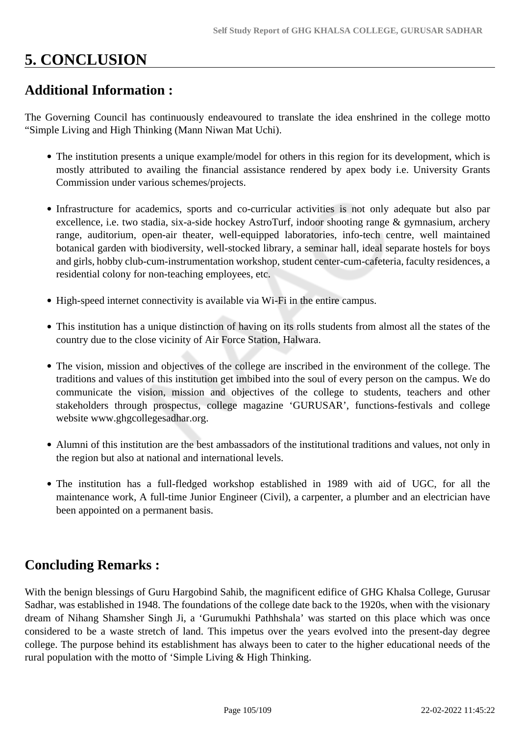# **5. CONCLUSION**

## **Additional Information :**

The Governing Council has continuously endeavoured to translate the idea enshrined in the college motto "Simple Living and High Thinking (Mann Niwan Mat Uchi).

- The institution presents a unique example/model for others in this region for its development, which is mostly attributed to availing the financial assistance rendered by apex body i.e. University Grants Commission under various schemes/projects.
- Infrastructure for academics, sports and co-curricular activities is not only adequate but also par excellence, i.e. two stadia, six-a-side hockey AstroTurf, indoor shooting range & gymnasium, archery range, auditorium, open-air theater, well-equipped laboratories, info-tech centre, well maintained botanical garden with biodiversity, well-stocked library, a seminar hall, ideal separate hostels for boys and girls, hobby club-cum-instrumentation workshop, student center-cum-cafeteria, faculty residences, a residential colony for non-teaching employees, etc.
- High-speed internet connectivity is available via Wi-Fi in the entire campus.
- This institution has a unique distinction of having on its rolls students from almost all the states of the country due to the close vicinity of Air Force Station, Halwara.
- The vision, mission and objectives of the college are inscribed in the environment of the college. The traditions and values of this institution get imbibed into the soul of every person on the campus. We do communicate the vision, mission and objectives of the college to students, teachers and other stakeholders through prospectus, college magazine 'GURUSAR', functions-festivals and college website www.ghgcollegesadhar.org.
- Alumni of this institution are the best ambassadors of the institutional traditions and values, not only in the region but also at national and international levels.
- The institution has a full-fledged workshop established in 1989 with aid of UGC, for all the maintenance work, A full-time Junior Engineer (Civil), a carpenter, a plumber and an electrician have been appointed on a permanent basis.

## **Concluding Remarks :**

With the benign blessings of Guru Hargobind Sahib, the magnificent edifice of GHG Khalsa College, Gurusar Sadhar, was established in 1948. The foundations of the college date back to the 1920s, when with the visionary dream of Nihang Shamsher Singh Ji, a 'Gurumukhi Pathhshala' was started on this place which was once considered to be a waste stretch of land. This impetus over the years evolved into the present-day degree college. The purpose behind its establishment has always been to cater to the higher educational needs of the rural population with the motto of 'Simple Living & High Thinking.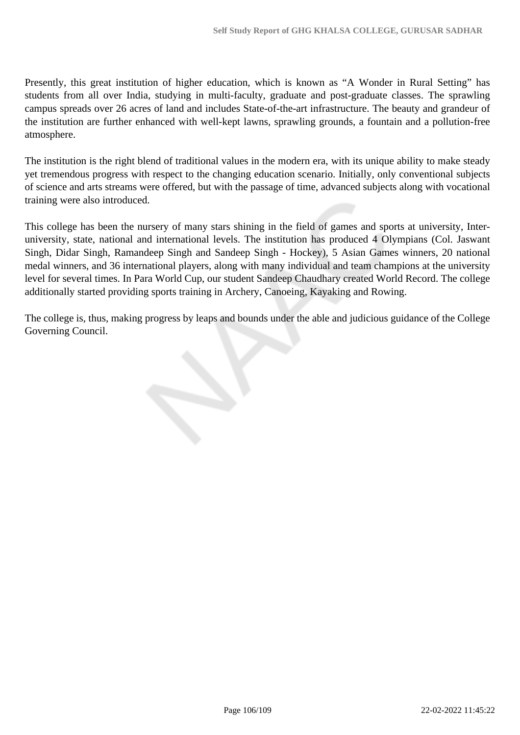Presently, this great institution of higher education, which is known as "A Wonder in Rural Setting" has students from all over India, studying in multi-faculty, graduate and post-graduate classes. The sprawling campus spreads over 26 acres of land and includes State-of-the-art infrastructure. The beauty and grandeur of the institution are further enhanced with well-kept lawns, sprawling grounds, a fountain and a pollution-free atmosphere.

The institution is the right blend of traditional values in the modern era, with its unique ability to make steady yet tremendous progress with respect to the changing education scenario. Initially, only conventional subjects of science and arts streams were offered, but with the passage of time, advanced subjects along with vocational training were also introduced.

This college has been the nursery of many stars shining in the field of games and sports at university, Interuniversity, state, national and international levels. The institution has produced 4 Olympians (Col. Jaswant Singh, Didar Singh, Ramandeep Singh and Sandeep Singh - Hockey), 5 Asian Games winners, 20 national medal winners, and 36 international players, along with many individual and team champions at the university level for several times. In Para World Cup, our student Sandeep Chaudhary created World Record. The college additionally started providing sports training in Archery, Canoeing, Kayaking and Rowing.

The college is, thus, making progress by leaps and bounds under the able and judicious guidance of the College Governing Council.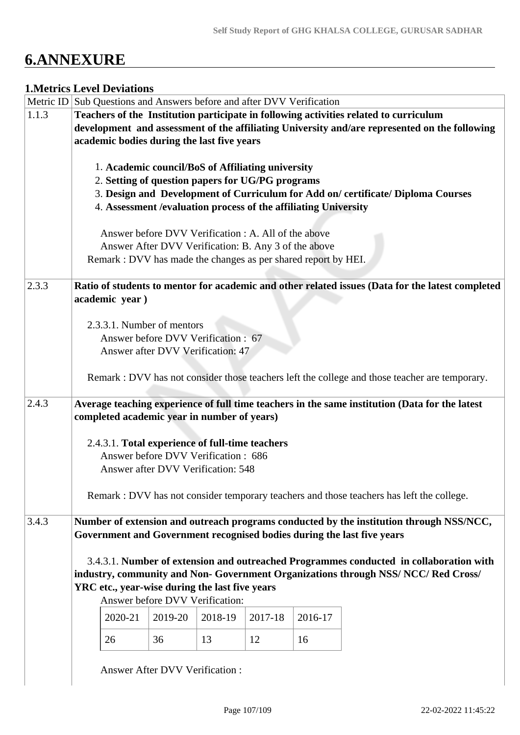# **6.ANNEXURE**

## **1.Metrics Level Deviations**

|       | Metric ID Sub Questions and Answers before and after DVV Verification  |                                       |         |                                                      |         |                                                                                                  |
|-------|------------------------------------------------------------------------|---------------------------------------|---------|------------------------------------------------------|---------|--------------------------------------------------------------------------------------------------|
| 1.1.3 |                                                                        |                                       |         |                                                      |         | Teachers of the Institution participate in following activities related to curriculum            |
|       |                                                                        |                                       |         |                                                      |         | development and assessment of the affiliating University and/are represented on the following    |
|       | academic bodies during the last five years                             |                                       |         |                                                      |         |                                                                                                  |
|       |                                                                        |                                       |         |                                                      |         |                                                                                                  |
|       | 1. Academic council/BoS of Affiliating university                      |                                       |         |                                                      |         |                                                                                                  |
|       | 2. Setting of question papers for UG/PG programs                       |                                       |         |                                                      |         |                                                                                                  |
|       |                                                                        |                                       |         |                                                      |         | 3. Design and Development of Curriculum for Add on/certificate/Diploma Courses                   |
|       | 4. Assessment / evaluation process of the affiliating University       |                                       |         |                                                      |         |                                                                                                  |
|       |                                                                        |                                       |         |                                                      |         |                                                                                                  |
|       |                                                                        |                                       |         |                                                      |         |                                                                                                  |
|       |                                                                        |                                       |         | Answer before DVV Verification : A. All of the above |         |                                                                                                  |
|       |                                                                        |                                       |         | Answer After DVV Verification: B. Any 3 of the above |         |                                                                                                  |
|       | Remark : DVV has made the changes as per shared report by HEI.         |                                       |         |                                                      |         |                                                                                                  |
|       |                                                                        |                                       |         |                                                      |         |                                                                                                  |
| 2.3.3 |                                                                        |                                       |         |                                                      |         | Ratio of students to mentor for academic and other related issues (Data for the latest completed |
|       | academic year)                                                         |                                       |         |                                                      |         |                                                                                                  |
|       |                                                                        |                                       |         |                                                      |         |                                                                                                  |
|       | 2.3.3.1. Number of mentors                                             |                                       |         |                                                      |         |                                                                                                  |
|       |                                                                        | Answer before DVV Verification : 67   |         |                                                      |         |                                                                                                  |
|       |                                                                        | Answer after DVV Verification: 47     |         |                                                      |         |                                                                                                  |
|       |                                                                        |                                       |         |                                                      |         |                                                                                                  |
|       |                                                                        |                                       |         |                                                      |         | Remark : DVV has not consider those teachers left the college and those teacher are temporary.   |
| 2.4.3 |                                                                        |                                       |         |                                                      |         | Average teaching experience of full time teachers in the same institution (Data for the latest   |
|       | completed academic year in number of years)                            |                                       |         |                                                      |         |                                                                                                  |
|       |                                                                        |                                       |         |                                                      |         |                                                                                                  |
|       | 2.4.3.1. Total experience of full-time teachers                        |                                       |         |                                                      |         |                                                                                                  |
|       |                                                                        | Answer before DVV Verification: 686   |         |                                                      |         |                                                                                                  |
|       |                                                                        | Answer after DVV Verification: 548    |         |                                                      |         |                                                                                                  |
|       |                                                                        |                                       |         |                                                      |         |                                                                                                  |
|       |                                                                        |                                       |         |                                                      |         | Remark : DVV has not consider temporary teachers and those teachers has left the college.        |
|       |                                                                        |                                       |         |                                                      |         |                                                                                                  |
| 3.4.3 |                                                                        |                                       |         |                                                      |         | Number of extension and outreach programs conducted by the institution through NSS/NCC,          |
|       | Government and Government recognised bodies during the last five years |                                       |         |                                                      |         |                                                                                                  |
|       |                                                                        |                                       |         |                                                      |         |                                                                                                  |
|       |                                                                        |                                       |         |                                                      |         | 3.4.3.1. Number of extension and outreached Programmes conducted in collaboration with           |
|       |                                                                        |                                       |         |                                                      |         | industry, community and Non- Government Organizations through NSS/NCC/Red Cross/                 |
|       | YRC etc., year-wise during the last five years                         |                                       |         |                                                      |         |                                                                                                  |
|       |                                                                        | Answer before DVV Verification:       |         |                                                      |         |                                                                                                  |
|       |                                                                        |                                       |         |                                                      |         |                                                                                                  |
|       | 2020-21                                                                | 2019-20                               | 2018-19 | 2017-18                                              | 2016-17 |                                                                                                  |
|       | 26                                                                     | 36                                    | 13      | 12                                                   | 16      |                                                                                                  |
|       |                                                                        |                                       |         |                                                      |         |                                                                                                  |
|       |                                                                        |                                       |         |                                                      |         |                                                                                                  |
|       |                                                                        | <b>Answer After DVV Verification:</b> |         |                                                      |         |                                                                                                  |
|       |                                                                        |                                       |         |                                                      |         |                                                                                                  |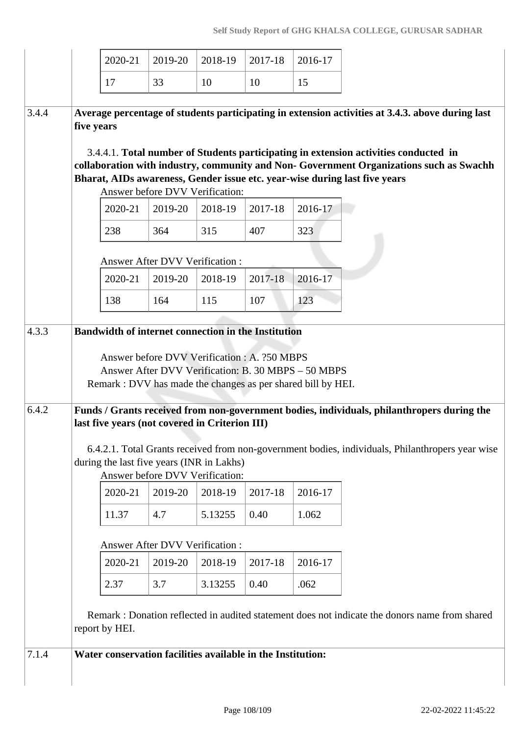|       |            | 2020-21        | 2019-20                                                                                     | 2018-19 | 2017-18                                                     | 2016-17                                                                                                                                                                                                                                                                                                                                                           |  |
|-------|------------|----------------|---------------------------------------------------------------------------------------------|---------|-------------------------------------------------------------|-------------------------------------------------------------------------------------------------------------------------------------------------------------------------------------------------------------------------------------------------------------------------------------------------------------------------------------------------------------------|--|
|       |            | 17             | 33                                                                                          | 10      | 10                                                          | 15                                                                                                                                                                                                                                                                                                                                                                |  |
| 3.4.4 | five years |                |                                                                                             |         |                                                             | Average percentage of students participating in extension activities at 3.4.3. above during last<br>3.4.4.1. Total number of Students participating in extension activities conducted in<br>collaboration with industry, community and Non- Government Organizations such as Swachh<br>Bharat, AIDs awareness, Gender issue etc. year-wise during last five years |  |
|       |            | 2020-21        | Answer before DVV Verification:<br>2019-20                                                  | 2018-19 | 2017-18                                                     | 2016-17                                                                                                                                                                                                                                                                                                                                                           |  |
|       |            |                | 364                                                                                         | 315     | 407                                                         | 323                                                                                                                                                                                                                                                                                                                                                               |  |
|       |            | 238            |                                                                                             |         |                                                             |                                                                                                                                                                                                                                                                                                                                                                   |  |
|       |            |                | <b>Answer After DVV Verification:</b>                                                       |         |                                                             |                                                                                                                                                                                                                                                                                                                                                                   |  |
|       |            | 2020-21        | 2019-20                                                                                     | 2018-19 | 2017-18                                                     | 2016-17                                                                                                                                                                                                                                                                                                                                                           |  |
|       |            | 138            | 164                                                                                         | 115     | 107                                                         | 123                                                                                                                                                                                                                                                                                                                                                               |  |
| 6.4.2 |            |                | last five years (not covered in Criterion III)<br>during the last five years (INR in Lakhs) |         |                                                             | Funds / Grants received from non-government bodies, individuals, philanthropers during the<br>6.4.2.1. Total Grants received from non-government bodies, individuals, Philanthropers year wise                                                                                                                                                                    |  |
|       |            |                | Answer before DVV Verification:                                                             |         |                                                             |                                                                                                                                                                                                                                                                                                                                                                   |  |
|       |            | 2020-21        | 2019-20                                                                                     | 2018-19 | 2017-18                                                     | 2016-17                                                                                                                                                                                                                                                                                                                                                           |  |
|       |            | 11.37          | 4.7                                                                                         | 5.13255 | 0.40                                                        | 1.062                                                                                                                                                                                                                                                                                                                                                             |  |
|       |            |                | <b>Answer After DVV Verification:</b>                                                       |         |                                                             |                                                                                                                                                                                                                                                                                                                                                                   |  |
|       |            | 2020-21        | 2019-20                                                                                     | 2018-19 | 2017-18                                                     | 2016-17                                                                                                                                                                                                                                                                                                                                                           |  |
|       |            | 2.37           | 3.7                                                                                         | 3.13255 | 0.40                                                        | .062                                                                                                                                                                                                                                                                                                                                                              |  |
|       |            | report by HEI. |                                                                                             |         |                                                             | Remark: Donation reflected in audited statement does not indicate the donors name from shared                                                                                                                                                                                                                                                                     |  |
|       |            |                |                                                                                             |         |                                                             |                                                                                                                                                                                                                                                                                                                                                                   |  |
| 7.1.4 |            |                |                                                                                             |         | Water conservation facilities available in the Institution: |                                                                                                                                                                                                                                                                                                                                                                   |  |